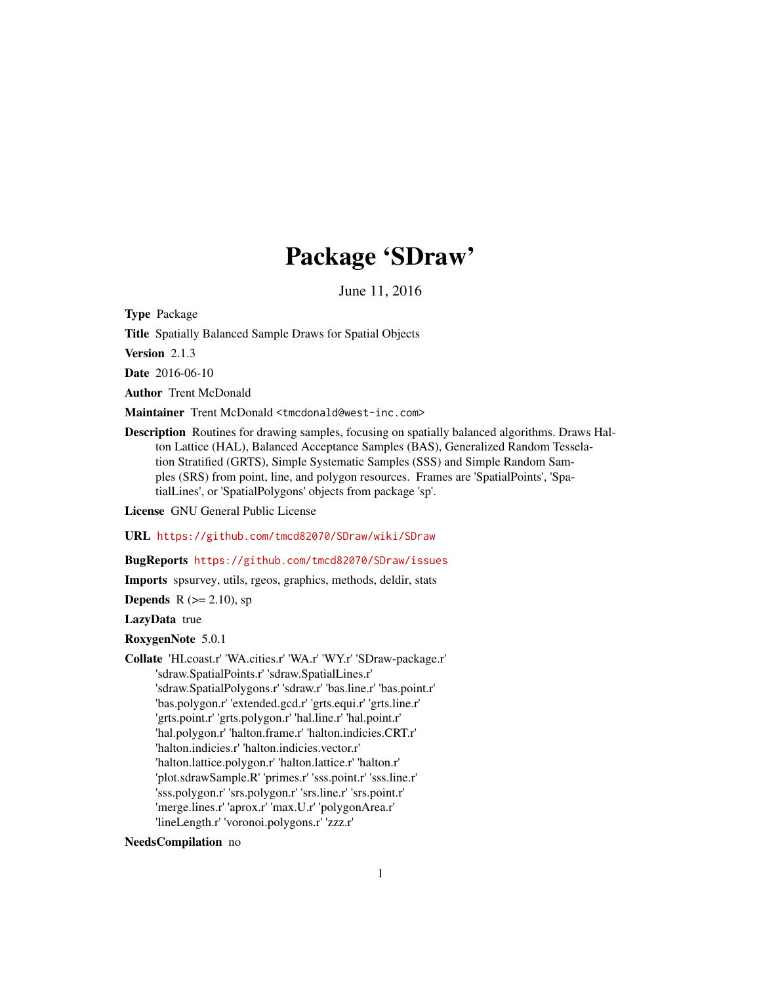# Package 'SDraw'

June 11, 2016

<span id="page-0-0"></span>Type Package

Title Spatially Balanced Sample Draws for Spatial Objects

Version 2.1.3

Date 2016-06-10

Author Trent McDonald

Maintainer Trent McDonald <tmcdonald@west-inc.com>

Description Routines for drawing samples, focusing on spatially balanced algorithms. Draws Halton Lattice (HAL), Balanced Acceptance Samples (BAS), Generalized Random Tesselation Stratified (GRTS), Simple Systematic Samples (SSS) and Simple Random Samples (SRS) from point, line, and polygon resources. Frames are 'SpatialPoints', 'SpatialLines', or 'SpatialPolygons' objects from package 'sp'.

License GNU General Public License

URL <https://github.com/tmcd82070/SDraw/wiki/SDraw>

BugReports <https://github.com/tmcd82070/SDraw/issues>

Imports spsurvey, utils, rgeos, graphics, methods, deldir, stats

**Depends** R  $(>= 2.10)$ , sp

LazyData true

RoxygenNote 5.0.1

Collate 'HI.coast.r' 'WA.cities.r' 'WA.r' 'WY.r' 'SDraw-package.r' 'sdraw.SpatialPoints.r' 'sdraw.SpatialLines.r' 'sdraw.SpatialPolygons.r' 'sdraw.r' 'bas.line.r' 'bas.point.r' 'bas.polygon.r' 'extended.gcd.r' 'grts.equi.r' 'grts.line.r' 'grts.point.r' 'grts.polygon.r' 'hal.line.r' 'hal.point.r' 'hal.polygon.r' 'halton.frame.r' 'halton.indicies.CRT.r' 'halton.indicies.r' 'halton.indicies.vector.r' 'halton.lattice.polygon.r' 'halton.lattice.r' 'halton.r' 'plot.sdrawSample.R' 'primes.r' 'sss.point.r' 'sss.line.r' 'sss.polygon.r' 'srs.polygon.r' 'srs.line.r' 'srs.point.r' 'merge.lines.r' 'aprox.r' 'max.U.r' 'polygonArea.r' 'lineLength.r' 'voronoi.polygons.r' 'zzz.r'

# NeedsCompilation no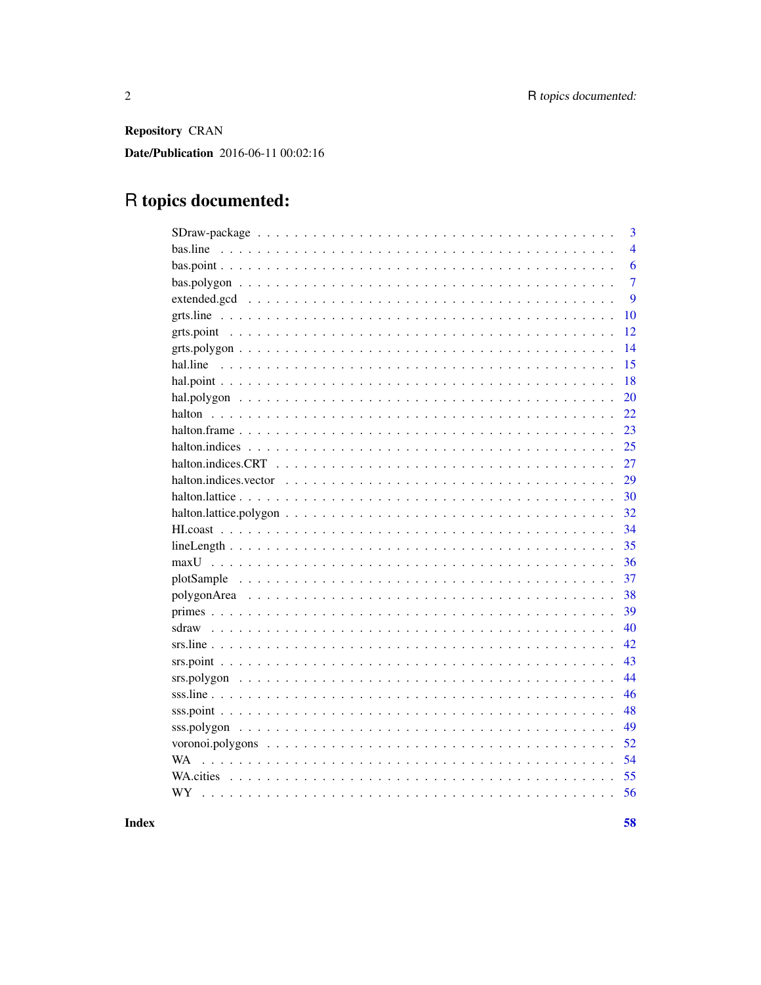Repository CRAN

Date/Publication 2016-06-11 00:02:16

# R topics documented:

|                                                                                                                    | 3              |
|--------------------------------------------------------------------------------------------------------------------|----------------|
| bas.line                                                                                                           | $\overline{4}$ |
|                                                                                                                    | 6              |
|                                                                                                                    | $\overline{7}$ |
|                                                                                                                    | 9              |
|                                                                                                                    | 10             |
|                                                                                                                    | 12             |
|                                                                                                                    | 14             |
|                                                                                                                    | 15             |
|                                                                                                                    | 18             |
|                                                                                                                    | 20             |
|                                                                                                                    | 22             |
|                                                                                                                    | 23             |
|                                                                                                                    | 25             |
|                                                                                                                    | 27             |
| halton.indices.vector $\ldots \ldots \ldots \ldots \ldots \ldots \ldots \ldots \ldots \ldots \ldots \ldots \ldots$ | 29             |
|                                                                                                                    | 30             |
|                                                                                                                    | 32             |
|                                                                                                                    | 34             |
|                                                                                                                    | 35             |
|                                                                                                                    | 36             |
|                                                                                                                    | 37             |
|                                                                                                                    | 38             |
|                                                                                                                    | 39             |
|                                                                                                                    | 40             |
|                                                                                                                    | 42             |
|                                                                                                                    | 43             |
|                                                                                                                    | 44             |
|                                                                                                                    | 46             |
|                                                                                                                    | 48             |
|                                                                                                                    | 49             |
|                                                                                                                    | 52             |
| WA.                                                                                                                | 54             |
|                                                                                                                    | 55             |
| WY                                                                                                                 | 56             |
|                                                                                                                    |                |

**Index**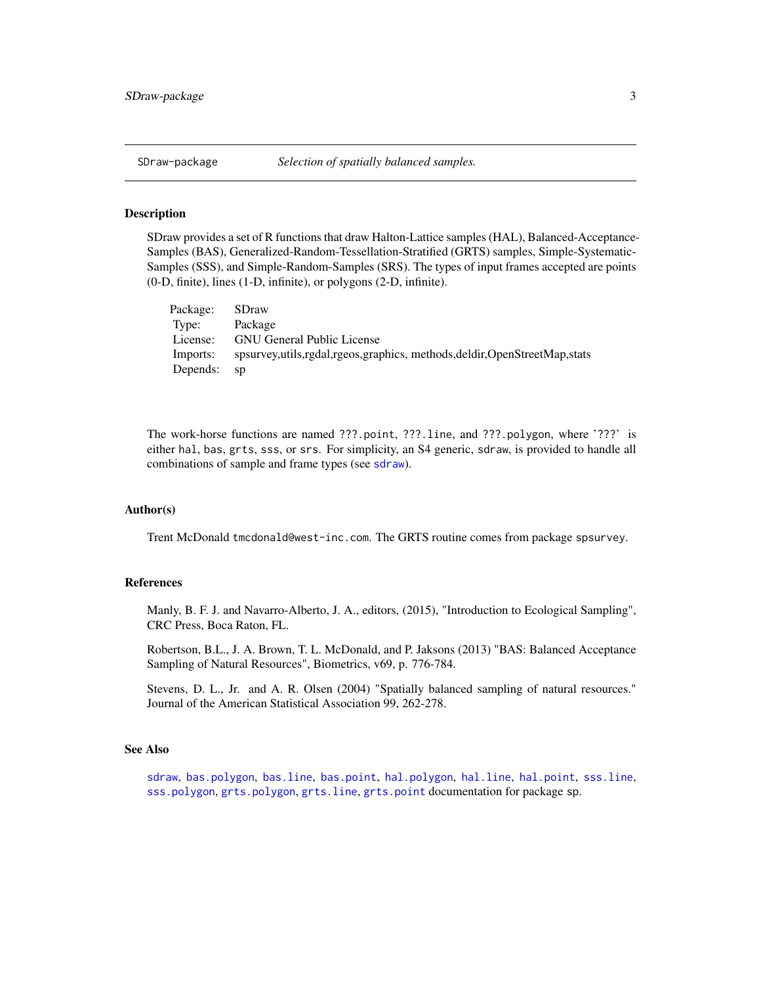<span id="page-2-0"></span>

## Description

SDraw provides a set of R functions that draw Halton-Lattice samples (HAL), Balanced-Acceptance-Samples (BAS), Generalized-Random-Tessellation-Stratified (GRTS) samples, Simple-Systematic-Samples (SSS), and Simple-Random-Samples (SRS). The types of input frames accepted are points (0-D, finite), lines (1-D, infinite), or polygons (2-D, infinite).

| Package: | <b>SDraw</b>                                                                   |
|----------|--------------------------------------------------------------------------------|
| Type:    | Package                                                                        |
| License: | <b>GNU General Public License</b>                                              |
| Imports: | spsurvey, utils, rgdal, rgeos, graphics, methods, deldir, OpenStreetMap, stats |
| Depends: | sp                                                                             |

The work-horse functions are named ???.point, ???.line, and ???.polygon, where '???' is either hal, bas, grts, sss, or srs. For simplicity, an S4 generic, sdraw, is provided to handle all combinations of sample and frame types (see [sdraw](#page-39-1)).

# Author(s)

Trent McDonald tmcdonald@west-inc.com. The GRTS routine comes from package spsurvey.

# References

Manly, B. F. J. and Navarro-Alberto, J. A., editors, (2015), "Introduction to Ecological Sampling", CRC Press, Boca Raton, FL.

Robertson, B.L., J. A. Brown, T. L. McDonald, and P. Jaksons (2013) "BAS: Balanced Acceptance Sampling of Natural Resources", Biometrics, v69, p. 776-784.

Stevens, D. L., Jr. and A. R. Olsen (2004) "Spatially balanced sampling of natural resources." Journal of the American Statistical Association 99, 262-278.

#### See Also

[sdraw](#page-39-1), [bas.polygon](#page-6-1), [bas.line](#page-3-1), [bas.point](#page-5-1), [hal.polygon](#page-19-1), [hal.line](#page-14-1), [hal.point](#page-17-1), [sss.line](#page-45-1), [sss.polygon](#page-48-1), [grts.polygon](#page-13-1), [grts.line](#page-9-1), [grts.point](#page-11-1) documentation for package sp.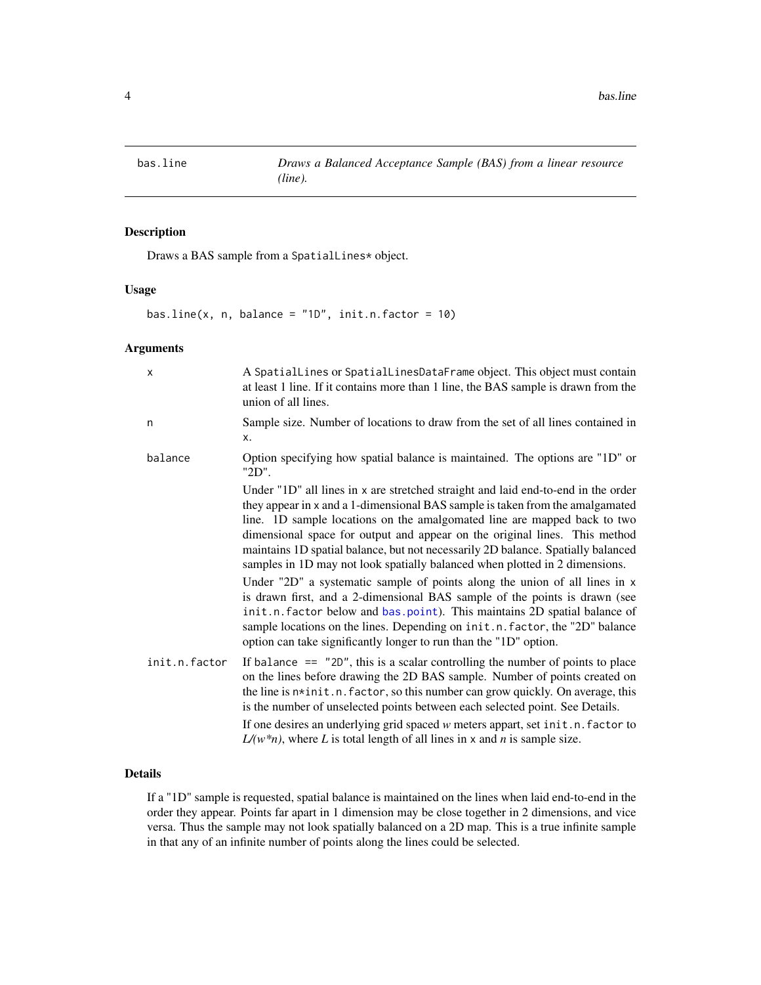<span id="page-3-1"></span><span id="page-3-0"></span>

# Description

Draws a BAS sample from a SpatialLines\* object.

# Usage

bas.line(x, n, balance =  $"1D"$ , init.n.factor = 10)

# Arguments

| $\mathsf{x}$  | A Spatial Lines or Spatial Lines Data Frame object. This object must contain<br>at least 1 line. If it contains more than 1 line, the BAS sample is drawn from the<br>union of all lines.                                                                                                                                                                                                                                                                                                       |
|---------------|-------------------------------------------------------------------------------------------------------------------------------------------------------------------------------------------------------------------------------------------------------------------------------------------------------------------------------------------------------------------------------------------------------------------------------------------------------------------------------------------------|
| n             | Sample size. Number of locations to draw from the set of all lines contained in<br>x.                                                                                                                                                                                                                                                                                                                                                                                                           |
| balance       | Option specifying how spatial balance is maintained. The options are "1D" or<br>"2D".                                                                                                                                                                                                                                                                                                                                                                                                           |
|               | Under "1D" all lines in x are stretched straight and laid end-to-end in the order<br>they appear in x and a 1-dimensional BAS sample is taken from the amalgamated<br>line. 1D sample locations on the amalgomated line are mapped back to two<br>dimensional space for output and appear on the original lines. This method<br>maintains 1D spatial balance, but not necessarily 2D balance. Spatially balanced<br>samples in 1D may not look spatially balanced when plotted in 2 dimensions. |
|               | Under "2D" a systematic sample of points along the union of all lines in x<br>is drawn first, and a 2-dimensional BAS sample of the points is drawn (see<br>init.n. factor below and bas.point). This maintains 2D spatial balance of<br>sample locations on the lines. Depending on init.n. factor, the "2D" balance<br>option can take significantly longer to run than the "1D" option.                                                                                                      |
| init.n.factor | If balance $==$ "2D", this is a scalar controlling the number of points to place<br>on the lines before drawing the 2D BAS sample. Number of points created on<br>the line is n*init.n. factor, so this number can grow quickly. On average, this<br>is the number of unselected points between each selected point. See Details.<br>If one desires an underlying grid spaced w meters appart, set init.n. factor to                                                                            |
|               | $L/(w*n)$ , where L is total length of all lines in x and n is sample size.                                                                                                                                                                                                                                                                                                                                                                                                                     |

# Details

If a "1D" sample is requested, spatial balance is maintained on the lines when laid end-to-end in the order they appear. Points far apart in 1 dimension may be close together in 2 dimensions, and vice versa. Thus the sample may not look spatially balanced on a 2D map. This is a true infinite sample in that any of an infinite number of points along the lines could be selected.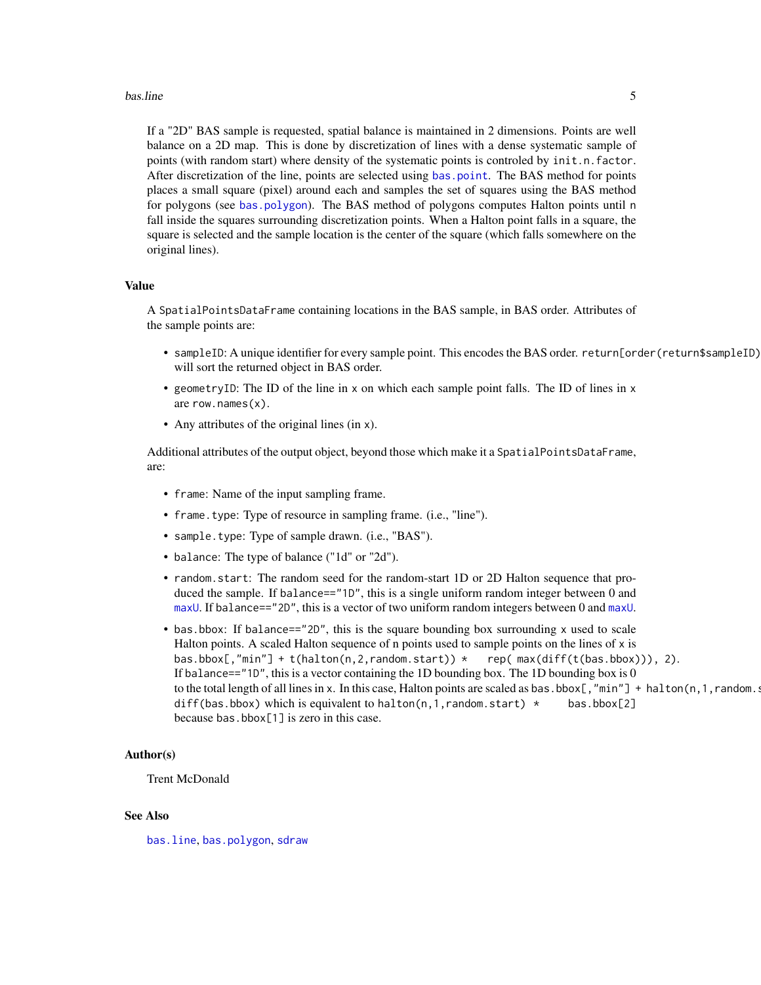#### <span id="page-4-0"></span>bas.line 5

If a "2D" BAS sample is requested, spatial balance is maintained in 2 dimensions. Points are well balance on a 2D map. This is done by discretization of lines with a dense systematic sample of points (with random start) where density of the systematic points is controled by init.n.factor. After discretization of the line, points are selected using [bas.point](#page-5-1). The BAS method for points places a small square (pixel) around each and samples the set of squares using the BAS method for polygons (see [bas.polygon](#page-6-1)). The BAS method of polygons computes Halton points until n fall inside the squares surrounding discretization points. When a Halton point falls in a square, the square is selected and the sample location is the center of the square (which falls somewhere on the original lines).

# Value

A SpatialPointsDataFrame containing locations in the BAS sample, in BAS order. Attributes of the sample points are:

- sampleID: A unique identifier for every sample point. This encodes the BAS order. return[order(return\$sampleID) will sort the returned object in BAS order.
- geometryID: The ID of the line in x on which each sample point falls. The ID of lines in x are row.names(x).
- Any attributes of the original lines (in x).

Additional attributes of the output object, beyond those which make it a SpatialPointsDataFrame, are:

- frame: Name of the input sampling frame.
- frame.type: Type of resource in sampling frame. (i.e., "line").
- sample.type: Type of sample drawn. (i.e., "BAS").
- balance: The type of balance ("1d" or "2d").
- random.start: The random seed for the random-start 1D or 2D Halton sequence that produced the sample. If balance=="1D", this is a single uniform random integer between 0 and [maxU](#page-35-1). If balance=="2D", this is a vector of two uniform random integers between 0 and maxU.
- bas.bbox: If balance=="2D", this is the square bounding box surrounding x used to scale Halton points. A scaled Halton sequence of n points used to sample points on the lines of x is bas.bbox[,"min"] + t(halton(n,2,random.start)) \* rep( max(diff(t(bas.bbox))), 2). If balance=="1D", this is a vector containing the 1D bounding box. The 1D bounding box is 0 to the total length of all lines in x. In this case, Halton points are scaled as bas.bbox[, "min"] + halton(n, 1, random.start) diff(bas.bbox) which is equivalent to halton(n, 1, random. start)  $\star$  bas.bbox[2] because bas.bbox[1] is zero in this case.

#### Author(s)

# Trent McDonald

# See Also

[bas.line](#page-3-1), [bas.polygon](#page-6-1), [sdraw](#page-39-1)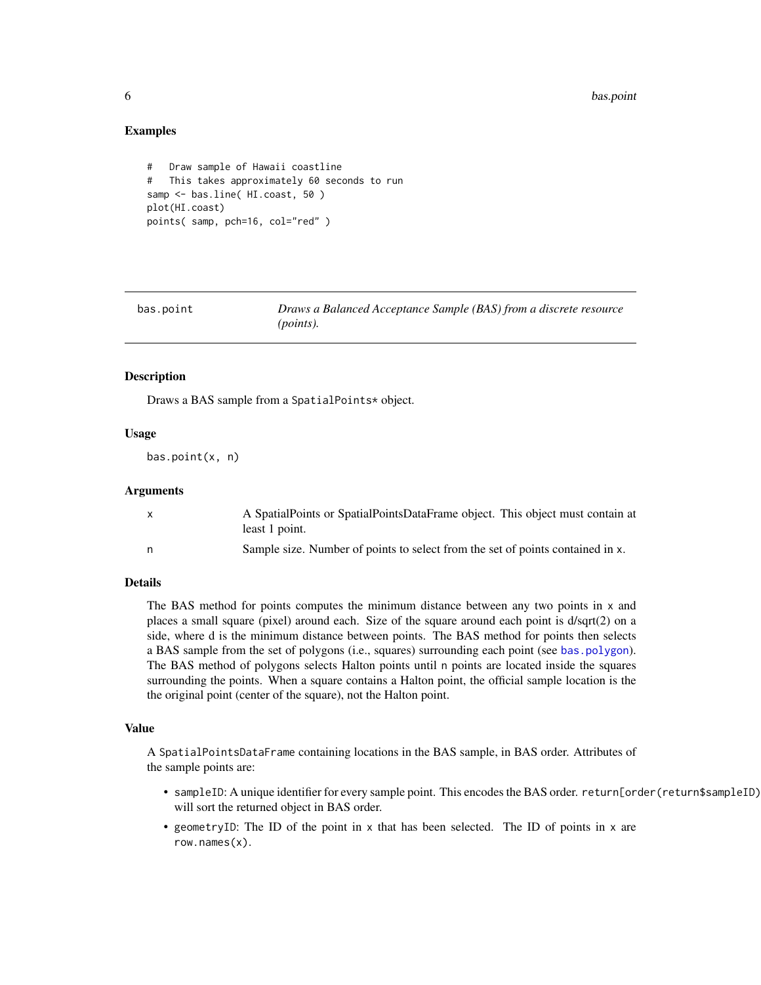# Examples

```
# Draw sample of Hawaii coastline
# This takes approximately 60 seconds to run
samp <- bas.line( HI.coast, 50 )
plot(HI.coast)
points( samp, pch=16, col="red" )
```
<span id="page-5-1"></span>

| bas.point | Draws a Balanced Acceptance Sample (BAS) from a discrete resource |
|-----------|-------------------------------------------------------------------|
|           | ( <i>points</i> ).                                                |

# **Description**

Draws a BAS sample from a SpatialPoints\* object.

# Usage

```
bas.point(x, n)
```
# Arguments

|   | A SpatialPoints or SpatialPointsDataFrame object. This object must contain at<br>least 1 point. |
|---|-------------------------------------------------------------------------------------------------|
| n | Sample size. Number of points to select from the set of points contained in x.                  |

# Details

The BAS method for points computes the minimum distance between any two points in x and places a small square (pixel) around each. Size of the square around each point is d/sqrt(2) on a side, where d is the minimum distance between points. The BAS method for points then selects a BAS sample from the set of polygons (i.e., squares) surrounding each point (see [bas.polygon](#page-6-1)). The BAS method of polygons selects Halton points until n points are located inside the squares surrounding the points. When a square contains a Halton point, the official sample location is the the original point (center of the square), not the Halton point.

#### Value

A SpatialPointsDataFrame containing locations in the BAS sample, in BAS order. Attributes of the sample points are:

- sampleID: A unique identifier for every sample point. This encodes the BAS order. return[order(return\$sampleID) will sort the returned object in BAS order.
- geometryID: The ID of the point in x that has been selected. The ID of points in x are row.names(x).

<span id="page-5-0"></span>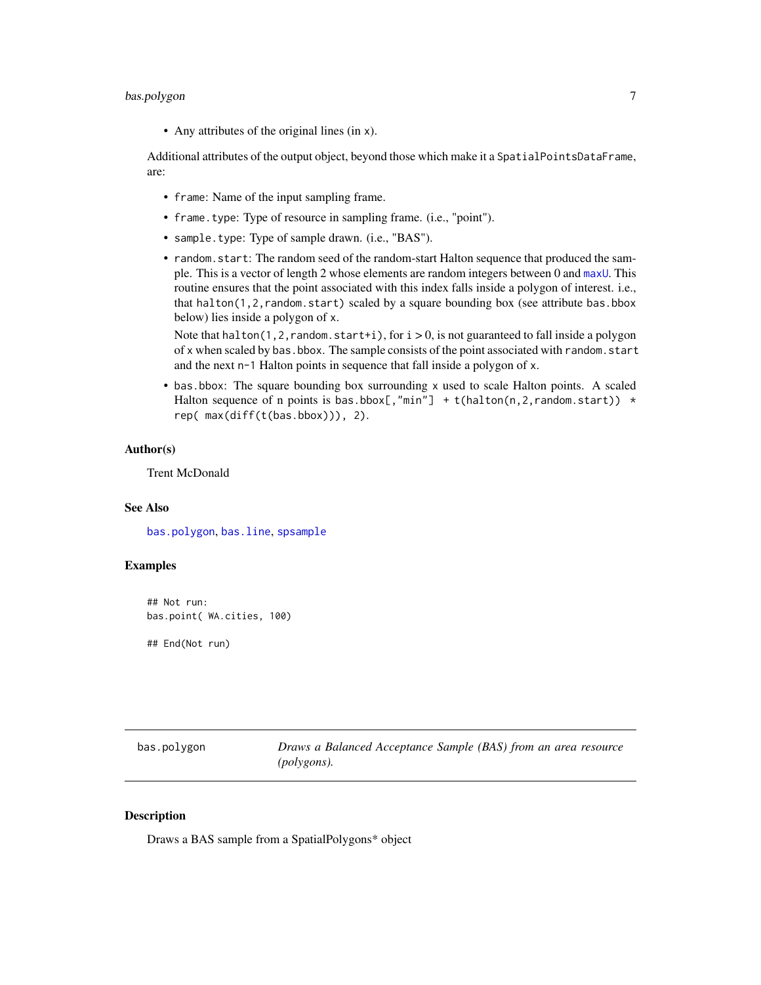# <span id="page-6-0"></span>bas.polygon 7

• Any attributes of the original lines (in x).

Additional attributes of the output object, beyond those which make it a SpatialPointsDataFrame, are:

- frame: Name of the input sampling frame.
- frame.type: Type of resource in sampling frame. (i.e., "point").
- sample.type: Type of sample drawn. (i.e., "BAS").
- random.start: The random seed of the random-start Halton sequence that produced the sample. This is a vector of length 2 whose elements are random integers between 0 and [maxU](#page-35-1). This routine ensures that the point associated with this index falls inside a polygon of interest. i.e., that halton(1,2,random.start) scaled by a square bounding box (see attribute bas.bbox below) lies inside a polygon of x.

Note that halton(1,2, random.start+i), for  $i > 0$ , is not guaranteed to fall inside a polygon of x when scaled by bas.bbox. The sample consists of the point associated with random.start and the next n-1 Halton points in sequence that fall inside a polygon of x.

• bas.bbox: The square bounding box surrounding x used to scale Halton points. A scaled Halton sequence of n points is bas.bbox[,"min"] + t(halton(n, 2, random. start))  $\star$ rep( max(diff(t(bas.bbox))), 2).

# Author(s)

Trent McDonald

# See Also

[bas.polygon](#page-6-1), [bas.line](#page-3-1), [spsample](#page-0-0)

# Examples

## Not run: bas.point( WA.cities, 100)

## End(Not run)

<span id="page-6-1"></span>

| bas.polygon | Draws a Balanced Acceptance Sample (BAS) from an area resource |
|-------------|----------------------------------------------------------------|
|             | (polygons).                                                    |

# **Description**

Draws a BAS sample from a SpatialPolygons\* object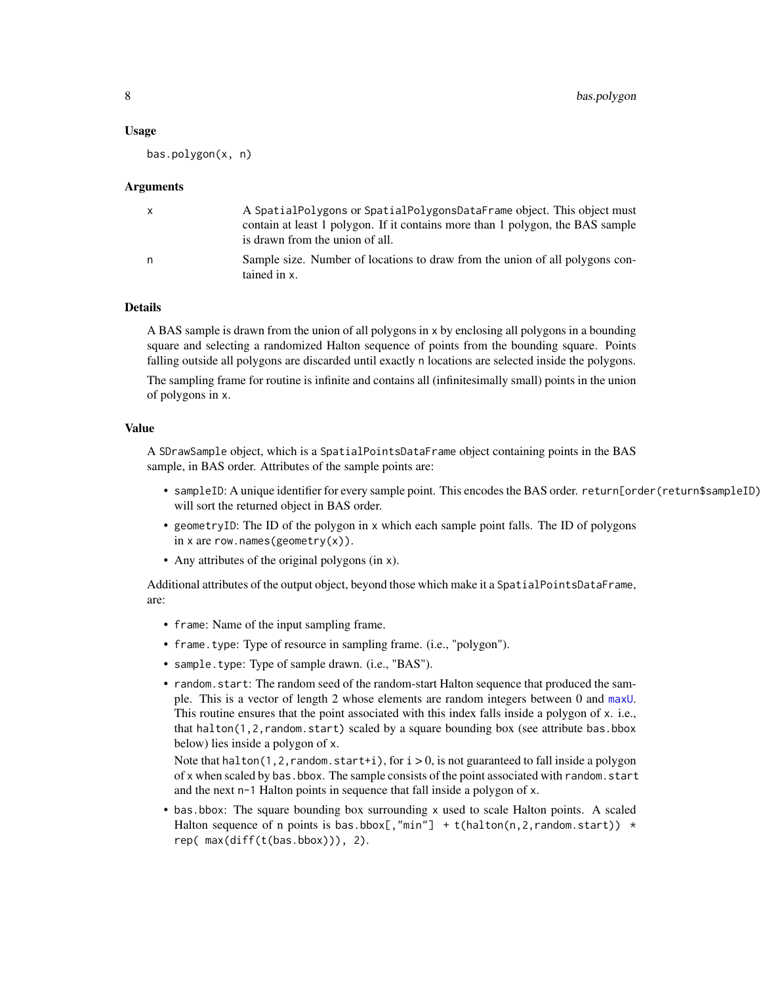#### <span id="page-7-0"></span>Usage

bas.polygon(x, n)

#### Arguments

|   | A SpatialPolygons or SpatialPolygonsDataFrame object. This object must                       |
|---|----------------------------------------------------------------------------------------------|
|   | contain at least 1 polygon. If it contains more than 1 polygon, the BAS sample               |
|   | is drawn from the union of all.                                                              |
| n | Sample size. Number of locations to draw from the union of all polygons con-<br>tained in x. |
|   |                                                                                              |

# Details

A BAS sample is drawn from the union of all polygons in x by enclosing all polygons in a bounding square and selecting a randomized Halton sequence of points from the bounding square. Points falling outside all polygons are discarded until exactly n locations are selected inside the polygons.

The sampling frame for routine is infinite and contains all (infinitesimally small) points in the union of polygons in x.

#### Value

A SDrawSample object, which is a SpatialPointsDataFrame object containing points in the BAS sample, in BAS order. Attributes of the sample points are:

- sampleID: A unique identifier for every sample point. This encodes the BAS order. return[order(return\$sampleID) will sort the returned object in BAS order.
- geometryID: The ID of the polygon in x which each sample point falls. The ID of polygons in x are row.names(geometry $(x)$ ).
- Any attributes of the original polygons (in x).

Additional attributes of the output object, beyond those which make it a SpatialPointsDataFrame, are:

- frame: Name of the input sampling frame.
- frame.type: Type of resource in sampling frame. (i.e., "polygon").
- sample.type: Type of sample drawn. (i.e., "BAS").
- random.start: The random seed of the random-start Halton sequence that produced the sample. This is a vector of length 2 whose elements are random integers between 0 and [maxU](#page-35-1). This routine ensures that the point associated with this index falls inside a polygon of x. i.e., that halton(1,2,random.start) scaled by a square bounding box (see attribute bas.bbox below) lies inside a polygon of x.

Note that halton(1,2, random. start+i), for  $i > 0$ , is not guaranteed to fall inside a polygon of x when scaled by bas.bbox. The sample consists of the point associated with random.start and the next n-1 Halton points in sequence that fall inside a polygon of x.

• bas.bbox: The square bounding box surrounding x used to scale Halton points. A scaled Halton sequence of n points is bas.bbox[,"min"] + t(halton(n, 2, random. start))  $\star$ rep( max(diff(t(bas.bbox))), 2).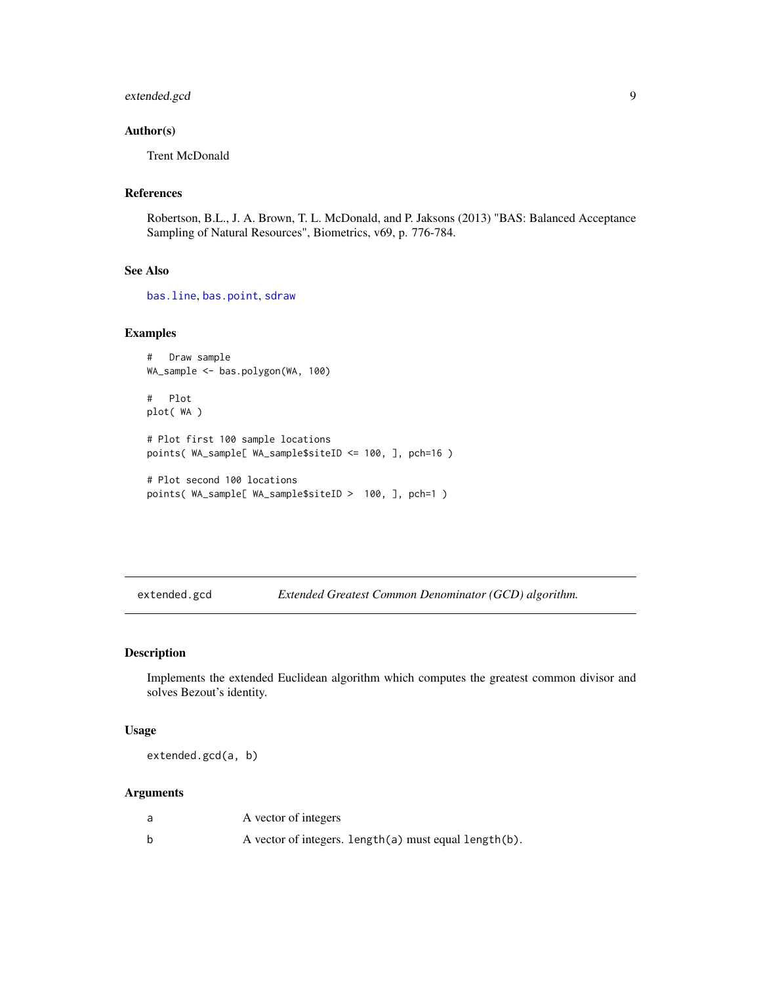# <span id="page-8-0"></span>extended.gcd 9

# Author(s)

Trent McDonald

# References

Robertson, B.L., J. A. Brown, T. L. McDonald, and P. Jaksons (2013) "BAS: Balanced Acceptance Sampling of Natural Resources", Biometrics, v69, p. 776-784.

# See Also

[bas.line](#page-3-1), [bas.point](#page-5-1), [sdraw](#page-39-1)

#### Examples

```
# Draw sample
WA_sample <- bas.polygon(WA, 100)
# Plot
plot( WA )
# Plot first 100 sample locations
points( WA_sample[ WA_sample$siteID <= 100, ], pch=16 )
# Plot second 100 locations
points( WA_sample[ WA_sample$siteID > 100, ], pch=1 )
```
extended.gcd *Extended Greatest Common Denominator (GCD) algorithm.*

# Description

Implements the extended Euclidean algorithm which computes the greatest common divisor and solves Bezout's identity.

#### Usage

extended.gcd(a, b)

# Arguments

| a | A vector of integers                                  |
|---|-------------------------------------------------------|
|   | A vector of integers. length(a) must equal length(b). |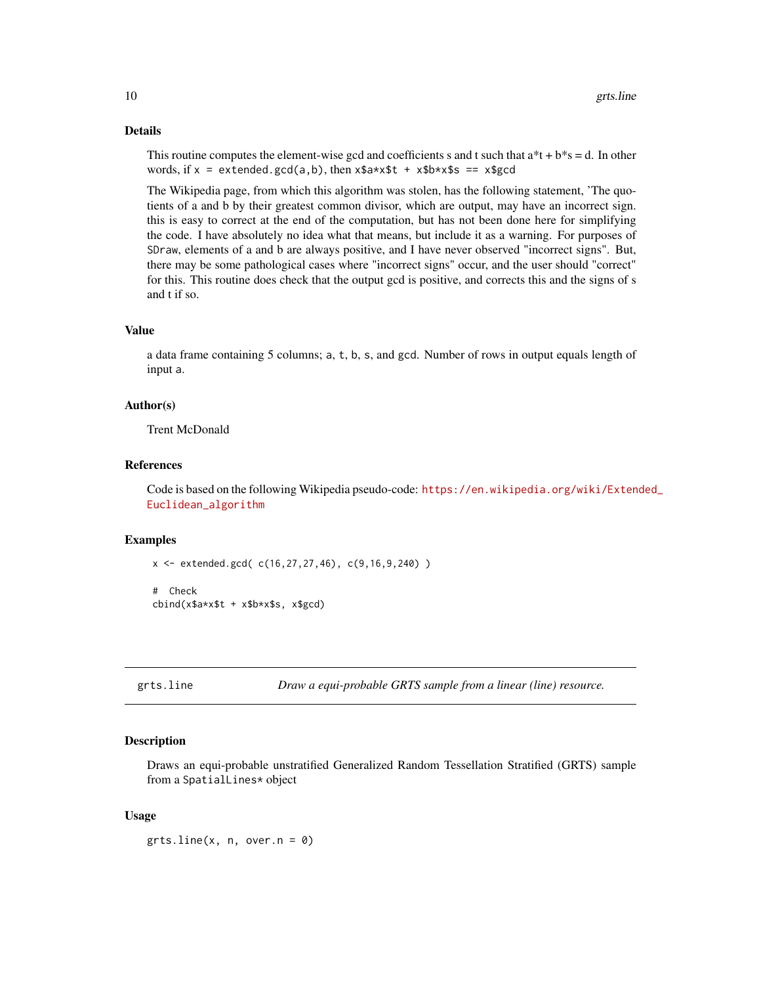# Details

This routine computes the element-wise gcd and coefficients s and t such that  $a^*t + b^*s = d$ . In other words, if  $x =$  extended.gcd(a,b), then  $x$ \$a\*x\$t +  $x$ \$b\*x\$s ==  $x$ \$gcd

The Wikipedia page, from which this algorithm was stolen, has the following statement, 'The quotients of a and b by their greatest common divisor, which are output, may have an incorrect sign. this is easy to correct at the end of the computation, but has not been done here for simplifying the code. I have absolutely no idea what that means, but include it as a warning. For purposes of SDraw, elements of a and b are always positive, and I have never observed "incorrect signs". But, there may be some pathological cases where "incorrect signs" occur, and the user should "correct" for this. This routine does check that the output gcd is positive, and corrects this and the signs of s and t if so.

#### Value

a data frame containing 5 columns; a, t, b, s, and gcd. Number of rows in output equals length of input a.

# Author(s)

Trent McDonald

#### References

Code is based on the following Wikipedia pseudo-code: [https://en.wikipedia.org/wiki/Exten](https://en.wikipedia.org/wiki/Extended_Euclidean_algorithm)ded\_ [Euclidean\\_algorithm](https://en.wikipedia.org/wiki/Extended_Euclidean_algorithm)

# Examples

x <- extended.gcd( c(16,27,27,46), c(9,16,9,240) )

```
# Check
cbind(x$a*x$t + x$b*x$s, x$gcd)
```
<span id="page-9-1"></span>grts.line *Draw a equi-probable GRTS sample from a linear (line) resource.*

#### Description

Draws an equi-probable unstratified Generalized Random Tessellation Stratified (GRTS) sample from a SpatialLines\* object

# Usage

 $grts.line(x, n, over.n = 0)$ 

<span id="page-9-0"></span>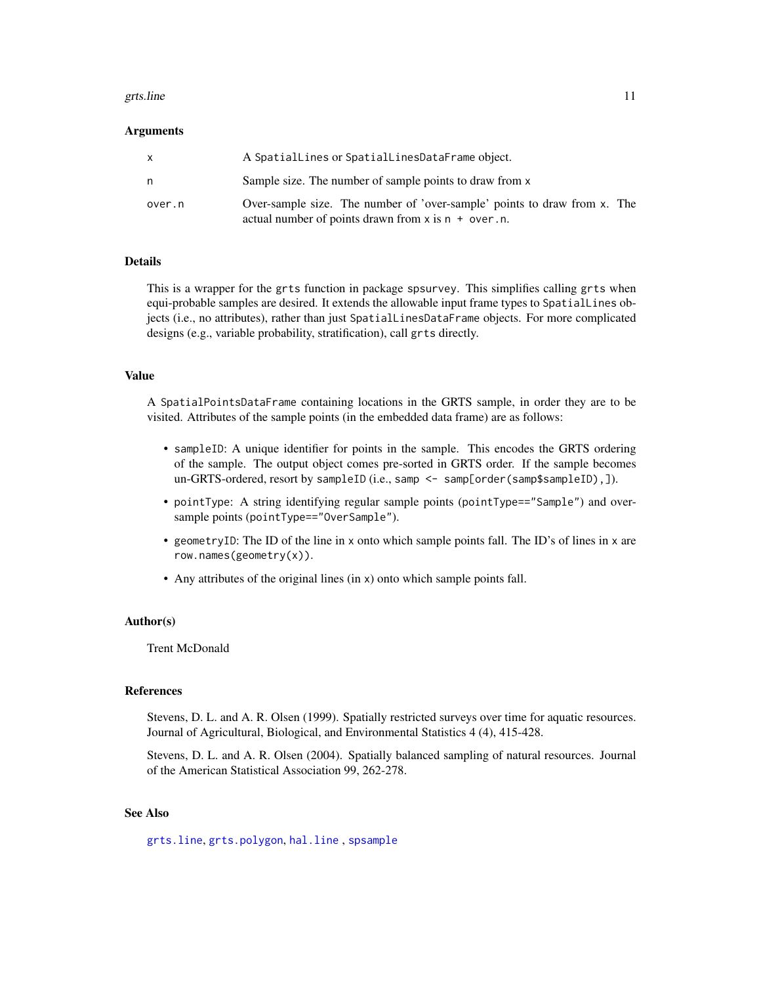#### <span id="page-10-0"></span>grts.line 11

# Arguments

| x      | A SpatialLines or SpatialLinesDataFrame object.                                                                                      |
|--------|--------------------------------------------------------------------------------------------------------------------------------------|
| n      | Sample size. The number of sample points to draw from x                                                                              |
| over.n | Over-sample size. The number of 'over-sample' points to draw from x. The<br>actual number of points drawn from $x$ is $n + over.n$ . |

# Details

This is a wrapper for the grts function in package spsurvey. This simplifies calling grts when equi-probable samples are desired. It extends the allowable input frame types to SpatialLines objects (i.e., no attributes), rather than just SpatialLinesDataFrame objects. For more complicated designs (e.g., variable probability, stratification), call grts directly.

# Value

A SpatialPointsDataFrame containing locations in the GRTS sample, in order they are to be visited. Attributes of the sample points (in the embedded data frame) are as follows:

- sampleID: A unique identifier for points in the sample. This encodes the GRTS ordering of the sample. The output object comes pre-sorted in GRTS order. If the sample becomes un-GRTS-ordered, resort by sampleID (i.e., samp <- samp[order(samp\$sampleID), ]).
- pointType: A string identifying regular sample points (pointType=="Sample") and oversample points (pointType=="OverSample").
- geometryID: The ID of the line in x onto which sample points fall. The ID's of lines in x are row.names(geometry(x)).
- Any attributes of the original lines (in x) onto which sample points fall.

# Author(s)

Trent McDonald

# References

Stevens, D. L. and A. R. Olsen (1999). Spatially restricted surveys over time for aquatic resources. Journal of Agricultural, Biological, and Environmental Statistics 4 (4), 415-428.

Stevens, D. L. and A. R. Olsen (2004). Spatially balanced sampling of natural resources. Journal of the American Statistical Association 99, 262-278.

# See Also

[grts.line](#page-9-1), [grts.polygon](#page-13-1), [hal.line](#page-14-1) , [spsample](#page-0-0)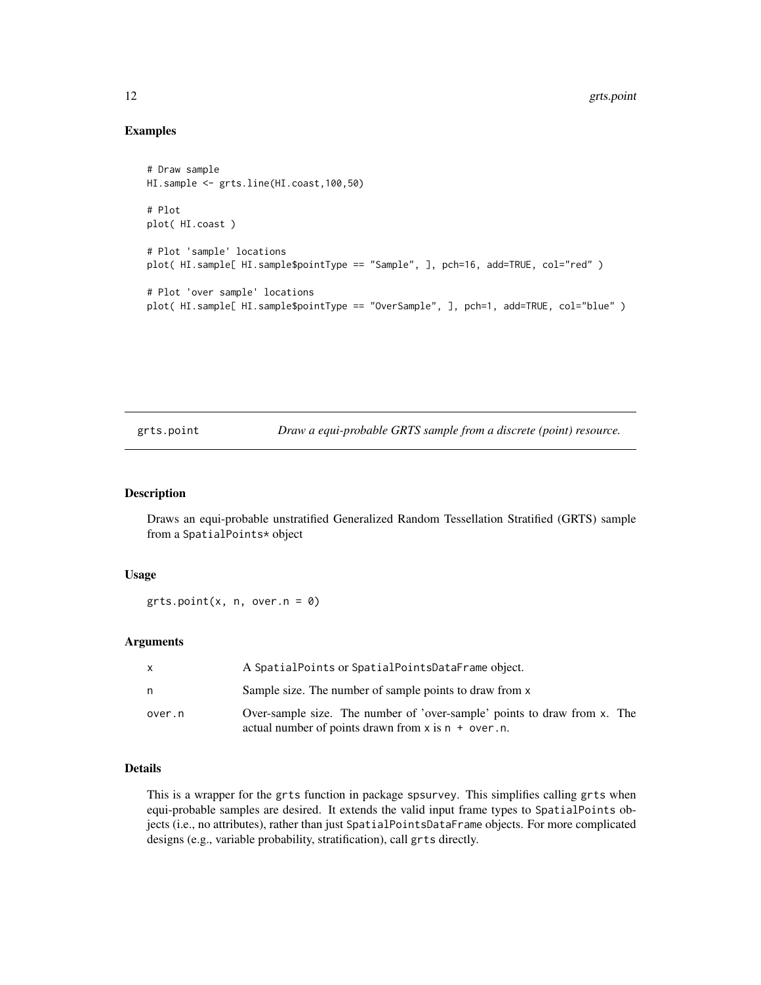# Examples

```
# Draw sample
HI.sample <- grts.line(HI.coast,100,50)
# Plot
plot( HI.coast )
# Plot 'sample' locations
plot( HI.sample[ HI.sample$pointType == "Sample", ], pch=16, add=TRUE, col="red" )
# Plot 'over sample' locations
plot( HI.sample[ HI.sample$pointType == "OverSample", ], pch=1, add=TRUE, col="blue" )
```
<span id="page-11-1"></span>grts.point *Draw a equi-probable GRTS sample from a discrete (point) resource.*

# Description

Draws an equi-probable unstratified Generalized Random Tessellation Stratified (GRTS) sample from a SpatialPoints\* object

# Usage

 $grts.point(x, n, over.n = 0)$ 

#### **Arguments**

| X      | A SpatialPoints or SpatialPointsDataFrame object.                                                                                    |
|--------|--------------------------------------------------------------------------------------------------------------------------------------|
| n      | Sample size. The number of sample points to draw from x                                                                              |
| over.n | Over-sample size. The number of 'over-sample' points to draw from x. The<br>actual number of points drawn from $x$ is $n + over.n$ . |

# Details

This is a wrapper for the grts function in package spsurvey. This simplifies calling grts when equi-probable samples are desired. It extends the valid input frame types to SpatialPoints objects (i.e., no attributes), rather than just SpatialPointsDataFrame objects. For more complicated designs (e.g., variable probability, stratification), call grts directly.

<span id="page-11-0"></span>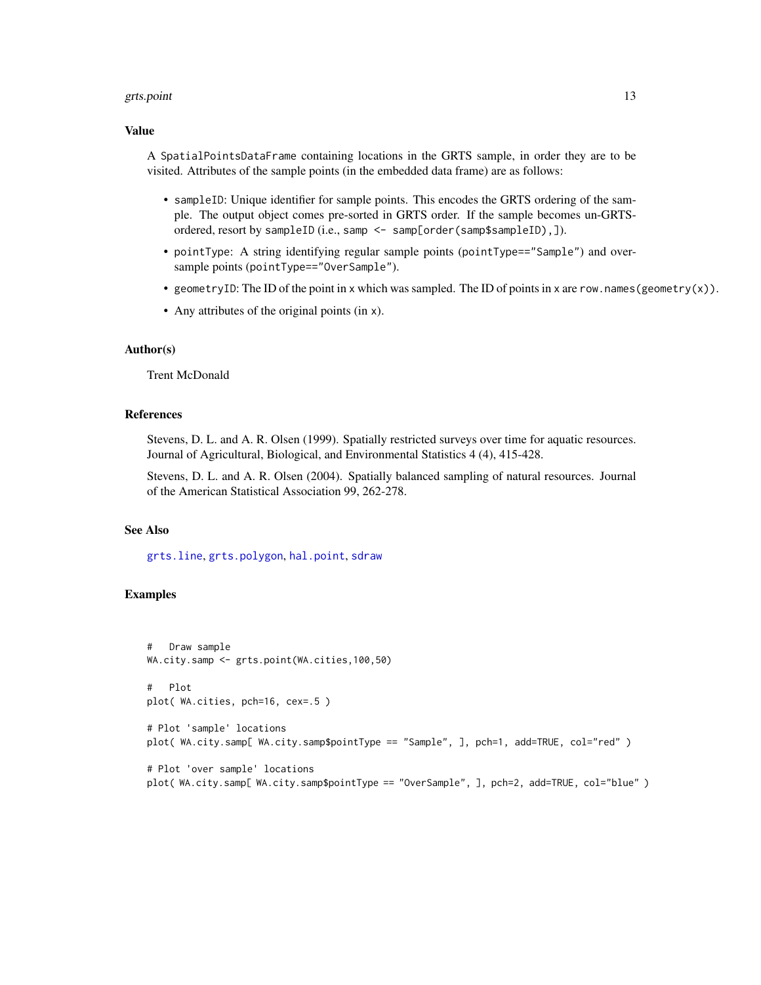#### <span id="page-12-0"></span>grts.point 13

# Value

A SpatialPointsDataFrame containing locations in the GRTS sample, in order they are to be visited. Attributes of the sample points (in the embedded data frame) are as follows:

- sampleID: Unique identifier for sample points. This encodes the GRTS ordering of the sample. The output object comes pre-sorted in GRTS order. If the sample becomes un-GRTSordered, resort by sampleID (i.e., samp <- samp[order(samp\$sampleID),]).
- pointType: A string identifying regular sample points (pointType=="Sample") and oversample points (pointType=="OverSample").
- geometryID: The ID of the point in x which was sampled. The ID of points in x are row.names(geometry(x)).
- Any attributes of the original points (in x).

# Author(s)

Trent McDonald

# References

Stevens, D. L. and A. R. Olsen (1999). Spatially restricted surveys over time for aquatic resources. Journal of Agricultural, Biological, and Environmental Statistics 4 (4), 415-428.

Stevens, D. L. and A. R. Olsen (2004). Spatially balanced sampling of natural resources. Journal of the American Statistical Association 99, 262-278.

# See Also

[grts.line](#page-9-1), [grts.polygon](#page-13-1), [hal.point](#page-17-1), [sdraw](#page-39-1)

# Examples

```
# Draw sample
WA.city.samp <- grts.point(WA.cities,100,50)
# Plot
plot( WA.cities, pch=16, cex=.5 )
# Plot 'sample' locations
plot( WA.city.samp[ WA.city.samp$pointType == "Sample", ], pch=1, add=TRUE, col="red" )
# Plot 'over sample' locations
plot( WA.city.samp[ WA.city.samp$pointType == "OverSample", ], pch=2, add=TRUE, col="blue" )
```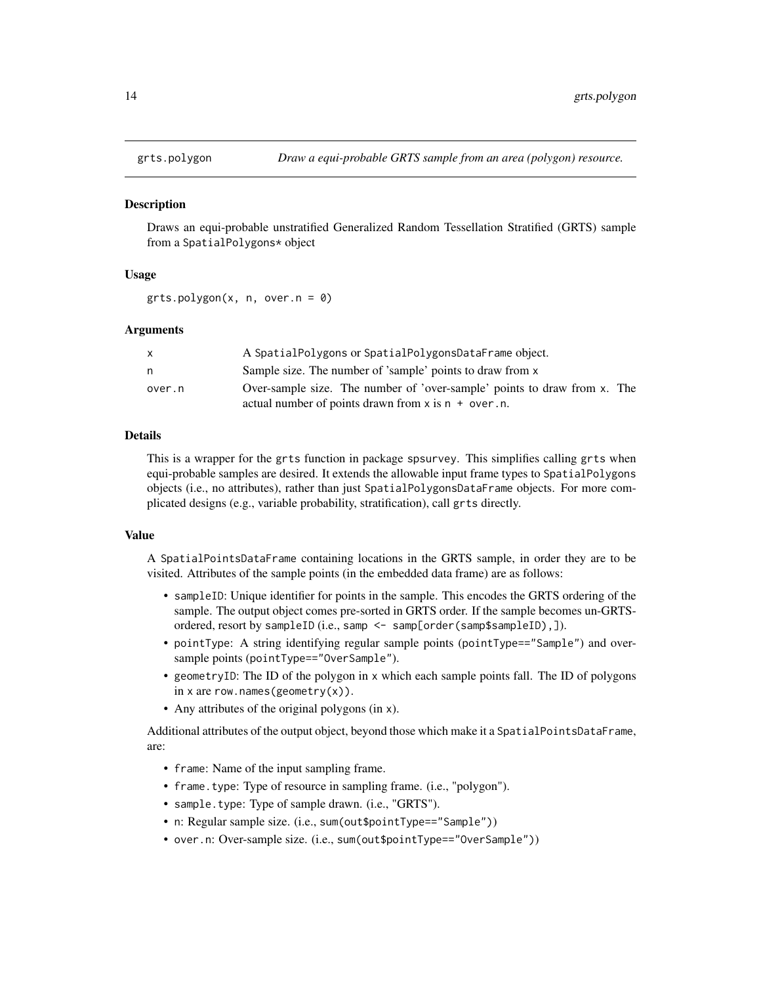<span id="page-13-1"></span><span id="page-13-0"></span>

# **Description**

Draws an equi-probable unstratified Generalized Random Tessellation Stratified (GRTS) sample from a SpatialPolygons\* object

### Usage

 $grts.polygon(x, n, over.n = 0)$ 

#### Arguments

| X      | A SpatialPolygons or SpatialPolygonsDataFrame object.                    |
|--------|--------------------------------------------------------------------------|
| n      | Sample size. The number of 'sample' points to draw from x                |
| over.n | Over-sample size. The number of 'over-sample' points to draw from x. The |
|        | actual number of points drawn from $x$ is $n + over.n$ .                 |

# Details

This is a wrapper for the grts function in package spsurvey. This simplifies calling grts when equi-probable samples are desired. It extends the allowable input frame types to SpatialPolygons objects (i.e., no attributes), rather than just SpatialPolygonsDataFrame objects. For more complicated designs (e.g., variable probability, stratification), call grts directly.

# Value

A SpatialPointsDataFrame containing locations in the GRTS sample, in order they are to be visited. Attributes of the sample points (in the embedded data frame) are as follows:

- sampleID: Unique identifier for points in the sample. This encodes the GRTS ordering of the sample. The output object comes pre-sorted in GRTS order. If the sample becomes un-GRTSordered, resort by sampleID (i.e., samp <- samp[order(samp\$sampleID),]).
- pointType: A string identifying regular sample points (pointType=="Sample") and oversample points (pointType=="OverSample").
- geometryID: The ID of the polygon in x which each sample points fall. The ID of polygons in x are row.names(geometry(x)).
- Any attributes of the original polygons (in x).

Additional attributes of the output object, beyond those which make it a SpatialPointsDataFrame, are:

- frame: Name of the input sampling frame.
- frame.type: Type of resource in sampling frame. (i.e., "polygon").
- sample.type: Type of sample drawn. (i.e., "GRTS").
- n: Regular sample size. (i.e., sum(out\$pointType=="Sample"))
- over.n: Over-sample size. (i.e., sum(out\$pointType=="OverSample"))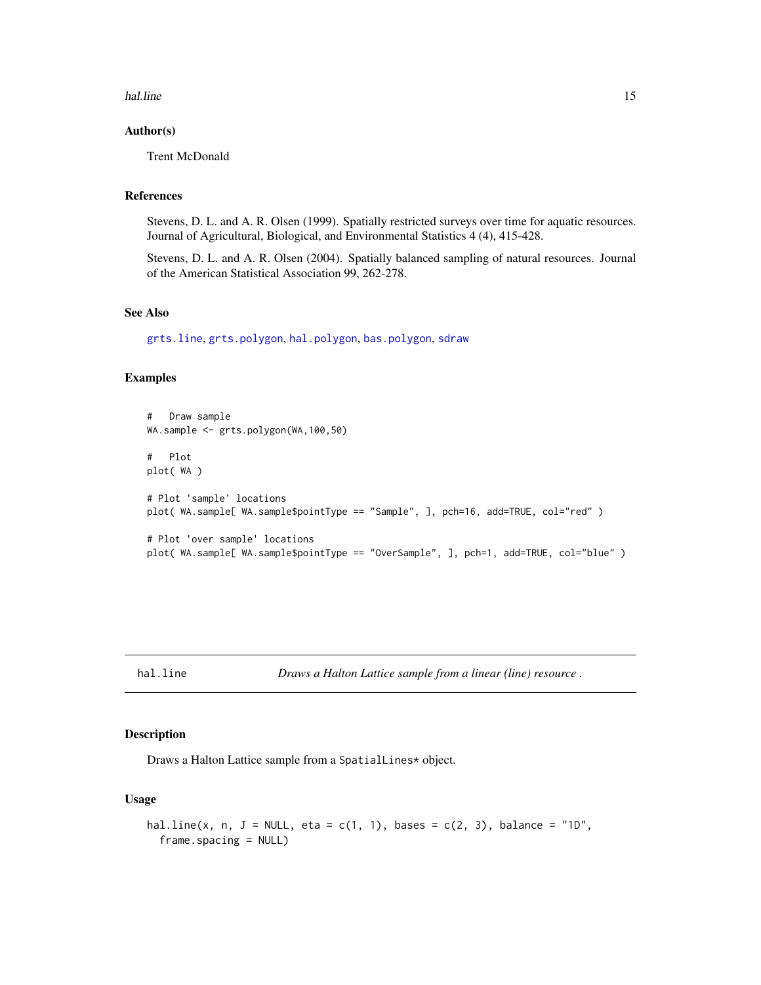#### <span id="page-14-0"></span>hal.line 15

# Author(s)

Trent McDonald

# References

Stevens, D. L. and A. R. Olsen (1999). Spatially restricted surveys over time for aquatic resources. Journal of Agricultural, Biological, and Environmental Statistics 4 (4), 415-428.

Stevens, D. L. and A. R. Olsen (2004). Spatially balanced sampling of natural resources. Journal of the American Statistical Association 99, 262-278.

# See Also

[grts.line](#page-9-1), [grts.polygon](#page-13-1), [hal.polygon](#page-19-1), [bas.polygon](#page-6-1), [sdraw](#page-39-1)

# Examples

```
# Draw sample
WA.sample <- grts.polygon(WA,100,50)
# Plot
plot( WA )
# Plot 'sample' locations
plot( WA.sample[ WA.sample$pointType == "Sample", ], pch=16, add=TRUE, col="red" )
# Plot 'over sample' locations
plot( WA.sample[ WA.sample$pointType == "OverSample", ], pch=1, add=TRUE, col="blue" )
```
<span id="page-14-1"></span>hal.line *Draws a Halton Lattice sample from a linear (line) resource .*

#### Description

Draws a Halton Lattice sample from a SpatialLines\* object.

# Usage

```
hal.line(x, n, J = NULL, eta = c(1, 1), bases = c(2, 3), balance = "1D",
  frame.spacing = NULL)
```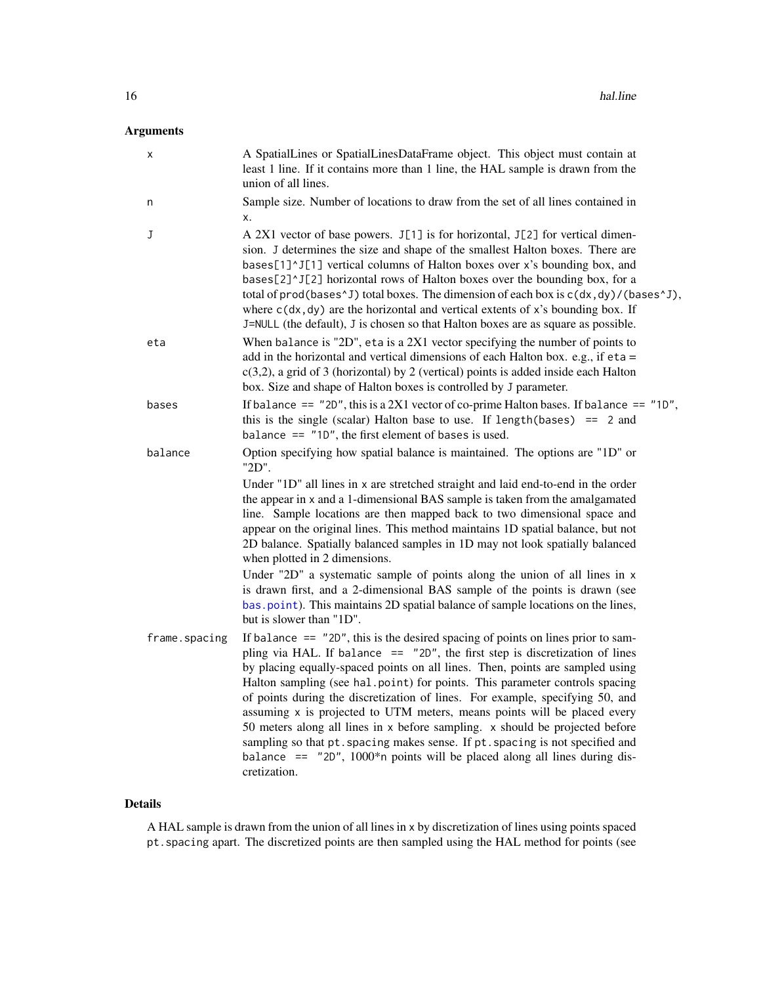# <span id="page-15-0"></span>Arguments

| х             | A SpatialLines or SpatialLinesDataFrame object. This object must contain at<br>least 1 line. If it contains more than 1 line, the HAL sample is drawn from the<br>union of all lines.                                                                                                                                                                                                                                                                                                                                                                                                                                                                                                                                                                             |
|---------------|-------------------------------------------------------------------------------------------------------------------------------------------------------------------------------------------------------------------------------------------------------------------------------------------------------------------------------------------------------------------------------------------------------------------------------------------------------------------------------------------------------------------------------------------------------------------------------------------------------------------------------------------------------------------------------------------------------------------------------------------------------------------|
| n             | Sample size. Number of locations to draw from the set of all lines contained in<br>х.                                                                                                                                                                                                                                                                                                                                                                                                                                                                                                                                                                                                                                                                             |
| J             | A 2X1 vector of base powers. J[1] is for horizontal, J[2] for vertical dimen-<br>sion. J determines the size and shape of the smallest Halton boxes. There are<br>bases[1]^J[1] vertical columns of Halton boxes over x's bounding box, and<br>bases[2]^J[2] horizontal rows of Halton boxes over the bounding box, for a<br>total of prod(bases $\gamma$ J) total boxes. The dimension of each box is $c(dx, dy) / ($ bases $\gamma$ J),<br>where $c(dx, dy)$ are the horizontal and vertical extents of x's bounding box. If<br>J=NULL (the default), J is chosen so that Halton boxes are as square as possible.                                                                                                                                               |
| eta           | When balance is "2D", eta is a $2X1$ vector specifying the number of points to<br>add in the horizontal and vertical dimensions of each Halton box. e.g., if $eta =$<br>$c(3,2)$ , a grid of 3 (horizontal) by 2 (vertical) points is added inside each Halton<br>box. Size and shape of Halton boxes is controlled by J parameter.                                                                                                                                                                                                                                                                                                                                                                                                                               |
| bases         | If balance == $"2D"$ , this is a 2X1 vector of co-prime Halton bases. If balance == $"1D"$ ,<br>this is the single (scalar) Halton base to use. If length (bases) $= 2$ and<br>balance $==$ "1D", the first element of bases is used.                                                                                                                                                                                                                                                                                                                                                                                                                                                                                                                             |
| balance       | Option specifying how spatial balance is maintained. The options are "1D" or<br>"2D".                                                                                                                                                                                                                                                                                                                                                                                                                                                                                                                                                                                                                                                                             |
|               | Under "1D" all lines in x are stretched straight and laid end-to-end in the order<br>the appear in x and a 1-dimensional BAS sample is taken from the amalgamated<br>line. Sample locations are then mapped back to two dimensional space and<br>appear on the original lines. This method maintains 1D spatial balance, but not<br>2D balance. Spatially balanced samples in 1D may not look spatially balanced<br>when plotted in 2 dimensions.<br>Under "2D" a systematic sample of points along the union of all lines in x<br>is drawn first, and a 2-dimensional BAS sample of the points is drawn (see<br>bas. point). This maintains 2D spatial balance of sample locations on the lines,<br>but is slower than "1D".                                     |
| frame.spacing | If balance $==$ "2D", this is the desired spacing of points on lines prior to sam-<br>pling via HAL. If balance $==$ "2D", the first step is discretization of lines<br>by placing equally-spaced points on all lines. Then, points are sampled using<br>Halton sampling (see hal.point) for points. This parameter controls spacing<br>of points during the discretization of lines. For example, specifying 50, and<br>assuming x is projected to UTM meters, means points will be placed every<br>50 meters along all lines in x before sampling. x should be projected before<br>sampling so that pt. spacing makes sense. If pt. spacing is not specified and<br>balance $==$ "20", 1000*n points will be placed along all lines during dis-<br>cretization. |

# Details

A HAL sample is drawn from the union of all lines in x by discretization of lines using points spaced pt.spacing apart. The discretized points are then sampled using the HAL method for points (see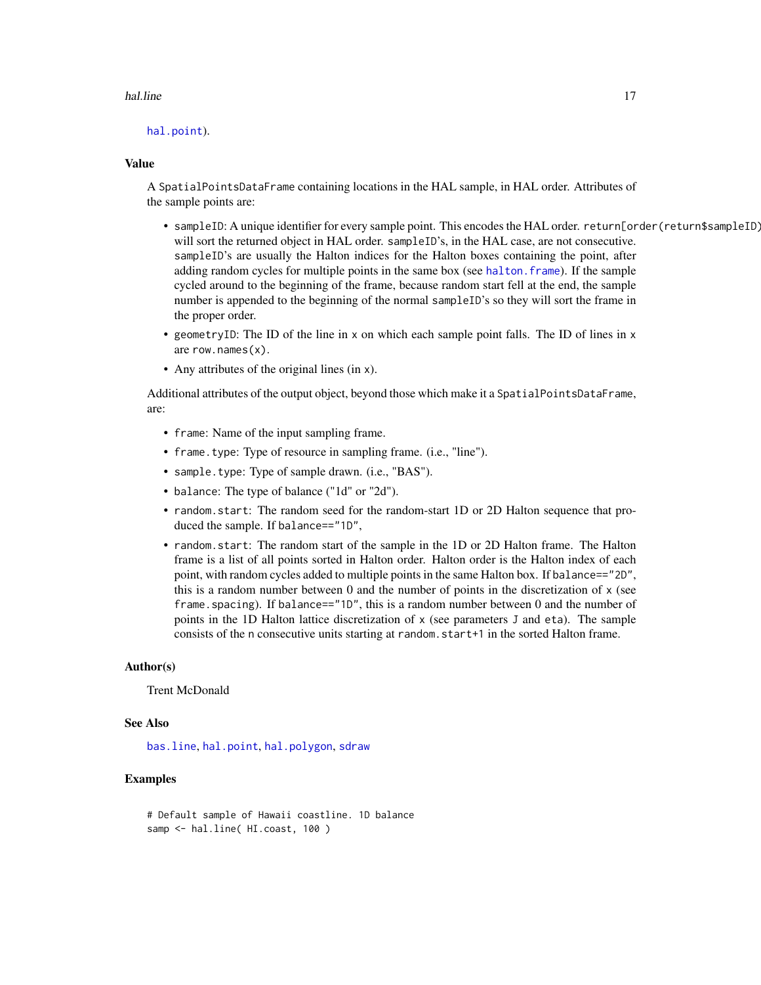#### <span id="page-16-0"></span>hal.line 17

[hal.point](#page-17-1)).

#### Value

A SpatialPointsDataFrame containing locations in the HAL sample, in HAL order. Attributes of the sample points are:

- sampleID: A unique identifier for every sample point. This encodes the HAL order. return[order(return\$sampleID) will sort the returned object in HAL order. sampleID's, in the HAL case, are not consecutive. sampleID's are usually the Halton indices for the Halton boxes containing the point, after adding random cycles for multiple points in the same box (see [halton.frame](#page-22-1)). If the sample cycled around to the beginning of the frame, because random start fell at the end, the sample number is appended to the beginning of the normal sampleID's so they will sort the frame in the proper order.
- geometryID: The ID of the line in x on which each sample point falls. The ID of lines in x are row.names(x).
- Any attributes of the original lines (in x).

Additional attributes of the output object, beyond those which make it a SpatialPointsDataFrame, are:

- frame: Name of the input sampling frame.
- frame.type: Type of resource in sampling frame. (i.e., "line").
- sample.type: Type of sample drawn. (i.e., "BAS").
- balance: The type of balance ("1d" or "2d").
- random.start: The random seed for the random-start 1D or 2D Halton sequence that produced the sample. If balance=="1D",
- random.start: The random start of the sample in the 1D or 2D Halton frame. The Halton frame is a list of all points sorted in Halton order. Halton order is the Halton index of each point, with random cycles added to multiple points in the same Halton box. If balance=="2D", this is a random number between  $0$  and the number of points in the discretization of  $x$  (see frame. spacing). If balance==" $1D$ ", this is a random number between 0 and the number of points in the 1D Halton lattice discretization of x (see parameters J and eta). The sample consists of the n consecutive units starting at random.start+1 in the sorted Halton frame.

#### Author(s)

Trent McDonald

# See Also

[bas.line](#page-3-1), [hal.point](#page-17-1), [hal.polygon](#page-19-1), [sdraw](#page-39-1)

# Examples

```
# Default sample of Hawaii coastline. 1D balance
samp <- hal.line( HI.coast, 100 )
```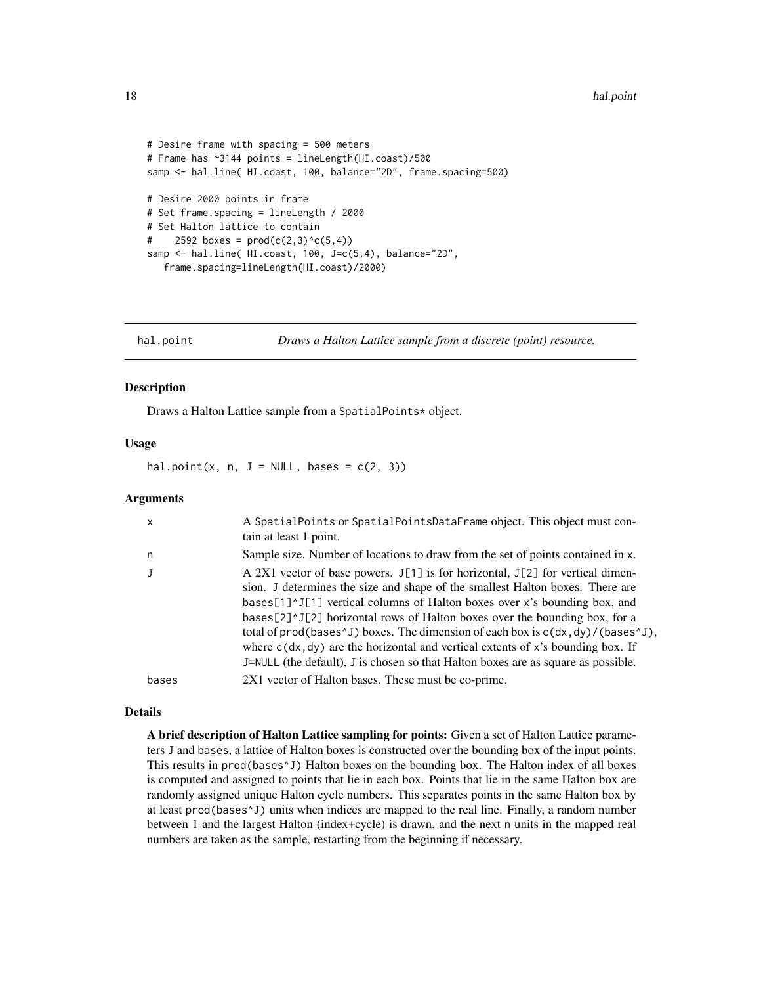```
# Desire frame with spacing = 500 meters
# Frame has ~3144 points = lineLength(HI.coast)/500
samp <- hal.line( HI.coast, 100, balance="2D", frame.spacing=500)
# Desire 2000 points in frame
# Set frame.spacing = lineLength / 2000
# Set Halton lattice to contain
# 2592 boxes = prod(c(2,3)^{c}(5,4))samp <- hal.line( HI.coast, 100, J=c(5,4), balance="2D",
   frame.spacing=lineLength(HI.coast)/2000)
```
<span id="page-17-1"></span>hal.point *Draws a Halton Lattice sample from a discrete (point) resource.*

# **Description**

Draws a Halton Lattice sample from a SpatialPoints\* object.

#### Usage

hal.point(x, n,  $J = NULL$ , bases =  $c(2, 3)$ )

# Arguments

| X     | A SpatialPoints or SpatialPointsDataFrame object. This object must con-<br>tain at least 1 point.                                                                                                                                                                                                                                                                                                                                                                                                                                                                                                                                                                |
|-------|------------------------------------------------------------------------------------------------------------------------------------------------------------------------------------------------------------------------------------------------------------------------------------------------------------------------------------------------------------------------------------------------------------------------------------------------------------------------------------------------------------------------------------------------------------------------------------------------------------------------------------------------------------------|
| n     | Sample size. Number of locations to draw from the set of points contained in x.                                                                                                                                                                                                                                                                                                                                                                                                                                                                                                                                                                                  |
|       | A 2X1 vector of base powers. $J[1]$ is for horizontal, $J[2]$ for vertical dimen-<br>sion. J determines the size and shape of the smallest Halton boxes. There are<br>bases[1] $^{\prime}$ J[1] vertical columns of Halton boxes over x's bounding box, and<br>bases[2] $\textdegree$ 1[2] horizontal rows of Halton boxes over the bounding box, for a<br>total of prod(bases <sup><math>\wedge</math>J)</sup> boxes. The dimension of each box is $c(dx, dy) / ($ bases $\wedge$ J),<br>where $c(dx, dy)$ are the horizontal and vertical extents of x's bounding box. If<br>J=NULL (the default), J is chosen so that Halton boxes are as square as possible. |
| bases | 2X1 vector of Halton bases. These must be co-prime.                                                                                                                                                                                                                                                                                                                                                                                                                                                                                                                                                                                                              |

#### Details

A brief description of Halton Lattice sampling for points: Given a set of Halton Lattice parameters J and bases, a lattice of Halton boxes is constructed over the bounding box of the input points. This results in prod(bases^J) Halton boxes on the bounding box. The Halton index of all boxes is computed and assigned to points that lie in each box. Points that lie in the same Halton box are randomly assigned unique Halton cycle numbers. This separates points in the same Halton box by at least prod(bases^J) units when indices are mapped to the real line. Finally, a random number between 1 and the largest Halton (index+cycle) is drawn, and the next n units in the mapped real numbers are taken as the sample, restarting from the beginning if necessary.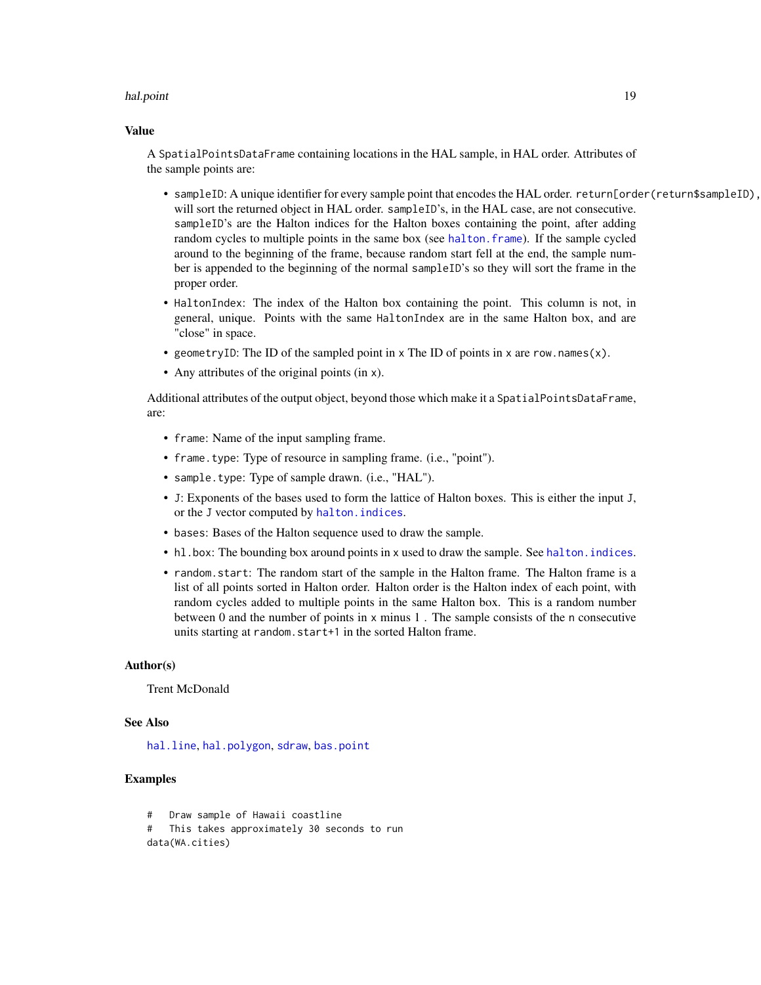#### <span id="page-18-0"></span>hal.point 19

#### Value

A SpatialPointsDataFrame containing locations in the HAL sample, in HAL order. Attributes of the sample points are:

- sampleID: A unique identifier for every sample point that encodes the HAL order. return[order(return\$sampleID), will sort the returned object in HAL order. sampleID's, in the HAL case, are not consecutive. sampleID's are the Halton indices for the Halton boxes containing the point, after adding random cycles to multiple points in the same box (see [halton.frame](#page-22-1)). If the sample cycled around to the beginning of the frame, because random start fell at the end, the sample number is appended to the beginning of the normal sampleID's so they will sort the frame in the proper order.
- HaltonIndex: The index of the Halton box containing the point. This column is not, in general, unique. Points with the same HaltonIndex are in the same Halton box, and are "close" in space.
- geometryID: The ID of the sampled point in  $x$  The ID of points in  $x$  are row.names( $x$ ).
- Any attributes of the original points (in x).

Additional attributes of the output object, beyond those which make it a SpatialPointsDataFrame, are:

- frame: Name of the input sampling frame.
- frame.type: Type of resource in sampling frame. (i.e., "point").
- sample.type: Type of sample drawn. (i.e., "HAL").
- J: Exponents of the bases used to form the lattice of Halton boxes. This is either the input J, or the J vector computed by [halton.indices](#page-24-1).
- bases: Bases of the Halton sequence used to draw the sample.
- hl.box: The bounding box around points in x used to draw the sample. See [halton.indices](#page-24-1).
- random.start: The random start of the sample in the Halton frame. The Halton frame is a list of all points sorted in Halton order. Halton order is the Halton index of each point, with random cycles added to multiple points in the same Halton box. This is a random number between 0 and the number of points in x minus 1 . The sample consists of the n consecutive units starting at random.start+1 in the sorted Halton frame.

# Author(s)

Trent McDonald

#### See Also

[hal.line](#page-14-1), [hal.polygon](#page-19-1), [sdraw](#page-39-1), [bas.point](#page-5-1)

# Examples

# Draw sample of Hawaii coastline # This takes approximately 30 seconds to run data(WA.cities)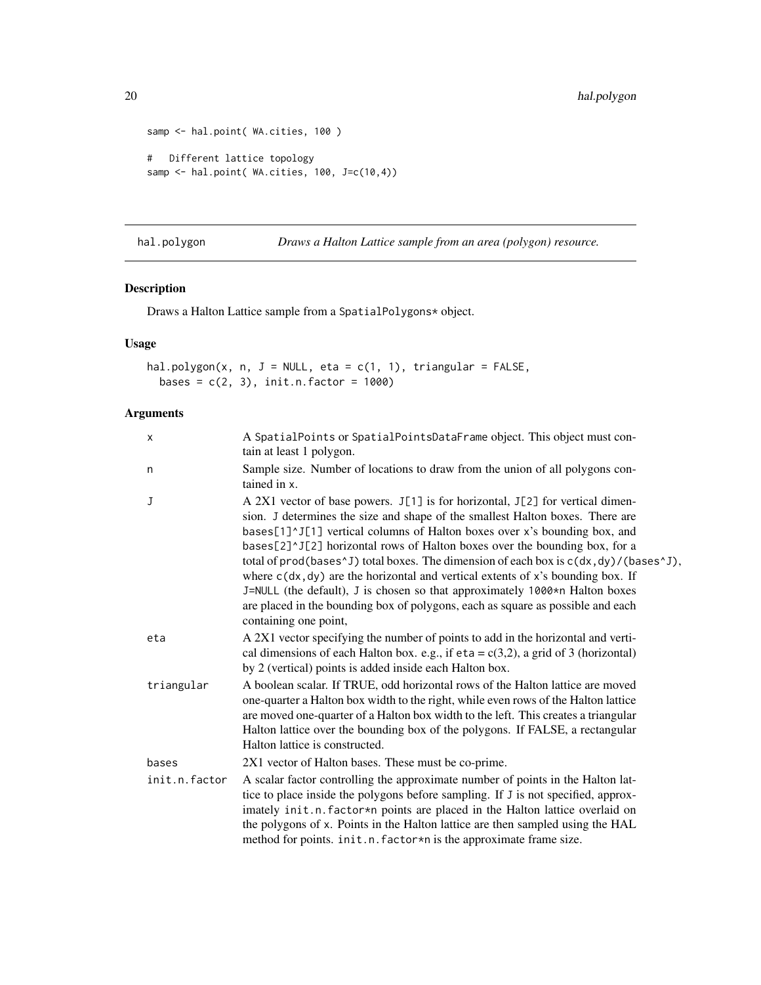```
samp <- hal.point( WA.cities, 100 )
# Different lattice topology
samp <- hal.point( WA.cities, 100, J=c(10,4))
```
<span id="page-19-1"></span>hal.polygon *Draws a Halton Lattice sample from an area (polygon) resource.*

# Description

Draws a Halton Lattice sample from a SpatialPolygons\* object.

# Usage

```
hal.polygon(x, n, J = NULL, eta = c(1, 1), triangular = FALSE,
 bases = c(2, 3), init.n.factor = 1000)
```
# Arguments

| X             | A SpatialPoints or SpatialPointsDataFrame object. This object must con-<br>tain at least 1 polygon.                                                                                                                                                                                                                                                                                                                                                                                                                                                                                                                                                                                                                       |  |
|---------------|---------------------------------------------------------------------------------------------------------------------------------------------------------------------------------------------------------------------------------------------------------------------------------------------------------------------------------------------------------------------------------------------------------------------------------------------------------------------------------------------------------------------------------------------------------------------------------------------------------------------------------------------------------------------------------------------------------------------------|--|
| n             | Sample size. Number of locations to draw from the union of all polygons con-<br>tained in x.                                                                                                                                                                                                                                                                                                                                                                                                                                                                                                                                                                                                                              |  |
| J             | A 2X1 vector of base powers. J[1] is for horizontal, J[2] for vertical dimen-<br>sion. J determines the size and shape of the smallest Halton boxes. There are<br>bases[1]^J[1] vertical columns of Halton boxes over x's bounding box, and<br>bases[2]^J[2] horizontal rows of Halton boxes over the bounding box, for a<br>total of prod(bases $\gamma$ J) total boxes. The dimension of each box is $c(dx, dy) / ($ bases $\gamma$ J),<br>where $c(dx, dy)$ are the horizontal and vertical extents of x's bounding box. If<br>J=NULL (the default), J is chosen so that approximately 1000*n Halton boxes<br>are placed in the bounding box of polygons, each as square as possible and each<br>containing one point, |  |
| eta           | A 2X1 vector specifying the number of points to add in the horizontal and verti-<br>cal dimensions of each Halton box. e.g., if $eta = c(3,2)$ , a grid of 3 (horizontal)<br>by 2 (vertical) points is added inside each Halton box.                                                                                                                                                                                                                                                                                                                                                                                                                                                                                      |  |
| triangular    | A boolean scalar. If TRUE, odd horizontal rows of the Halton lattice are moved<br>one-quarter a Halton box width to the right, while even rows of the Halton lattice<br>are moved one-quarter of a Halton box width to the left. This creates a triangular<br>Halton lattice over the bounding box of the polygons. If FALSE, a rectangular<br>Halton lattice is constructed.                                                                                                                                                                                                                                                                                                                                             |  |
| bases         | 2X1 vector of Halton bases. These must be co-prime.                                                                                                                                                                                                                                                                                                                                                                                                                                                                                                                                                                                                                                                                       |  |
| init.n.factor | A scalar factor controlling the approximate number of points in the Halton lat-<br>tice to place inside the polygons before sampling. If J is not specified, approx-<br>imately init.n.factor*n points are placed in the Halton lattice overlaid on<br>the polygons of x. Points in the Halton lattice are then sampled using the HAL<br>method for points. init.n. factor*n is the approximate frame size.                                                                                                                                                                                                                                                                                                               |  |

<span id="page-19-0"></span>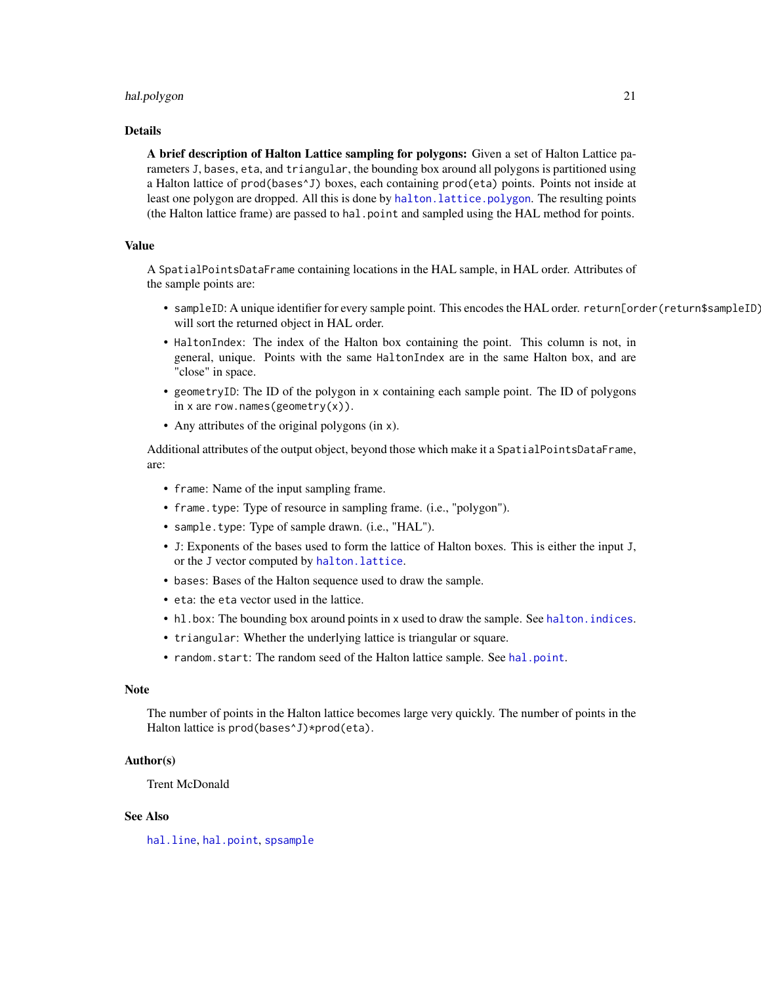# <span id="page-20-0"></span>hal.polygon 21

#### Details

A brief description of Halton Lattice sampling for polygons: Given a set of Halton Lattice parameters J, bases, eta, and triangular, the bounding box around all polygons is partitioned using a Halton lattice of prod(bases^J) boxes, each containing prod(eta) points. Points not inside at least one polygon are dropped. All this is done by [halton.lattice.polygon](#page-31-1). The resulting points (the Halton lattice frame) are passed to hal.point and sampled using the HAL method for points.

# Value

A SpatialPointsDataFrame containing locations in the HAL sample, in HAL order. Attributes of the sample points are:

- sampleID: A unique identifier for every sample point. This encodes the HAL order. return[order(return\$sampleID) will sort the returned object in HAL order.
- HaltonIndex: The index of the Halton box containing the point. This column is not, in general, unique. Points with the same HaltonIndex are in the same Halton box, and are "close" in space.
- geometryID: The ID of the polygon in x containing each sample point. The ID of polygons in x are row.names(geometry(x)).
- Any attributes of the original polygons (in x).

Additional attributes of the output object, beyond those which make it a SpatialPointsDataFrame, are:

- frame: Name of the input sampling frame.
- frame.type: Type of resource in sampling frame. (i.e., "polygon").
- sample.type: Type of sample drawn. (i.e., "HAL").
- J: Exponents of the bases used to form the lattice of Halton boxes. This is either the input J, or the J vector computed by [halton.lattice](#page-29-1).
- bases: Bases of the Halton sequence used to draw the sample.
- eta: the eta vector used in the lattice.
- hl.box: The bounding box around points in x used to draw the sample. See halton. indices.
- triangular: Whether the underlying lattice is triangular or square.
- random.start: The random seed of the Halton lattice sample. See [hal.point](#page-17-1).

# Note

The number of points in the Halton lattice becomes large very quickly. The number of points in the Halton lattice is prod(bases^J)\*prod(eta).

#### Author(s)

Trent McDonald

#### See Also

[hal.line](#page-14-1), [hal.point](#page-17-1), [spsample](#page-0-0)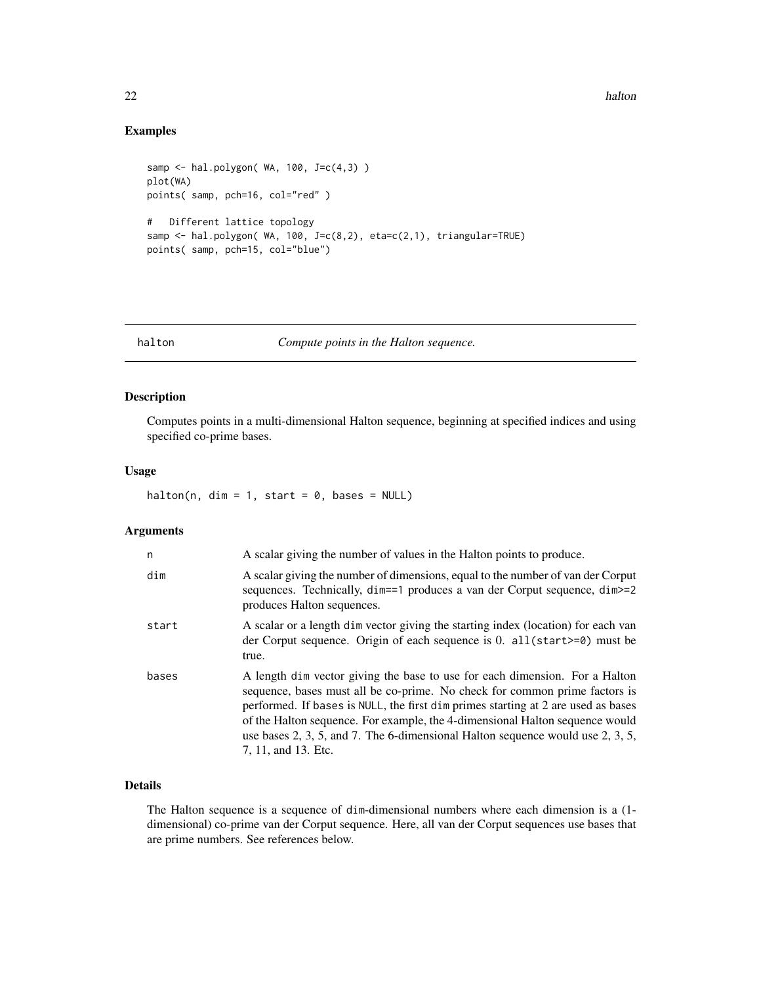# Examples

```
samp \le hal.polygon( WA, 100, J=c(4,3) )
plot(WA)
points( samp, pch=16, col="red" )
# Different lattice topology
samp <- hal.polygon( WA, 100, J=c(8,2), eta=c(2,1), triangular=TRUE)
points( samp, pch=15, col="blue")
```
halton *Compute points in the Halton sequence.*

# Description

Computes points in a multi-dimensional Halton sequence, beginning at specified indices and using specified co-prime bases.

# Usage

halton(n, dim = 1, start =  $0$ , bases = NULL)

# Arguments

| n     | A scalar giving the number of values in the Halton points to produce.                                                                                                                                                                                                                                                                                                                                                                          |  |
|-------|------------------------------------------------------------------------------------------------------------------------------------------------------------------------------------------------------------------------------------------------------------------------------------------------------------------------------------------------------------------------------------------------------------------------------------------------|--|
| dim   | A scalar giving the number of dimensions, equal to the number of van der Corput<br>sequences. Technically, dim==1 produces a van der Corput sequence, dim >=2<br>produces Halton sequences.                                                                                                                                                                                                                                                    |  |
| start | A scalar or a length dim vector giving the starting index (location) for each van<br>der Corput sequence. Origin of each sequence is 0. all(start>=0) must be<br>true.                                                                                                                                                                                                                                                                         |  |
| bases | A length dim vector giving the base to use for each dimension. For a Halton<br>sequence, bases must all be co-prime. No check for common prime factors is<br>performed. If bases is NULL, the first dim primes starting at 2 are used as bases<br>of the Halton sequence. For example, the 4-dimensional Halton sequence would<br>use bases $2, 3, 5,$ and $7$ . The 6-dimensional Halton sequence would use $2, 3, 5,$<br>7, 11, and 13. Etc. |  |

# Details

The Halton sequence is a sequence of dim-dimensional numbers where each dimension is a (1 dimensional) co-prime van der Corput sequence. Here, all van der Corput sequences use bases that are prime numbers. See references below.

<span id="page-21-0"></span>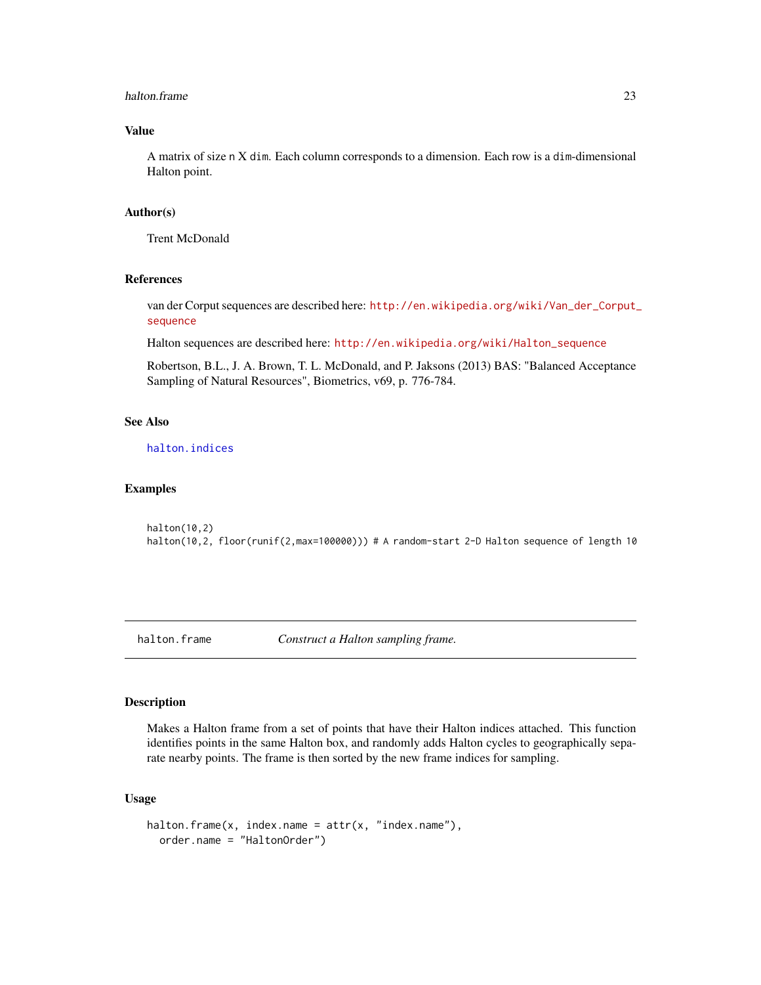#### <span id="page-22-0"></span>halton.frame 23

# Value

A matrix of size n X dim. Each column corresponds to a dimension. Each row is a dim-dimensional Halton point.

# Author(s)

Trent McDonald

# References

van der Corput sequences are described here: [http://en.wikipedia.org/wiki/Van\\_der\\_Corput\\_](http://en.wikipedia.org/wiki/Van_der_Corput_sequence) [sequence](http://en.wikipedia.org/wiki/Van_der_Corput_sequence)

Halton sequences are described here: [http://en.wikipedia.org/wiki/Halton\\_sequence](http://en.wikipedia.org/wiki/Halton_sequence)

Robertson, B.L., J. A. Brown, T. L. McDonald, and P. Jaksons (2013) BAS: "Balanced Acceptance Sampling of Natural Resources", Biometrics, v69, p. 776-784.

# See Also

[halton.indices](#page-24-1)

#### Examples

halton(10,2) halton(10,2, floor(runif(2,max=100000))) # A random-start 2-D Halton sequence of length 10

<span id="page-22-1"></span>

halton.frame *Construct a Halton sampling frame.*

#### Description

Makes a Halton frame from a set of points that have their Halton indices attached. This function identifies points in the same Halton box, and randomly adds Halton cycles to geographically separate nearby points. The frame is then sorted by the new frame indices for sampling.

# Usage

```
halton.frame(x, index.name = attr(x, "index.name"),
  order.name = "HaltonOrder")
```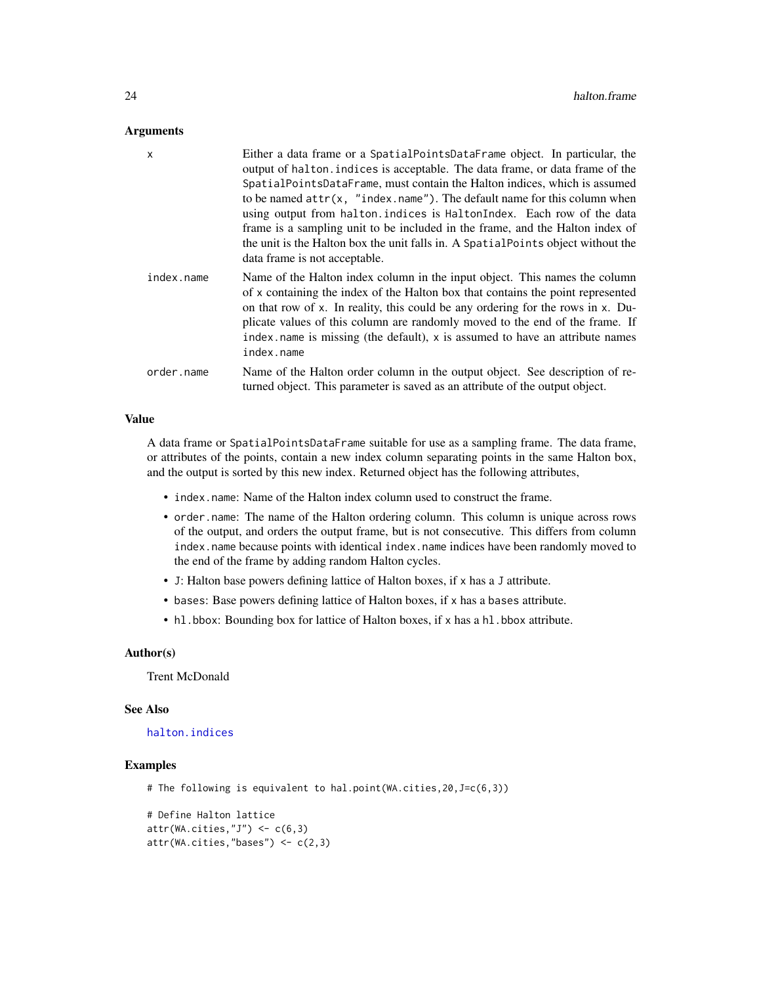#### <span id="page-23-0"></span>**Arguments**

| $\mathsf{x}$ | Either a data frame or a Spatial Points Data Frame object. In particular, the<br>output of halton. indices is acceptable. The data frame, or data frame of the<br>SpatialPointsDataFrame, must contain the Halton indices, which is assumed<br>to be named $attr(x, "index.name").$ The default name for this column when<br>using output from halton.indices is HaltonIndex. Each row of the data<br>frame is a sampling unit to be included in the frame, and the Halton index of<br>the unit is the Halton box the unit falls in. A Spatial Points object without the<br>data frame is not acceptable. |  |
|--------------|-----------------------------------------------------------------------------------------------------------------------------------------------------------------------------------------------------------------------------------------------------------------------------------------------------------------------------------------------------------------------------------------------------------------------------------------------------------------------------------------------------------------------------------------------------------------------------------------------------------|--|
| index.name   | Name of the Halton index column in the input object. This names the column<br>of x containing the index of the Halton box that contains the point represented<br>on that row of x. In reality, this could be any ordering for the rows in x. Du-<br>plicate values of this column are randomly moved to the end of the frame. If<br>index name is missing (the default), x is assumed to have an attribute names<br>index.name                                                                                                                                                                            |  |
| order.name   | Name of the Halton order column in the output object. See description of re-<br>turned object. This parameter is saved as an attribute of the output object.                                                                                                                                                                                                                                                                                                                                                                                                                                              |  |

#### Value

A data frame or SpatialPointsDataFrame suitable for use as a sampling frame. The data frame, or attributes of the points, contain a new index column separating points in the same Halton box, and the output is sorted by this new index. Returned object has the following attributes,

- index.name: Name of the Halton index column used to construct the frame.
- order.name: The name of the Halton ordering column. This column is unique across rows of the output, and orders the output frame, but is not consecutive. This differs from column index.name because points with identical index.name indices have been randomly moved to the end of the frame by adding random Halton cycles.
- J: Halton base powers defining lattice of Halton boxes, if x has a J attribute.
- bases: Base powers defining lattice of Halton boxes, if x has a bases attribute.
- hl.bbox: Bounding box for lattice of Halton boxes, if x has a hl.bbox attribute.

#### Author(s)

Trent McDonald

#### See Also

[halton.indices](#page-24-1)

# Examples

# The following is equivalent to hal.point(WA.cities,20,J=c(6,3))

```
# Define Halton lattice
attr(WA.cities,"J") \leq c(6,3)
attr(WA.cities,"bases") <- c(2,3)
```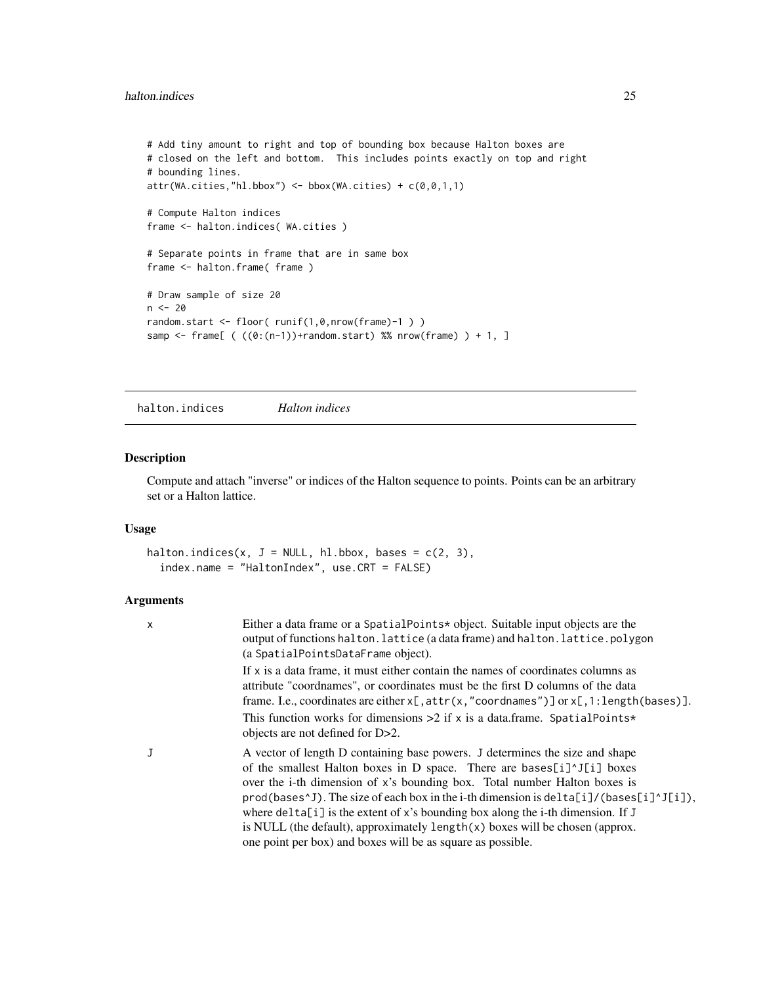# <span id="page-24-0"></span>halton.indices 25

```
# Add tiny amount to right and top of bounding box because Halton boxes are
# closed on the left and bottom. This includes points exactly on top and right
# bounding lines.
attr(WA.cities, "h1.bbox") < - bbox(WA.cities) + c(0,0,1,1)# Compute Halton indices
frame <- halton.indices( WA.cities )
# Separate points in frame that are in same box
frame <- halton.frame(frame)
# Draw sample of size 20
n < - 20random.start <- floor( runif(1,0,nrow(frame)-1 ) )
samp <- frame[ ( ((0:(n-1))+random.start) %% nrow(frame) ) + 1, ]
```
<span id="page-24-1"></span>halton.indices *Halton indices*

# Description

Compute and attach "inverse" or indices of the Halton sequence to points. Points can be an arbitrary set or a Halton lattice.

# Usage

```
halton.indices(x, J = NULL, hl.bbox, bases = c(2, 3),
  index.name = "HaltonIndex", use.CRT = FALSE)
```
# Arguments

| Either a data frame or a Spatial Points* object. Suitable input objects are the<br>output of functions halton. lattice (a data frame) and halton. lattice. polygon<br>(a SpatialPointsDataFrame object).                                                                                                                                                                                                                                                                                                                                                                              |
|---------------------------------------------------------------------------------------------------------------------------------------------------------------------------------------------------------------------------------------------------------------------------------------------------------------------------------------------------------------------------------------------------------------------------------------------------------------------------------------------------------------------------------------------------------------------------------------|
| If x is a data frame, it must either contain the names of coordinates columns as<br>attribute "coordnames", or coordinates must be the first D columns of the data<br>frame. I.e., coordinates are either $x$ [, attr(x, "coordnames")] or $x$ [, 1: length(bases)].<br>This function works for dimensions $>2$ if x is a data frame. Spatial Points*<br>objects are not defined for D>2.                                                                                                                                                                                             |
| A vector of length D containing base powers. J determines the size and shape<br>of the smallest Halton boxes in D space. There are bases[i]^J[i] boxes<br>over the i-th dimension of x's bounding box. Total number Halton boxes is<br>$\text{prod}(\text{bases'}), \text{The size of each box in the i-th dimension is delta[i]/(bases[i]']}.$<br>where $delta[i]$ is the extent of x's bounding box along the i-th dimension. If J<br>is NULL (the default), approximately $length(x)$ boxes will be chosen (approx.<br>one point per box) and boxes will be as square as possible. |
|                                                                                                                                                                                                                                                                                                                                                                                                                                                                                                                                                                                       |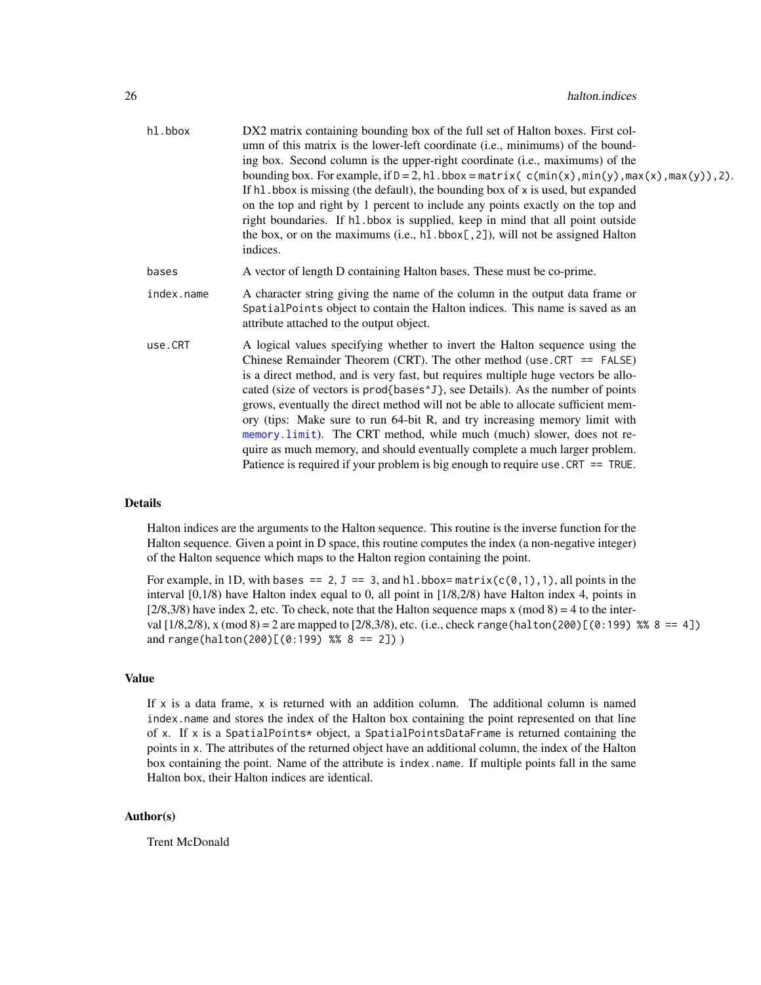<span id="page-25-0"></span>

| hl.bbox    | DX2 matrix containing bounding box of the full set of Halton boxes. First col-<br>umn of this matrix is the lower-left coordinate (i.e., minimums) of the bound-<br>ing box. Second column is the upper-right coordinate (i.e., maximums) of the<br>bounding box. For example, if $D = 2$ , h1. bbox = matrix( $c(min(x), min(y), max(x), max(y))$ , 2).<br>If h1. bbox is missing (the default), the bounding box of x is used, but expanded<br>on the top and right by 1 percent to include any points exactly on the top and<br>right boundaries. If h1.bbox is supplied, keep in mind that all point outside<br>the box, or on the maximums (i.e., $h1.bbox[,2])$ , will not be assigned Halton<br>indices.                               |  |  |
|------------|-----------------------------------------------------------------------------------------------------------------------------------------------------------------------------------------------------------------------------------------------------------------------------------------------------------------------------------------------------------------------------------------------------------------------------------------------------------------------------------------------------------------------------------------------------------------------------------------------------------------------------------------------------------------------------------------------------------------------------------------------|--|--|
| bases      | A vector of length D containing Halton bases. These must be co-prime.                                                                                                                                                                                                                                                                                                                                                                                                                                                                                                                                                                                                                                                                         |  |  |
| index.name | A character string giving the name of the column in the output data frame or<br>SpatialPoints object to contain the Halton indices. This name is saved as an<br>attribute attached to the output object.                                                                                                                                                                                                                                                                                                                                                                                                                                                                                                                                      |  |  |
| use.CRT    | A logical values specifying whether to invert the Halton sequence using the<br>Chinese Remainder Theorem (CRT). The other method (use $CRT = = FALSE$ )<br>is a direct method, and is very fast, but requires multiple huge vectors be allo-<br>cated (size of vectors is prod{bases^J}, see Details). As the number of points<br>grows, eventually the direct method will not be able to allocate sufficient mem-<br>ory (tips: Make sure to run 64-bit R, and try increasing memory limit with<br>memory limit). The CRT method, while much (much) slower, does not re-<br>quire as much memory, and should eventually complete a much larger problem.<br>Patience is required if your problem is big enough to require use. $CRT = TRUE$ . |  |  |

# Details

Halton indices are the arguments to the Halton sequence. This routine is the inverse function for the Halton sequence. Given a point in D space, this routine computes the index (a non-negative integer) of the Halton sequence which maps to the Halton region containing the point.

For example, in 1D, with bases == 2, J == 3, and hl.bbox= $matrix(c(0,1),1)$ , all points in the interval [0,1/8) have Halton index equal to 0, all point in [1/8,2/8) have Halton index 4, points in  $[2/8,3/8)$  have index 2, etc. To check, note that the Halton sequence maps x (mod 8) = 4 to the interval  $[1/8,2/8)$ , x (mod  $8$ ) = 2 are mapped to  $[2/8,3/8)$ , etc. (i.e., check range(halton(200) $[(0:199)$  %% 8 == 4]) and range(halton(200)[(0:199) %% 8 == 2]))

# Value

If  $x$  is a data frame,  $x$  is returned with an addition column. The additional column is named index.name and stores the index of the Halton box containing the point represented on that line of x. If x is a SpatialPoints\* object, a SpatialPointsDataFrame is returned containing the points in x. The attributes of the returned object have an additional column, the index of the Halton box containing the point. Name of the attribute is index.name. If multiple points fall in the same Halton box, their Halton indices are identical.

# Author(s)

Trent McDonald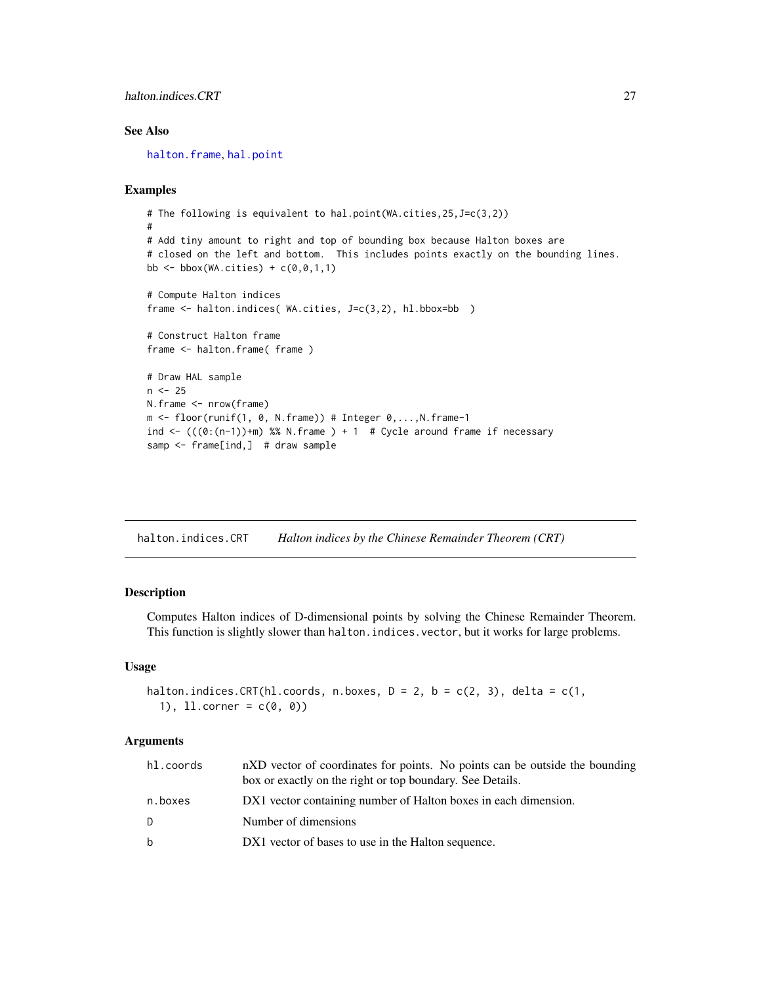# <span id="page-26-0"></span>halton.indices.CRT 27

# See Also

[halton.frame](#page-22-1), [hal.point](#page-17-1)

# Examples

```
# The following is equivalent to hal.point(WA.cities,25,J=c(3,2))
#
# Add tiny amount to right and top of bounding box because Halton boxes are
# closed on the left and bottom. This includes points exactly on the bounding lines.
bb \leq bbox(WA.cities) + c(0,0,1,1)
# Compute Halton indices
frame <- halton.indices( WA.cities, J=c(3,2), hl.bbox=bb )
# Construct Halton frame
frame <- halton.frame(frame)
# Draw HAL sample
n < -25N.frame <- nrow(frame)
m <- floor(runif(1, 0, N.frame)) # Integer 0,...,N.frame-1
ind <- (((0:(n-1)) + m) %% N.frame ) + 1 # Cycle around frame if necessary
samp <- frame[ind,] # draw sample
```
<span id="page-26-1"></span>halton.indices.CRT *Halton indices by the Chinese Remainder Theorem (CRT)*

# Description

Computes Halton indices of D-dimensional points by solving the Chinese Remainder Theorem. This function is slightly slower than halton.indices.vector, but it works for large problems.

#### Usage

```
halton.indices.CRT(hl.coords, n.boxes, D = 2, b = c(2, 3), delta = c(1,
  1), 11.corner = c(0, 0)
```
#### Arguments

| hl.coords | nXD vector of coordinates for points. No points can be outside the bounding<br>box or exactly on the right or top boundary. See Details. |  |
|-----------|------------------------------------------------------------------------------------------------------------------------------------------|--|
| n.boxes   | DX1 vector containing number of Halton boxes in each dimension.                                                                          |  |
| D.        | Number of dimensions                                                                                                                     |  |
| b         | DX1 vector of bases to use in the Halton sequence.                                                                                       |  |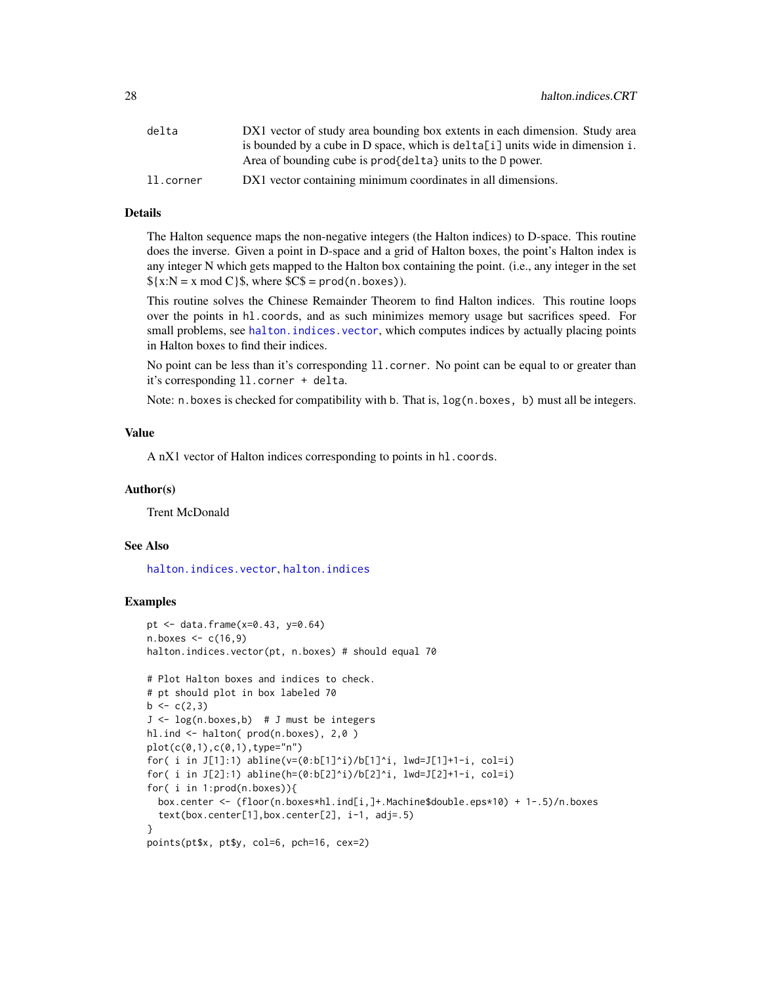<span id="page-27-0"></span>

| delta     | DX1 vector of study area bounding box extents in each dimension. Study area   |
|-----------|-------------------------------------------------------------------------------|
|           | is bounded by a cube in D space, which is delta[i] units wide in dimension i. |
|           | Area of bounding cube is prod{delta} units to the D power.                    |
| ll.corner | DX1 vector containing minimum coordinates in all dimensions.                  |

# Details

The Halton sequence maps the non-negative integers (the Halton indices) to D-space. This routine does the inverse. Given a point in D-space and a grid of Halton boxes, the point's Halton index is any integer N which gets mapped to the Halton box containing the point. (i.e., any integer in the set  $\{(x:N) = x \mod C\}$ , where  $CC\$  = prod(n.boxes)).

This routine solves the Chinese Remainder Theorem to find Halton indices. This routine loops over the points in hl.coords, and as such minimizes memory usage but sacrifices speed. For small problems, see halton. indices. vector, which computes indices by actually placing points in Halton boxes to find their indices.

No point can be less than it's corresponding ll.corner. No point can be equal to or greater than it's corresponding ll.corner + delta.

Note: n.boxes is checked for compatibility with b. That is, log(n.boxes, b) must all be integers.

# Value

A nX1 vector of Halton indices corresponding to points in hl.coords.

#### Author(s)

Trent McDonald

#### See Also

[halton.indices.vector](#page-28-1), [halton.indices](#page-24-1)

# Examples

```
pt <- data.frame(x=0.43, y=0.64)
n.boxes < -c(16,9)halton.indices.vector(pt, n.boxes) # should equal 70
# Plot Halton boxes and indices to check.
# pt should plot in box labeled 70
b \leftarrow c(2,3)J \leftarrow \log(n \cdot \text{boxes}, b) # J must be integers
hl.ind <- halton( prod(n.boxes), 2,0 )
plot(c(0,1),c(0,1),type="n")for( i in J[1]:1) abline(v=(0:b[1]^i)/b[1]^i, lwd=J[1]+1-i, col=i)
for( i in J[2]:1) abline(h=(0:b[2]^i)/b[2]^i, lwd=J[2]+1-i, col=i)
for( i in 1:prod(n.boxes)){
  box.center <- (floor(n.boxes*hl.ind[i,]+.Machine$double.eps*10) + 1-.5)/n.boxes
  text(box.center[1],box.center[2], i-1, adj=.5)
}
points(pt$x, pt$y, col=6, pch=16, cex=2)
```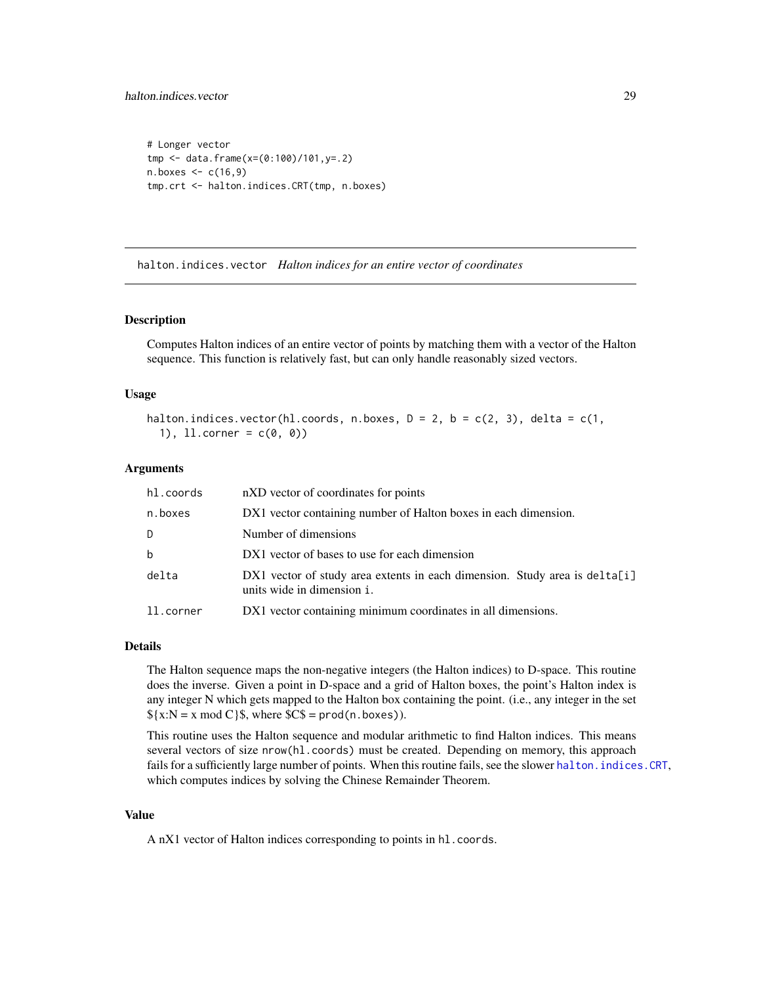# <span id="page-28-0"></span>halton.indices.vector 29

```
# Longer vector
tmp <- data.frame(x=(0:100)/101,y=.2)
n.boxes < -c(16, 9)tmp.crt <- halton.indices.CRT(tmp, n.boxes)
```
<span id="page-28-1"></span>halton.indices.vector *Halton indices for an entire vector of coordinates*

#### Description

Computes Halton indices of an entire vector of points by matching them with a vector of the Halton sequence. This function is relatively fast, but can only handle reasonably sized vectors.

# Usage

```
halton.indices.vector(hl.coords, n.boxes, D = 2, b = c(2, 3), delta = c(1,
  1), 11.corner = c(0, 0)
```
# Arguments

| hl.coords   | nXD vector of coordinates for points                                                                     |  |
|-------------|----------------------------------------------------------------------------------------------------------|--|
| n.boxes     | DX1 vector containing number of Halton boxes in each dimension.                                          |  |
| D           | Number of dimensions                                                                                     |  |
| $\mathbf b$ | DX1 vector of bases to use for each dimension                                                            |  |
| delta       | DX1 vector of study area extents in each dimension. Study area is delta[i]<br>units wide in dimension i. |  |
| ll.corner   | DX1 vector containing minimum coordinates in all dimensions.                                             |  |

#### Details

The Halton sequence maps the non-negative integers (the Halton indices) to D-space. This routine does the inverse. Given a point in D-space and a grid of Halton boxes, the point's Halton index is any integer N which gets mapped to the Halton box containing the point. (i.e., any integer in the set  $\{(x:N = x \mod C)\}\$ , where  $SC\$  = prod(n.boxes)).

This routine uses the Halton sequence and modular arithmetic to find Halton indices. This means several vectors of size nrow(hl.coords) must be created. Depending on memory, this approach fails for a sufficiently large number of points. When this routine fails, see the slower [halton.indices.CRT](#page-26-1), which computes indices by solving the Chinese Remainder Theorem.

# Value

A nX1 vector of Halton indices corresponding to points in hl.coords.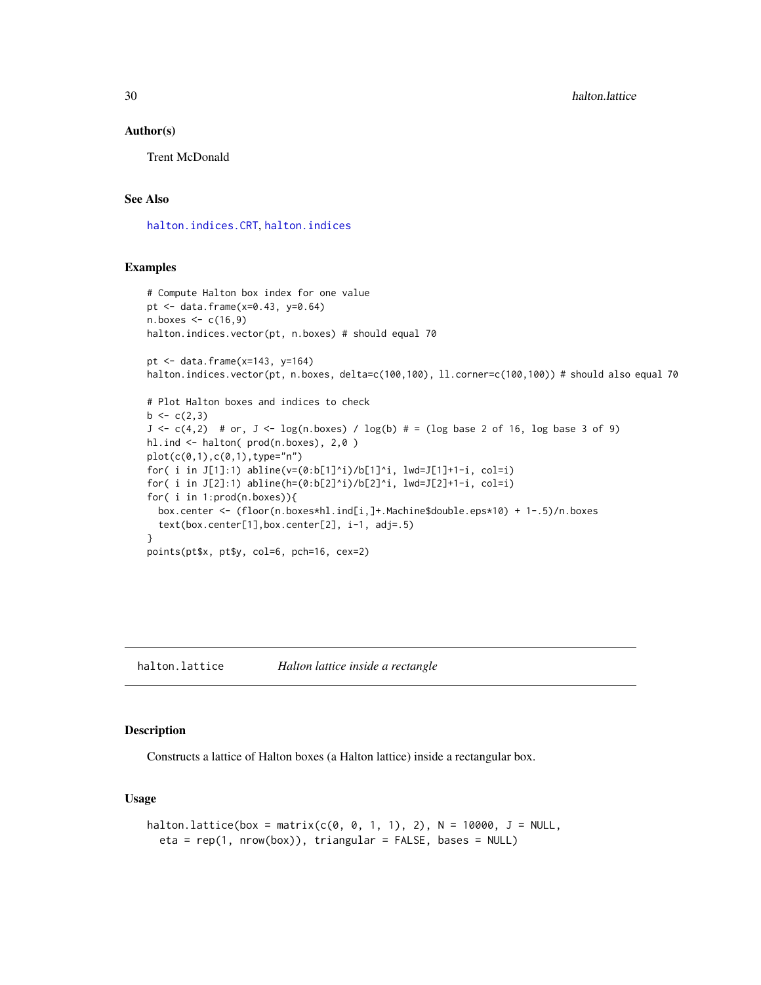30 halton.lattice

#### Author(s)

Trent McDonald

# See Also

[halton.indices.CRT](#page-26-1), [halton.indices](#page-24-1)

# Examples

```
# Compute Halton box index for one value
pt <- data.frame(x=0.43, y=0.64)
n.boxes <- c(16,9)
halton.indices.vector(pt, n.boxes) # should equal 70
pt \le data.frame(x=143, y=164)
halton.indices.vector(pt, n.boxes, delta=c(100,100), ll.corner=c(100,100)) # should also equal 70
# Plot Halton boxes and indices to check
b \leftarrow c(2,3)J \leq -c(4,2) # or, J \leq -\log(n \cdot \text{boxes}) / \log(b) # = (log base 2 of 16, log base 3 of 9)
hl.ind <- halton( prod(n.boxes), 2,0 )
plot(c(0,1),c(0,1),type="n")for( i in J[1]:1) abline(v=(0:b[1]^i)/b[1]^i, lwd=J[1]+1-i, col=i)
for( i in J[2]:1) abline(h=(0:b[2]^i)/b[2]^i, lwd=J[2]+1-i, col=i)
for( i in 1:prod(n.boxes)){
  box.center <- (floor(n.boxes*hl.ind[i,]+.Machine$double.eps*10) + 1-.5)/n.boxes
  text(box.center[1],box.center[2], i-1, adj=.5)
}
points(pt$x, pt$y, col=6, pch=16, cex=2)
```
<span id="page-29-1"></span>halton.lattice *Halton lattice inside a rectangle*

#### Description

Constructs a lattice of Halton boxes (a Halton lattice) inside a rectangular box.

# Usage

```
halton.lattice(box = matrix(c(0, 0, 1, 1), 2), N = 10000, J = NULL,
  eta = rep(1, nrow(box)), triangular = FALSE, bases = NULL)
```
<span id="page-29-0"></span>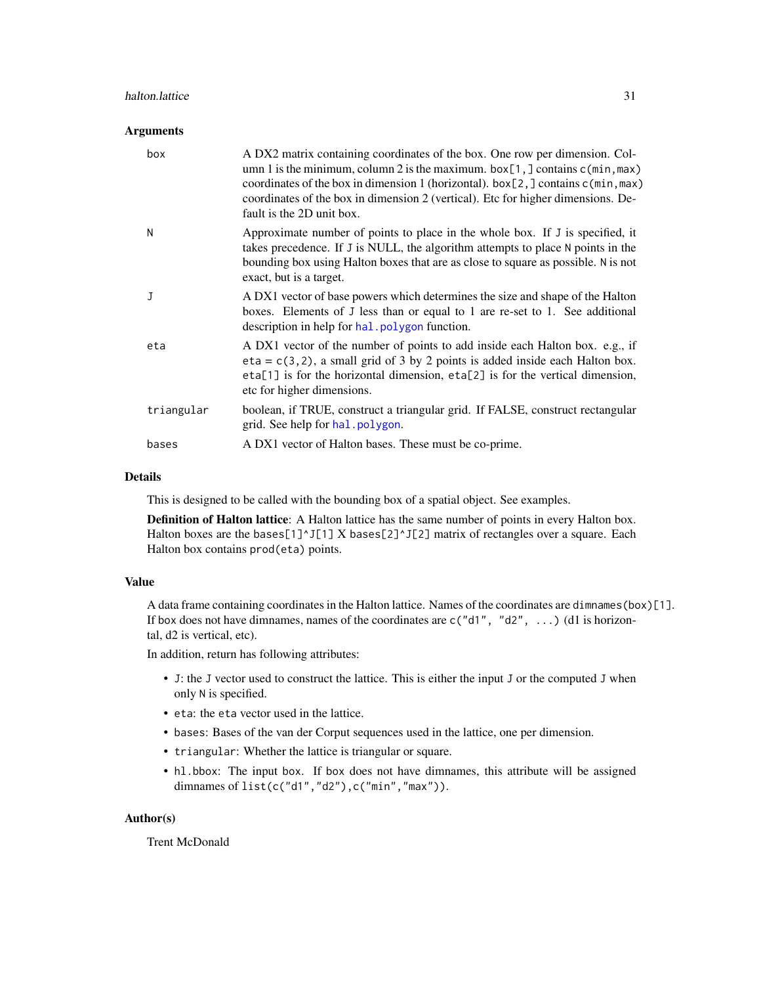#### <span id="page-30-0"></span>halton.lattice 31

#### **Arguments**

| box        | A DX2 matrix containing coordinates of the box. One row per dimension. Col-<br>umn 1 is the minimum, column 2 is the maximum. $box[1, ] contains c(min, max)$<br>coordinates of the box in dimension 1 (horizontal). $box[2, ] contains c(min, max)$<br>coordinates of the box in dimension 2 (vertical). Etc for higher dimensions. De-<br>fault is the 2D unit box. |
|------------|-----------------------------------------------------------------------------------------------------------------------------------------------------------------------------------------------------------------------------------------------------------------------------------------------------------------------------------------------------------------------|
| N          | Approximate number of points to place in the whole box. If J is specified, it<br>takes precedence. If J is NULL, the algorithm attempts to place N points in the<br>bounding box using Halton boxes that are as close to square as possible. N is not<br>exact, but is a target.                                                                                      |
| J          | A DX1 vector of base powers which determines the size and shape of the Halton<br>boxes. Elements of J less than or equal to 1 are re-set to 1. See additional<br>description in help for hal. polygon function.                                                                                                                                                       |
| eta        | A DX1 vector of the number of points to add inside each Halton box. e.g., if<br>$eta = c(3, 2)$ , a small grid of 3 by 2 points is added inside each Halton box.<br>eta[1] is for the horizontal dimension, eta[2] is for the vertical dimension,<br>etc for higher dimensions.                                                                                       |
| triangular | boolean, if TRUE, construct a triangular grid. If FALSE, construct rectangular<br>grid. See help for hal. polygon.                                                                                                                                                                                                                                                    |
| bases      | A DX1 vector of Halton bases. These must be co-prime.                                                                                                                                                                                                                                                                                                                 |

# Details

This is designed to be called with the bounding box of a spatial object. See examples.

Definition of Halton lattice: A Halton lattice has the same number of points in every Halton box. Halton boxes are the bases[1]^J[1] X bases[2]^J[2] matrix of rectangles over a square. Each Halton box contains prod(eta) points.

# Value

A data frame containing coordinates in the Halton lattice. Names of the coordinates are dimnames(box)[1]. If box does not have dimnames, names of the coordinates are  $c("d1", "d2", ...)$  (d1 is horizontal, d2 is vertical, etc).

In addition, return has following attributes:

- J: the J vector used to construct the lattice. This is either the input J or the computed J when only N is specified.
- eta: the eta vector used in the lattice.
- bases: Bases of the van der Corput sequences used in the lattice, one per dimension.
- triangular: Whether the lattice is triangular or square.
- hl.bbox: The input box. If box does not have dimnames, this attribute will be assigned dimnames of list(c("d1","d2"),c("min","max")).

# Author(s)

Trent McDonald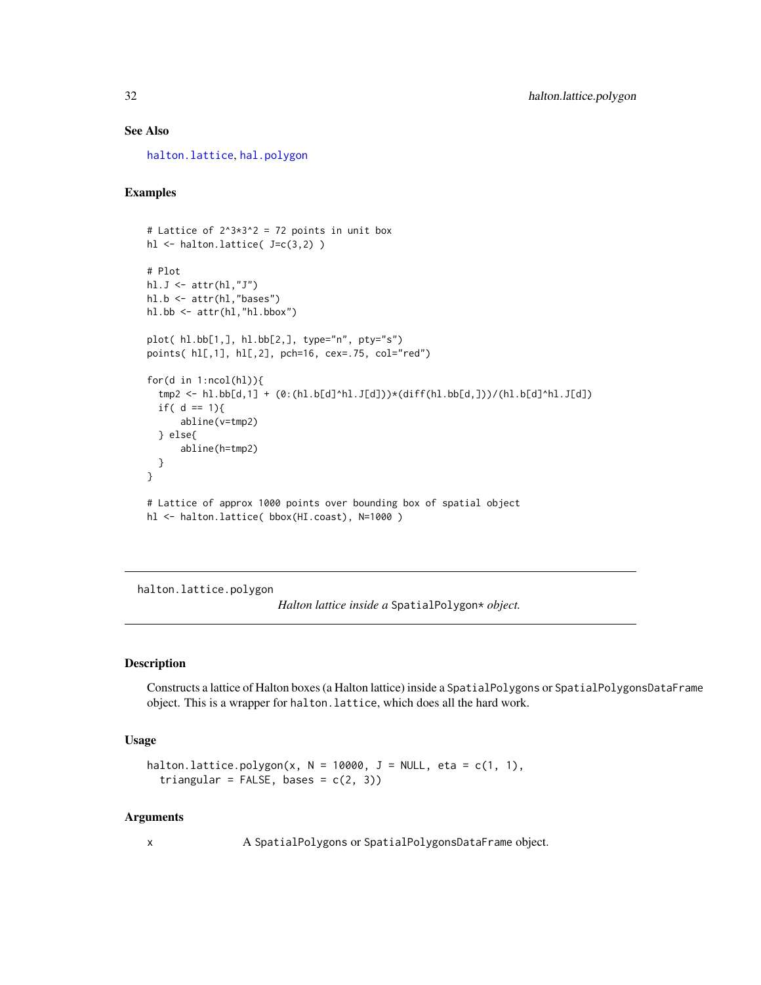# <span id="page-31-0"></span>See Also

[halton.lattice](#page-29-1), [hal.polygon](#page-19-1)

# Examples

```
# Lattice of 2^3 \times 3^2 = 72 points in unit box
hl <- halton.lattice( J=c(3,2) )
# Plot
hl.J \leftarrow \text{attr(hl, "J")}hl.b <- attr(hl,"bases")
hl.bb <- attr(hl,"hl.bbox")
plot( hl.bb[1,], hl.bb[2,], type="n", pty="s")
points( hl[,1], hl[,2], pch=16, cex=.75, col="red")
for(d in 1:ncol(hl)){
  tmp2 < - h1.b[d,1] + (0:(h1.b[d]^h1.J[d]))*(diff(h1.bb[d,]))/(h1.b[d]^h1.J[d])if( d == 1){
      abline(v=tmp2)
  } else{
      abline(h=tmp2)
  }
}
# Lattice of approx 1000 points over bounding box of spatial object
hl <- halton.lattice( bbox(HI.coast), N=1000 )
```
<span id="page-31-1"></span>halton.lattice.polygon

*Halton lattice inside a* SpatialPolygon\* *object.*

# **Description**

Constructs a lattice of Halton boxes (a Halton lattice) inside a SpatialPolygons or SpatialPolygonsDataFrame object. This is a wrapper for halton.lattice, which does all the hard work.

# Usage

```
halton.lattice.polygon(x, N = 10000, J = NULL, eta = c(1, 1),
  triangular = FALSE, bases = c(2, 3))
```
#### Arguments

x A SpatialPolygons or SpatialPolygonsDataFrame object.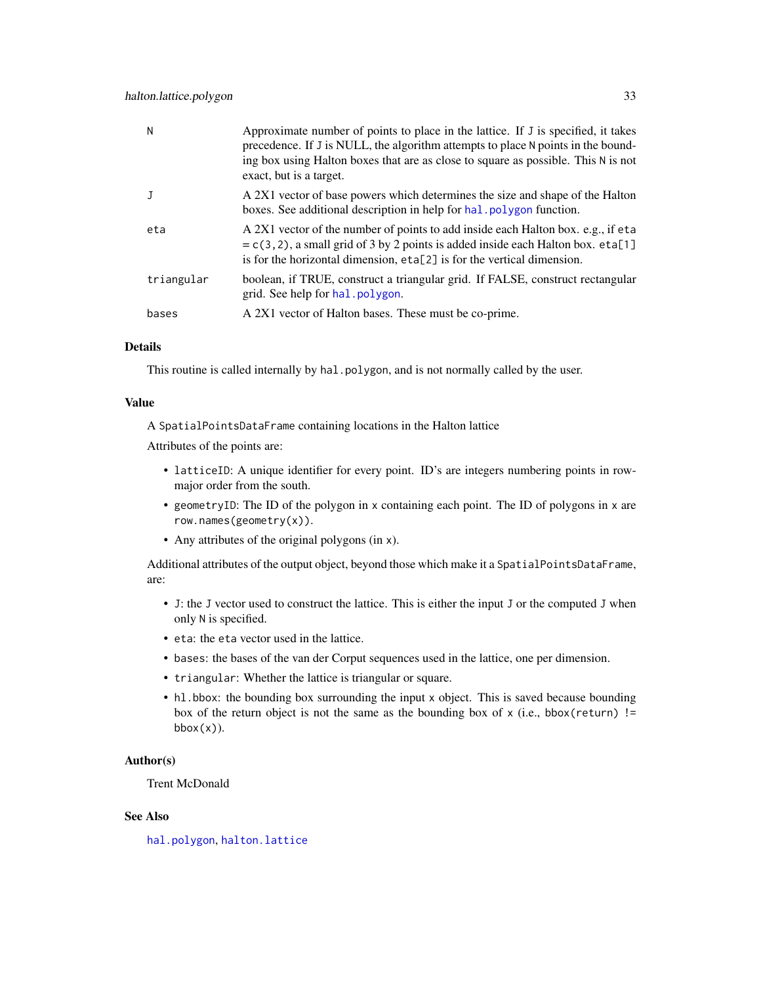<span id="page-32-0"></span>

| N          | Approximate number of points to place in the lattice. If J is specified, it takes<br>precedence. If J is NULL, the algorithm attempts to place N points in the bound-<br>ing box using Halton boxes that are as close to square as possible. This N is not<br>exact, but is a target. |
|------------|---------------------------------------------------------------------------------------------------------------------------------------------------------------------------------------------------------------------------------------------------------------------------------------|
|            | A 2X1 vector of base powers which determines the size and shape of the Halton<br>boxes. See additional description in help for hal. polygon function.                                                                                                                                 |
| eta        | A 2X1 vector of the number of points to add inside each Halton box. e.g., if eta<br>$= c(3, 2)$ , a small grid of 3 by 2 points is added inside each Halton box. eta[1]<br>is for the horizontal dimension, eta[2] is for the vertical dimension.                                     |
| triangular | boolean, if TRUE, construct a triangular grid. If FALSE, construct rectangular<br>grid. See help for hal. polygon.                                                                                                                                                                    |
| bases      | A 2X1 vector of Halton bases. These must be co-prime.                                                                                                                                                                                                                                 |

#### Details

This routine is called internally by hal.polygon, and is not normally called by the user.

# Value

A SpatialPointsDataFrame containing locations in the Halton lattice

Attributes of the points are:

- latticeID: A unique identifier for every point. ID's are integers numbering points in rowmajor order from the south.
- geometryID: The ID of the polygon in x containing each point. The ID of polygons in x are row.names(geometry(x)).
- Any attributes of the original polygons (in x).

Additional attributes of the output object, beyond those which make it a SpatialPointsDataFrame, are:

- J: the J vector used to construct the lattice. This is either the input J or the computed J when only N is specified.
- eta: the eta vector used in the lattice.
- bases: the bases of the van der Corput sequences used in the lattice, one per dimension.
- triangular: Whether the lattice is triangular or square.
- hl.bbox: the bounding box surrounding the input x object. This is saved because bounding box of the return object is not the same as the bounding box of  $x$  (i.e., bbox(return) !=  $bbox(x)$ ).

# Author(s)

Trent McDonald

# See Also

[hal.polygon](#page-19-1), [halton.lattice](#page-29-1)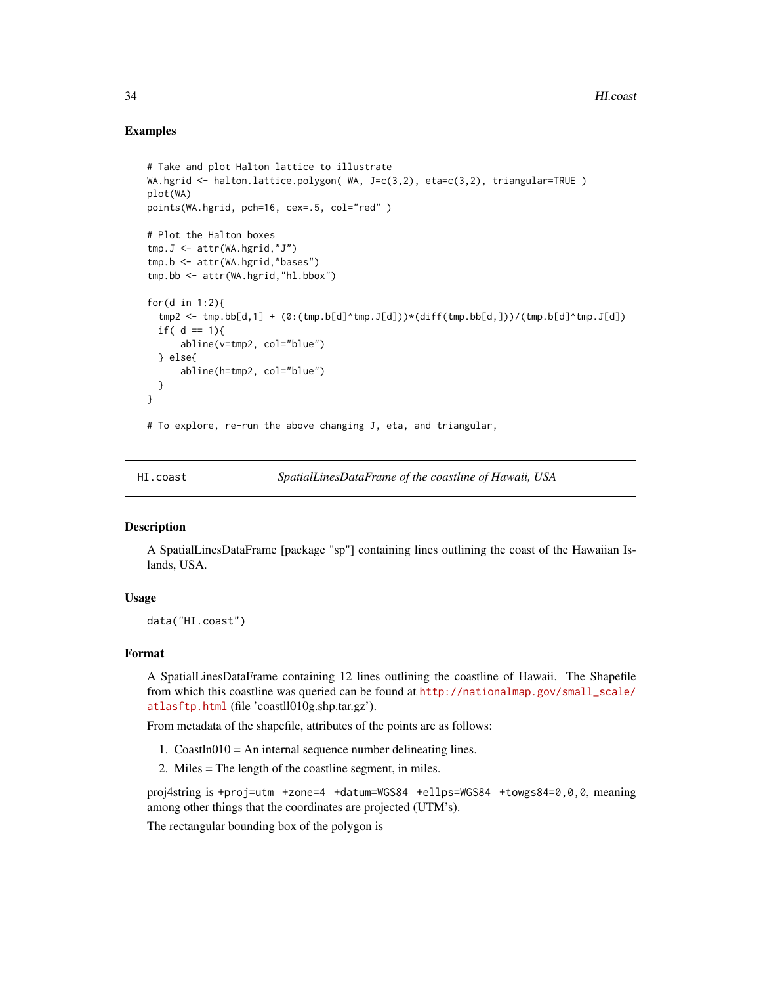# Examples

```
# Take and plot Halton lattice to illustrate
WA.hgrid <- halton.lattice.polygon( WA, J=c(3,2), eta=c(3,2), triangular=TRUE )
plot(WA)
points(WA.hgrid, pch=16, cex=.5, col="red" )
# Plot the Halton boxes
tmp.J <- attr(WA.hgrid,"J")
tmp.b <- attr(WA.hgrid,"bases")
tmp.bb <- attr(WA.hgrid,"hl.bbox")
for(d in 1:2){
  tmp2 <- tmp.bb[d,1] + (0:(tmp.b[d])\star tmp.J[d])\star(dtff(tmp.bb[d,]))/(tmp.b[d]^\startmp.J[d])if( d == 1){
      abline(v=tmp2, col="blue")
  } else{
      abline(h=tmp2, col="blue")
  }
}
# To explore, re-run the above changing J, eta, and triangular,
```
HI.coast *SpatialLinesDataFrame of the coastline of Hawaii, USA*

# Description

A SpatialLinesDataFrame [package "sp"] containing lines outlining the coast of the Hawaiian Islands, USA.

# Usage

data("HI.coast")

#### Format

A SpatialLinesDataFrame containing 12 lines outlining the coastline of Hawaii. The Shapefile from which this coastline was queried can be found at [http://nationalmap.gov/small\\_scale/](http://nationalmap.gov/small_scale/atlasftp.html) [atlasftp.html](http://nationalmap.gov/small_scale/atlasftp.html) (file 'coastll010g.shp.tar.gz').

From metadata of the shapefile, attributes of the points are as follows:

- 1.  $\text{CoastIn010} = \text{An internal sequence number}$  delineating lines.
- 2. Miles = The length of the coastline segment, in miles.

proj4string is +proj=utm +zone=4 +datum=WGS84 +ellps=WGS84 +towgs84=0,0,0, meaning among other things that the coordinates are projected (UTM's).

The rectangular bounding box of the polygon is

<span id="page-33-0"></span>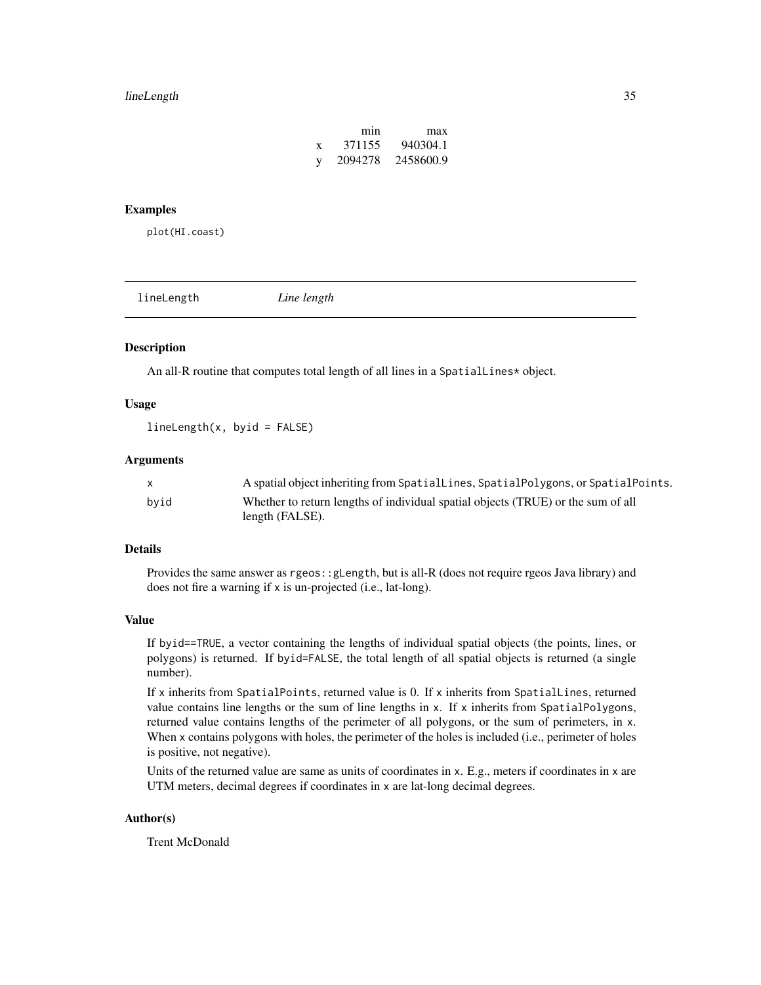#### <span id="page-34-0"></span>lineLength 35

|   | mın     | max       |
|---|---------|-----------|
| X | 371155  | 940304.1  |
| y | 2094278 | 2458600.9 |

# Examples

plot(HI.coast)

lineLength *Line length*

# Description

An all-R routine that computes total length of all lines in a SpatialLines\* object.

#### Usage

 $lineLength(x, byid = FALSE)$ 

# Arguments

|      | A spatial object inheriting from SpatialLines, SpatialPolygons, or SpatialPoints. |
|------|-----------------------------------------------------------------------------------|
| bvid | Whether to return lengths of individual spatial objects (TRUE) or the sum of all  |
|      | length (FALSE).                                                                   |

# Details

Provides the same answer as rgeos::gLength, but is all-R (does not require rgeos Java library) and does not fire a warning if x is un-projected (i.e., lat-long).

#### Value

If byid==TRUE, a vector containing the lengths of individual spatial objects (the points, lines, or polygons) is returned. If byid=FALSE, the total length of all spatial objects is returned (a single number).

If x inherits from SpatialPoints, returned value is 0. If x inherits from SpatialLines, returned value contains line lengths or the sum of line lengths in x. If x inherits from SpatialPolygons, returned value contains lengths of the perimeter of all polygons, or the sum of perimeters, in x. When x contains polygons with holes, the perimeter of the holes is included (i.e., perimeter of holes is positive, not negative).

Units of the returned value are same as units of coordinates in x. E.g., meters if coordinates in x are UTM meters, decimal degrees if coordinates in x are lat-long decimal degrees.

# Author(s)

Trent McDonald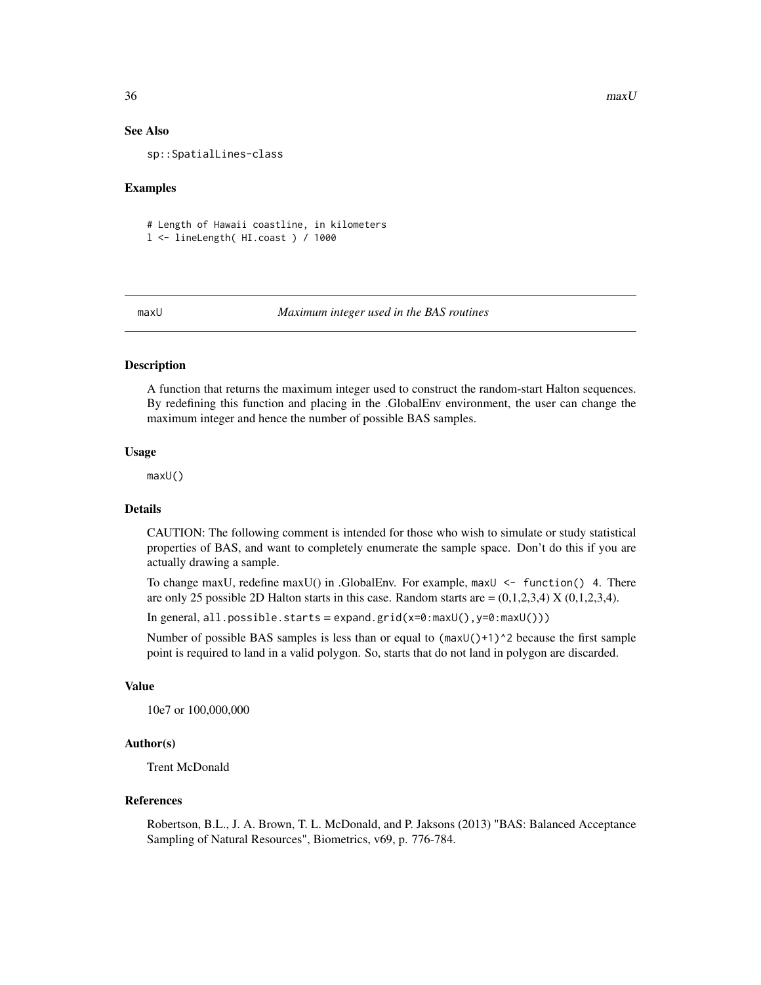# See Also

sp::SpatialLines-class

# Examples

# Length of Hawaii coastline, in kilometers l <- lineLength( HI.coast ) / 1000

#### <span id="page-35-1"></span>maxU *Maximum integer used in the BAS routines*

#### Description

A function that returns the maximum integer used to construct the random-start Halton sequences. By redefining this function and placing in the .GlobalEnv environment, the user can change the maximum integer and hence the number of possible BAS samples.

# Usage

maxU()

#### Details

CAUTION: The following comment is intended for those who wish to simulate or study statistical properties of BAS, and want to completely enumerate the sample space. Don't do this if you are actually drawing a sample.

To change maxU, redefine maxU() in .GlobalEnv. For example,  $maxU < -$  function() 4. There are only 25 possible 2D Halton starts in this case. Random starts are  $=(0,1,2,3,4)$  X  $(0,1,2,3,4)$ .

In general,  $all.posible.starts = expand.grid(x=0:maxU(), y=0:maxU())$ 

Number of possible BAS samples is less than or equal to  $(\text{maxU}()+1)^2$  because the first sample point is required to land in a valid polygon. So, starts that do not land in polygon are discarded.

#### Value

10e7 or 100,000,000

# Author(s)

Trent McDonald

#### References

Robertson, B.L., J. A. Brown, T. L. McDonald, and P. Jaksons (2013) "BAS: Balanced Acceptance Sampling of Natural Resources", Biometrics, v69, p. 776-784.

<span id="page-35-0"></span>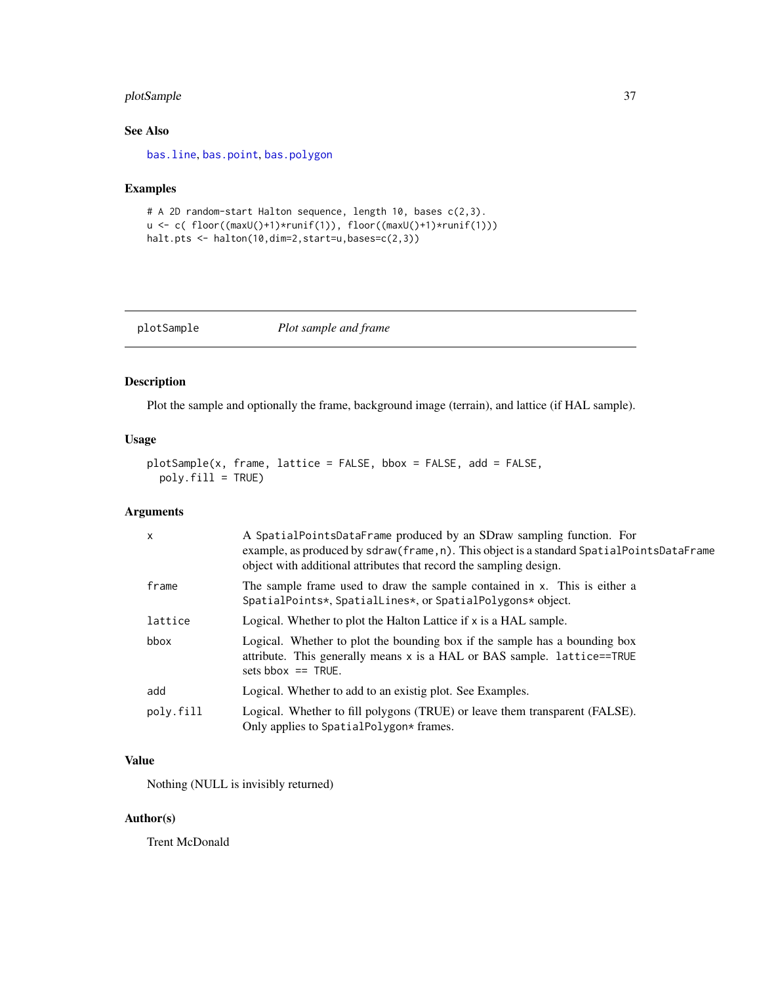# <span id="page-36-0"></span>plotSample 37

# See Also

[bas.line](#page-3-1), [bas.point](#page-5-1), [bas.polygon](#page-6-1)

# Examples

```
# A 2D random-start Halton sequence, length 10, bases c(2,3).
u <- c( floor((maxU()+1)*runif(1)), floor((maxU()+1)*runif(1)))
halt.pts <- halton(10,dim=2,start=u,bases=c(2,3))
```

| plotSample | Plot sample and frame |
|------------|-----------------------|
|            |                       |

# Description

Plot the sample and optionally the frame, background image (terrain), and lattice (if HAL sample).

# Usage

```
plotSample(x, frame, lattice = FALSE, bbox = FALSE, add = FALSE,
 poly.fill = TRUE)
```
# Arguments

| $\mathsf{x}$ | A SpatialPointsDataFrame produced by an SDraw sampling function. For<br>example, as produced by sdraw(frame, n). This object is a standard SpatialPointsDataFrame<br>object with additional attributes that record the sampling design. |  |
|--------------|-----------------------------------------------------------------------------------------------------------------------------------------------------------------------------------------------------------------------------------------|--|
| frame        | The sample frame used to draw the sample contained in x. This is either a<br>SpatialPoints*, SpatialLines*, or SpatialPolygons* object.                                                                                                 |  |
| lattice      | Logical. Whether to plot the Halton Lattice if x is a HAL sample.                                                                                                                                                                       |  |
| bbox         | Logical. Whether to plot the bounding box if the sample has a bounding box<br>attribute. This generally means $x$ is a HAL or BAS sample. lattice==TRUE<br>sets bbox $==$ TRUE.                                                         |  |
| add          | Logical. Whether to add to an existig plot. See Examples.                                                                                                                                                                               |  |
| poly.fill    | Logical. Whether to fill polygons (TRUE) or leave them transparent (FALSE).<br>Only applies to SpatialPolygon* frames.                                                                                                                  |  |

# Value

Nothing (NULL is invisibly returned)

# Author(s)

Trent McDonald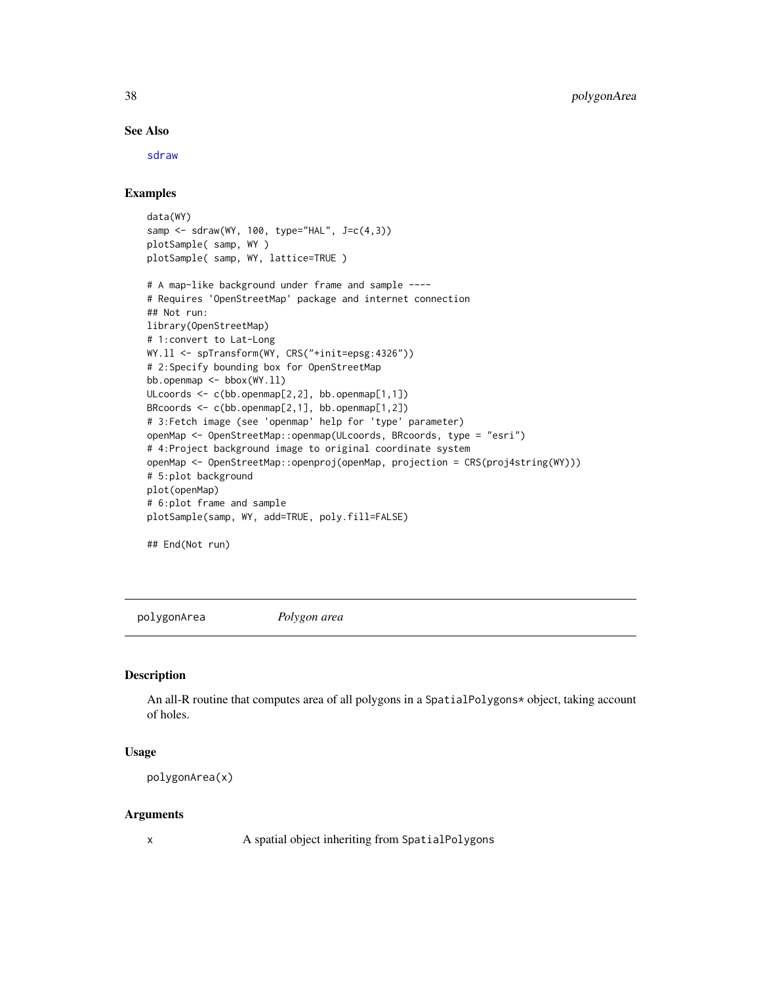# See Also

[sdraw](#page-39-1)

# Examples

```
data(WY)
samp <- sdraw(WY, 100, type="HAL", J=c(4,3))
plotSample( samp, WY )
plotSample( samp, WY, lattice=TRUE )
```

```
# A map-like background under frame and sample ----
# Requires 'OpenStreetMap' package and internet connection
## Not run:
library(OpenStreetMap)
# 1:convert to Lat-Long
WY.ll <- spTransform(WY, CRS("+init=epsg:4326"))
# 2:Specify bounding box for OpenStreetMap
bb.openmap \leq bbox(WY.11)
ULcoords <- c(bb.openmap[2,2], bb.openmap[1,1])
BRcoords <- c(bb.openmap[2,1], bb.openmap[1,2])
# 3:Fetch image (see 'openmap' help for 'type' parameter)
openMap <- OpenStreetMap::openmap(ULcoords, BRcoords, type = "esri")
# 4:Project background image to original coordinate system
openMap <- OpenStreetMap::openproj(openMap, projection = CRS(proj4string(WY)))
# 5:plot background
plot(openMap)
# 6:plot frame and sample
plotSample(samp, WY, add=TRUE, poly.fill=FALSE)
```

```
## End(Not run)
```
polygonArea *Polygon area*

### Description

An all-R routine that computes area of all polygons in a SpatialPolygons\* object, taking account of holes.

# Usage

```
polygonArea(x)
```
# Arguments

x A spatial object inheriting from SpatialPolygons

<span id="page-37-0"></span>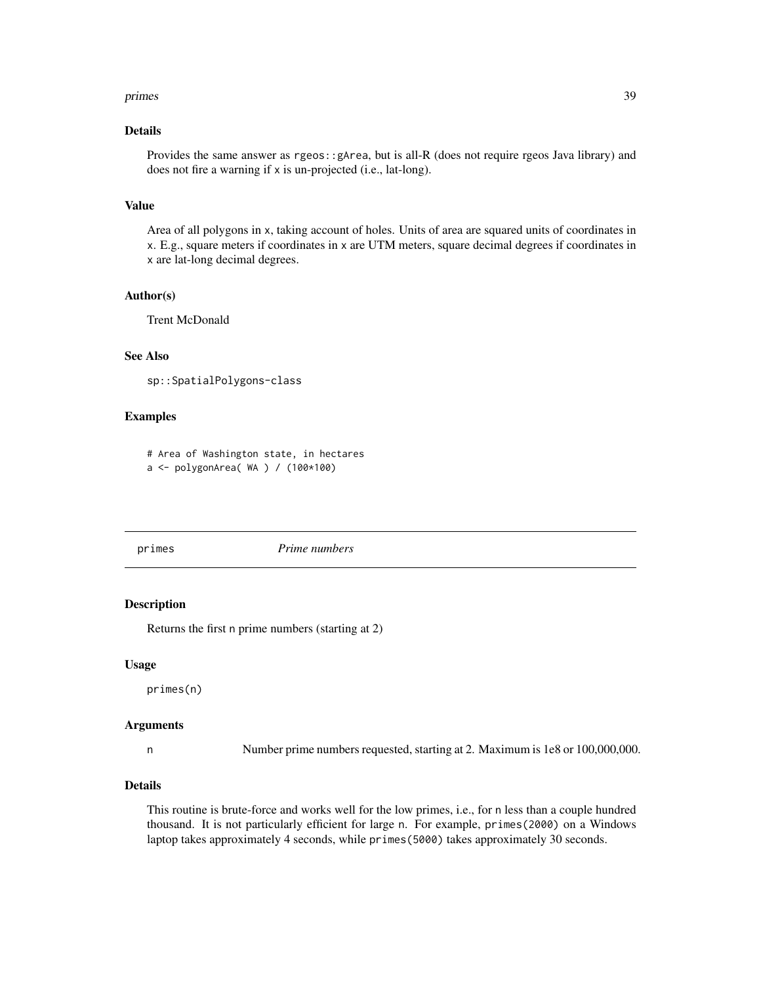#### <span id="page-38-0"></span>primes 39

# Details

Provides the same answer as rgeos::gArea, but is all-R (does not require rgeos Java library) and does not fire a warning if x is un-projected (i.e., lat-long).

# Value

Area of all polygons in x, taking account of holes. Units of area are squared units of coordinates in x. E.g., square meters if coordinates in x are UTM meters, square decimal degrees if coordinates in x are lat-long decimal degrees.

# Author(s)

Trent McDonald

# See Also

sp::SpatialPolygons-class

# Examples

# Area of Washington state, in hectares

```
a <- polygonArea( WA ) / (100*100)
```
primes *Prime numbers*

# Description

Returns the first n prime numbers (starting at 2)

#### Usage

primes(n)

#### Arguments

n Number prime numbers requested, starting at 2. Maximum is 1e8 or 100,000,000.

#### Details

This routine is brute-force and works well for the low primes, i.e., for n less than a couple hundred thousand. It is not particularly efficient for large n. For example, primes(2000) on a Windows laptop takes approximately 4 seconds, while primes(5000) takes approximately 30 seconds.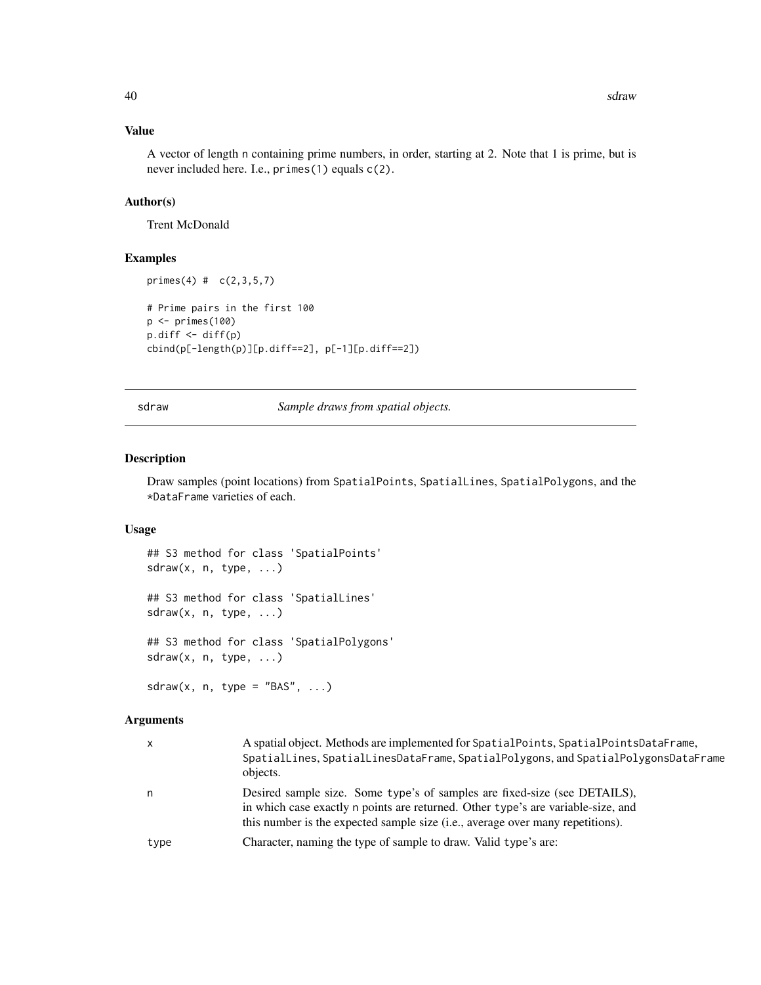# <span id="page-39-0"></span>Value

A vector of length n containing prime numbers, in order, starting at 2. Note that 1 is prime, but is never included here. I.e., primes(1) equals c(2).

# Author(s)

Trent McDonald

# Examples

```
primes(4) # (c(2,3,5,7))# Prime pairs in the first 100
p <- primes(100)
p.diff <- diff(p)
cbind(p[-length(p)][p.diff==2], p[-1][p.diff==2])
```
<span id="page-39-1"></span>sdraw *Sample draws from spatial objects.*

# Description

Draw samples (point locations) from SpatialPoints, SpatialLines, SpatialPolygons, and the \*DataFrame varieties of each.

# Usage

```
## S3 method for class 'SpatialPoints'
sdraw(x, n, type, ...)
## S3 method for class 'SpatialLines'
sdraw(x, n, type, ...)
## S3 method for class 'SpatialPolygons'
sdraw(x, n, type, ...)
```
sdraw(x, n, type = "BAS",  $\ldots$ )

# Arguments

| X    | A spatial object. Methods are implemented for SpatialPoints, SpatialPointsDataFrame,<br>SpatialLines, SpatialLinesDataFrame, SpatialPolygons, and SpatialPolygonsDataFrame<br>objects.                                                          |
|------|-------------------------------------------------------------------------------------------------------------------------------------------------------------------------------------------------------------------------------------------------|
| n    | Desired sample size. Some type's of samples are fixed-size (see DETAILS),<br>in which case exactly n points are returned. Other type's are variable-size, and<br>this number is the expected sample size (i.e., average over many repetitions). |
| type | Character, naming the type of sample to draw. Valid type's are:                                                                                                                                                                                 |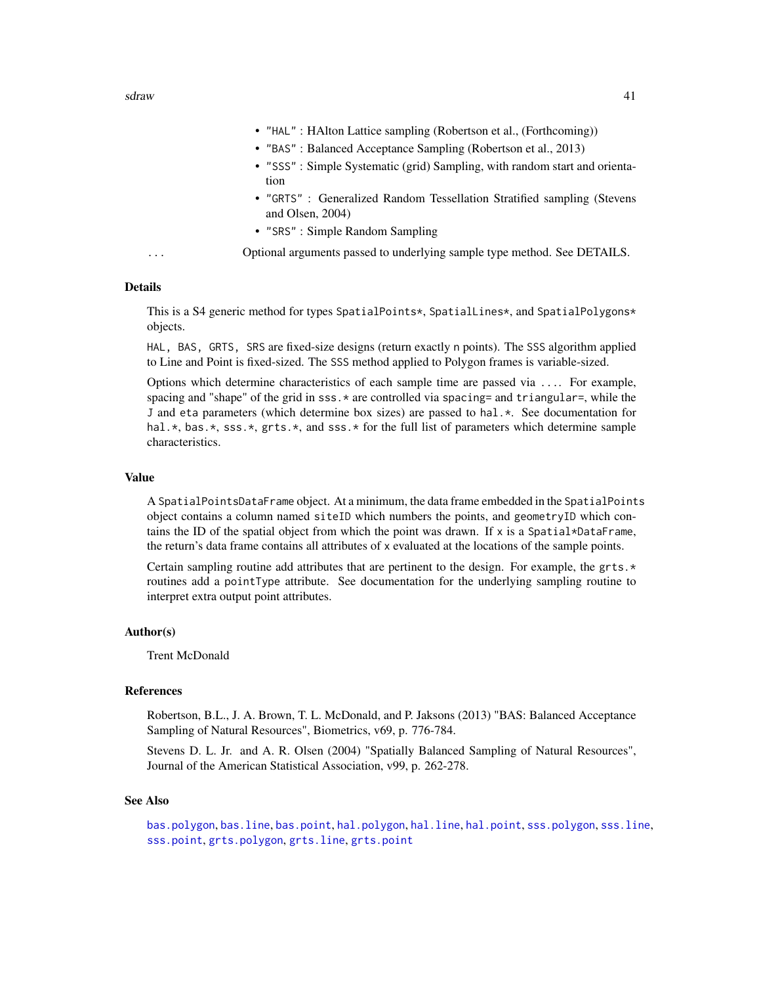- <span id="page-40-0"></span>• "HAL" : HAlton Lattice sampling (Robertson et al., (Forthcoming))
- "BAS" : Balanced Acceptance Sampling (Robertson et al., 2013)
- "SSS" : Simple Systematic (grid) Sampling, with random start and orientation
- "GRTS" : Generalized Random Tessellation Stratified sampling (Stevens and Olsen, 2004)
- "SRS" : Simple Random Sampling

... Optional arguments passed to underlying sample type method. See DETAILS.

#### Details

This is a S4 generic method for types SpatialPoints\*, SpatialLines\*, and SpatialPolygons\* objects.

HAL, BAS, GRTS, SRS are fixed-size designs (return exactly n points). The SSS algorithm applied to Line and Point is fixed-sized. The SSS method applied to Polygon frames is variable-sized.

Options which determine characteristics of each sample time are passed via .... For example, spacing and "shape" of the grid in  $sss.*$  are controlled via spacing= and triangular=, while the J and eta parameters (which determine box sizes) are passed to hal.\*. See documentation for hal.\*, bas.\*, sss.\*, grts.\*, and sss.\* for the full list of parameters which determine sample characteristics.

# Value

A SpatialPointsDataFrame object. At a minimum, the data frame embedded in the SpatialPoints object contains a column named siteID which numbers the points, and geometryID which contains the ID of the spatial object from which the point was drawn. If  $x$  is a Spatial\*DataFrame, the return's data frame contains all attributes of x evaluated at the locations of the sample points.

Certain sampling routine add attributes that are pertinent to the design. For example, the grts. $\star$ routines add a pointType attribute. See documentation for the underlying sampling routine to interpret extra output point attributes.

# Author(s)

Trent McDonald

# References

Robertson, B.L., J. A. Brown, T. L. McDonald, and P. Jaksons (2013) "BAS: Balanced Acceptance Sampling of Natural Resources", Biometrics, v69, p. 776-784.

Stevens D. L. Jr. and A. R. Olsen (2004) "Spatially Balanced Sampling of Natural Resources", Journal of the American Statistical Association, v99, p. 262-278.

# See Also

[bas.polygon](#page-6-1), [bas.line](#page-3-1), [bas.point](#page-5-1), [hal.polygon](#page-19-1), [hal.line](#page-14-1), [hal.point](#page-17-1), [sss.polygon](#page-48-1), [sss.line](#page-45-1), [sss.point](#page-47-1), [grts.polygon](#page-13-1), [grts.line](#page-9-1), [grts.point](#page-11-1)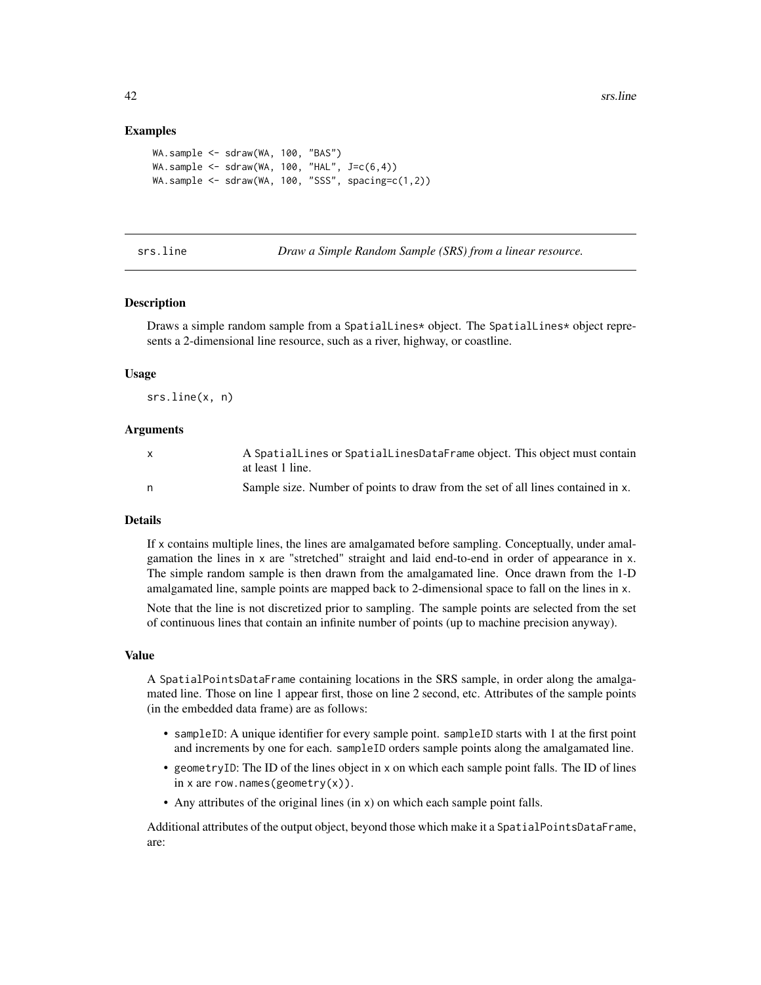# <span id="page-41-0"></span>Examples

```
WA.sample <- sdraw(WA, 100, "BAS")
WA.sample \le sdraw(WA, 100, "HAL", J=c(6,4))
WA.sample \le sdraw(WA, 100, "SSS", spacing=c(1,2))
```
<span id="page-41-1"></span>srs.line *Draw a Simple Random Sample (SRS) from a linear resource.*

#### **Description**

Draws a simple random sample from a SpatialLines\* object. The SpatialLines\* object represents a 2-dimensional line resource, such as a river, highway, or coastline.

#### Usage

srs.line(x, n)

# Arguments

| $\mathsf{X}$ | A SpatialLines or SpatialLinesDataFrame object. This object must contain        |
|--------------|---------------------------------------------------------------------------------|
|              | at least 1 line.                                                                |
| n,           | Sample size. Number of points to draw from the set of all lines contained in x. |

# Details

If x contains multiple lines, the lines are amalgamated before sampling. Conceptually, under amalgamation the lines in x are "stretched" straight and laid end-to-end in order of appearance in x. The simple random sample is then drawn from the amalgamated line. Once drawn from the 1-D amalgamated line, sample points are mapped back to 2-dimensional space to fall on the lines in x.

Note that the line is not discretized prior to sampling. The sample points are selected from the set of continuous lines that contain an infinite number of points (up to machine precision anyway).

#### Value

A SpatialPointsDataFrame containing locations in the SRS sample, in order along the amalgamated line. Those on line 1 appear first, those on line 2 second, etc. Attributes of the sample points (in the embedded data frame) are as follows:

- sampleID: A unique identifier for every sample point. sampleID starts with 1 at the first point and increments by one for each. sampleID orders sample points along the amalgamated line.
- geometryID: The ID of the lines object in x on which each sample point falls. The ID of lines in x are row.names(geometry $(x)$ ).
- Any attributes of the original lines (in x) on which each sample point falls.

Additional attributes of the output object, beyond those which make it a SpatialPointsDataFrame, are: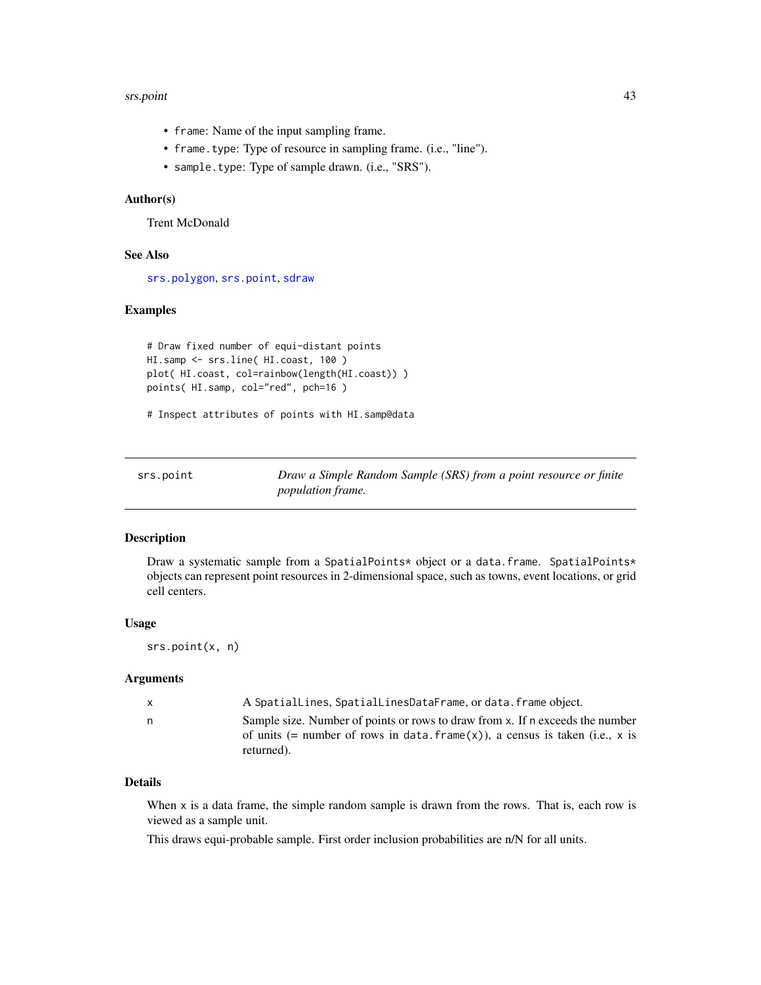#### <span id="page-42-0"></span>srs.point 43

- frame: Name of the input sampling frame.
- frame.type: Type of resource in sampling frame. (i.e., "line").
- sample.type: Type of sample drawn. (i.e., "SRS").

# Author(s)

Trent McDonald

# See Also

[srs.polygon](#page-43-1), [srs.point](#page-42-1), [sdraw](#page-39-1)

# Examples

```
# Draw fixed number of equi-distant points
HI.samp <- srs.line( HI.coast, 100 )
plot( HI.coast, col=rainbow(length(HI.coast)) )
points( HI.samp, col="red", pch=16 )
```
# Inspect attributes of points with HI.samp@data

<span id="page-42-1"></span>

| srs.point | Draw a Simple Random Sample (SRS) from a point resource or finite |
|-----------|-------------------------------------------------------------------|
|           | <i>population frame.</i>                                          |

#### Description

Draw a systematic sample from a SpatialPoints\* object or a data.frame. SpatialPoints\* objects can represent point resources in 2-dimensional space, such as towns, event locations, or grid cell centers.

#### Usage

srs.point(x, n)

#### Arguments

| $\mathsf{x}$ | A SpatialLines, SpatialLinesDataFrame, or data. frame object.                   |  |
|--------------|---------------------------------------------------------------------------------|--|
| n.           | Sample size. Number of points or rows to draw from x. If n exceeds the number   |  |
|              | of units (= number of rows in data. $frame(x)$ ), a census is taken (i.e., x is |  |
|              | returned).                                                                      |  |

# Details

When x is a data frame, the simple random sample is drawn from the rows. That is, each row is viewed as a sample unit.

This draws equi-probable sample. First order inclusion probabilities are n/N for all units.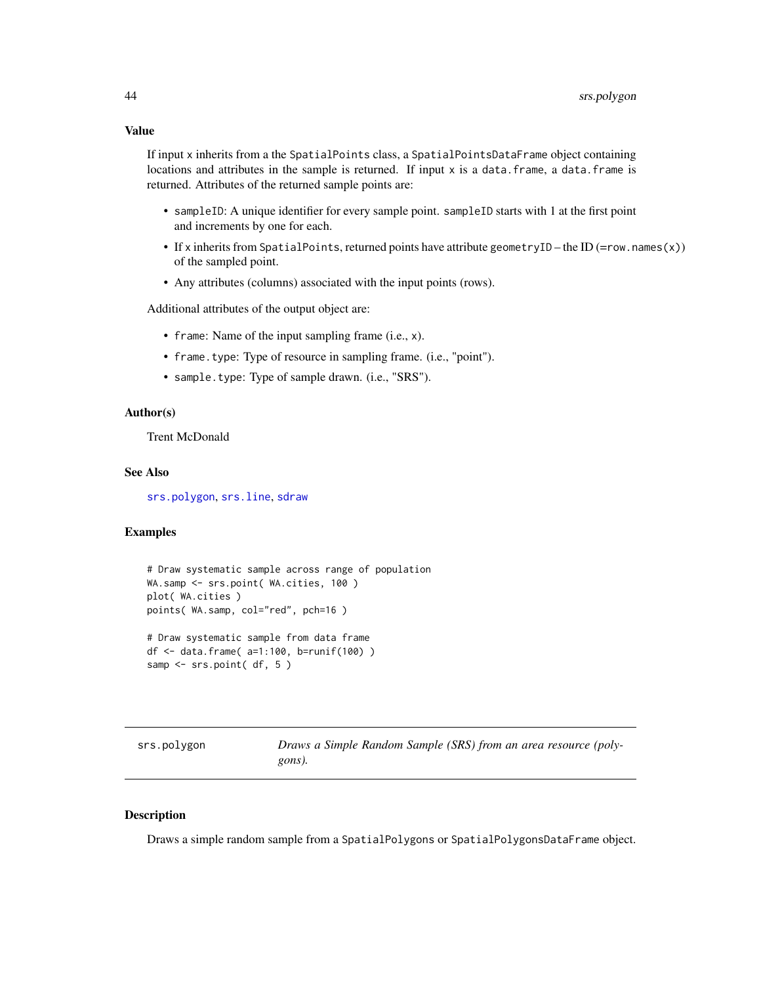# <span id="page-43-0"></span>Value

If input x inherits from a the SpatialPoints class, a SpatialPointsDataFrame object containing locations and attributes in the sample is returned. If input x is a data.frame, a data.frame is returned. Attributes of the returned sample points are:

- sampleID: A unique identifier for every sample point. sampleID starts with 1 at the first point and increments by one for each.
- If x inherits from SpatialPoints, returned points have attribute geometryID the ID (=row.names(x)) of the sampled point.
- Any attributes (columns) associated with the input points (rows).

Additional attributes of the output object are:

- frame: Name of the input sampling frame (i.e., x).
- frame.type: Type of resource in sampling frame. (i.e., "point").
- sample.type: Type of sample drawn. (i.e., "SRS").

### Author(s)

Trent McDonald

#### See Also

[srs.polygon](#page-43-1), [srs.line](#page-41-1), [sdraw](#page-39-1)

# Examples

```
# Draw systematic sample across range of population
WA.samp <- srs.point( WA.cities, 100 )
plot( WA.cities )
points( WA.samp, col="red", pch=16 )
# Draw systematic sample from data frame
df <- data.frame( a=1:100, b=runif(100) )
samp <- srs.point( df, 5 )
```
<span id="page-43-1"></span>srs.polygon *Draws a Simple Random Sample (SRS) from an area resource (polygons).*

# **Description**

Draws a simple random sample from a SpatialPolygons or SpatialPolygonsDataFrame object.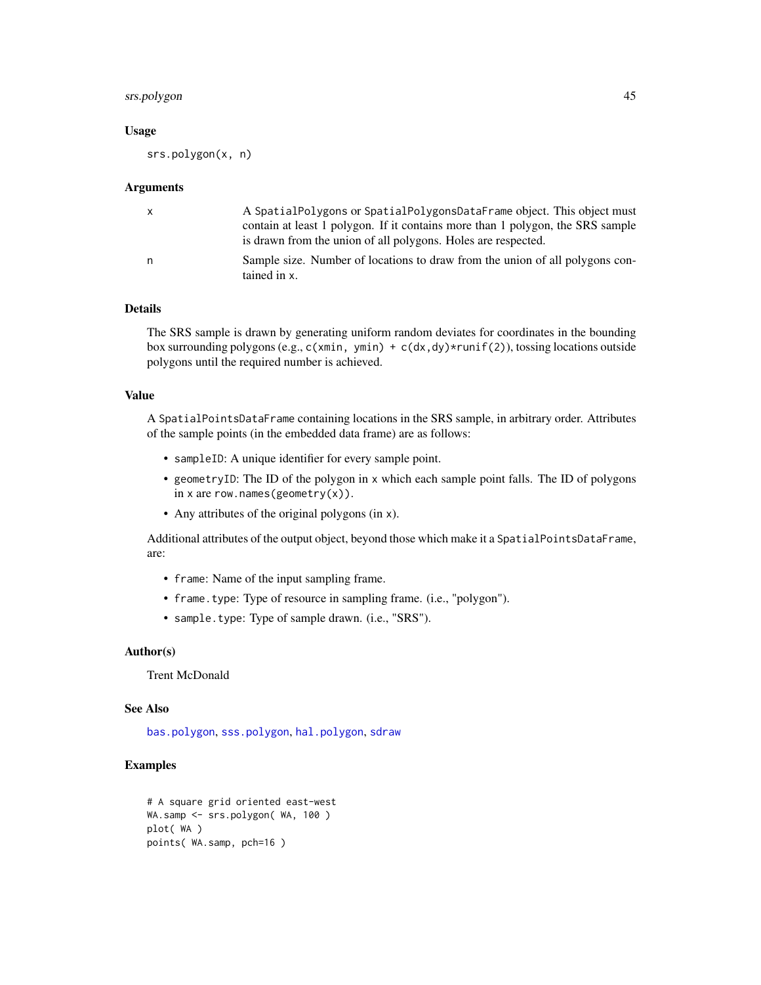# <span id="page-44-0"></span>srs.polygon 45

#### Usage

srs.polygon(x, n)

#### Arguments

|   | A SpatialPolygons or SpatialPolygonsDataFrame object. This object must<br>contain at least 1 polygon. If it contains more than 1 polygon, the SRS sample |
|---|----------------------------------------------------------------------------------------------------------------------------------------------------------|
|   | is drawn from the union of all polygons. Holes are respected.                                                                                            |
| n | Sample size. Number of locations to draw from the union of all polygons con-<br>tained in x.                                                             |

# Details

The SRS sample is drawn by generating uniform random deviates for coordinates in the bounding box surrounding polygons (e.g.,  $c(xmin, ymin) + c(dx, dy) \times runif(2)$ ), tossing locations outside polygons until the required number is achieved.

# Value

A SpatialPointsDataFrame containing locations in the SRS sample, in arbitrary order. Attributes of the sample points (in the embedded data frame) are as follows:

- sampleID: A unique identifier for every sample point.
- geometryID: The ID of the polygon in x which each sample point falls. The ID of polygons in x are row.names(geometry $(x)$ ).
- Any attributes of the original polygons (in x).

Additional attributes of the output object, beyond those which make it a SpatialPointsDataFrame, are:

- frame: Name of the input sampling frame.
- frame.type: Type of resource in sampling frame. (i.e., "polygon").
- sample.type: Type of sample drawn. (i.e., "SRS").

#### Author(s)

Trent McDonald

# See Also

[bas.polygon](#page-6-1), [sss.polygon](#page-48-1), [hal.polygon](#page-19-1), [sdraw](#page-39-1)

# Examples

```
# A square grid oriented east-west
WA.samp <- srs.polygon( WA, 100 )
plot( WA )
points( WA.samp, pch=16 )
```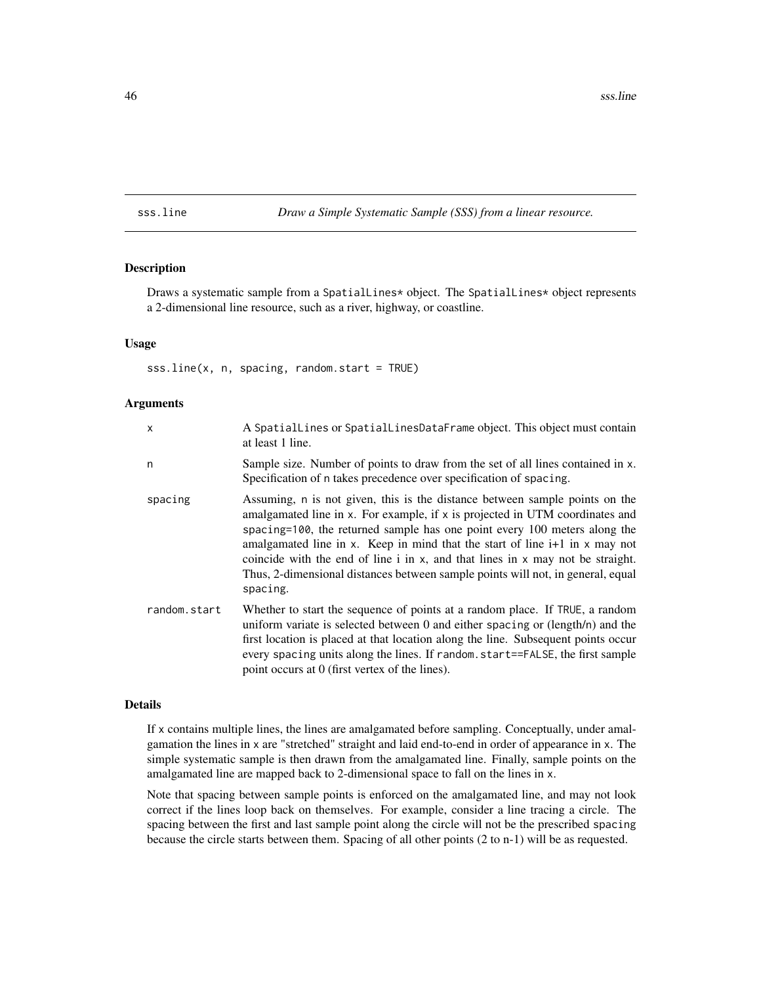<span id="page-45-1"></span><span id="page-45-0"></span>sss.line *Draw a Simple Systematic Sample (SSS) from a linear resource.*

# Description

Draws a systematic sample from a SpatialLines\* object. The SpatialLines\* object represents a 2-dimensional line resource, such as a river, highway, or coastline.

### Usage

sss.line(x, n, spacing, random.start = TRUE)

#### Arguments

| X            | A Spatial Lines or Spatial Lines Data Frame object. This object must contain<br>at least 1 line.                                                                                                                                                                                                                                                                                                                                                                                                                |
|--------------|-----------------------------------------------------------------------------------------------------------------------------------------------------------------------------------------------------------------------------------------------------------------------------------------------------------------------------------------------------------------------------------------------------------------------------------------------------------------------------------------------------------------|
| n            | Sample size. Number of points to draw from the set of all lines contained in x.<br>Specification of n takes precedence over specification of spacing.                                                                                                                                                                                                                                                                                                                                                           |
| spacing      | Assuming, n is not given, this is the distance between sample points on the<br>amalgamated line in x. For example, if x is projected in UTM coordinates and<br>spacing=100, the returned sample has one point every 100 meters along the<br>amalgamated line in x. Keep in mind that the start of line i+1 in x may not<br>coincide with the end of line $i$ in $x$ , and that lines in $x$ may not be straight.<br>Thus, 2-dimensional distances between sample points will not, in general, equal<br>spacing. |
| random.start | Whether to start the sequence of points at a random place. If TRUE, a random<br>uniform variate is selected between 0 and either spacing or (length/n) and the<br>first location is placed at that location along the line. Subsequent points occur<br>every spacing units along the lines. If random start==FALSE, the first sample<br>point occurs at 0 (first vertex of the lines).                                                                                                                          |

# Details

If x contains multiple lines, the lines are amalgamated before sampling. Conceptually, under amalgamation the lines in x are "stretched" straight and laid end-to-end in order of appearance in x. The simple systematic sample is then drawn from the amalgamated line. Finally, sample points on the amalgamated line are mapped back to 2-dimensional space to fall on the lines in x.

Note that spacing between sample points is enforced on the amalgamated line, and may not look correct if the lines loop back on themselves. For example, consider a line tracing a circle. The spacing between the first and last sample point along the circle will not be the prescribed spacing because the circle starts between them. Spacing of all other points (2 to n-1) will be as requested.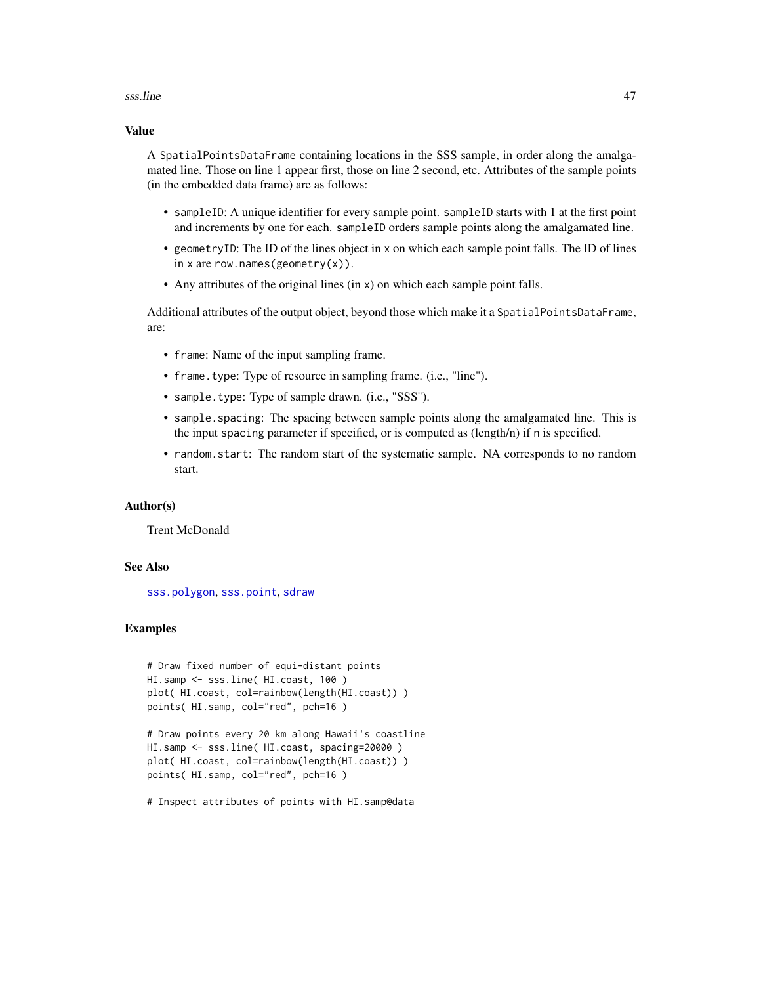#### <span id="page-46-0"></span>sss.line 47

# Value

A SpatialPointsDataFrame containing locations in the SSS sample, in order along the amalgamated line. Those on line 1 appear first, those on line 2 second, etc. Attributes of the sample points (in the embedded data frame) are as follows:

- sampleID: A unique identifier for every sample point. sampleID starts with 1 at the first point and increments by one for each. sampleID orders sample points along the amalgamated line.
- geometryID: The ID of the lines object in x on which each sample point falls. The ID of lines in x are row.names(geometry $(x)$ ).
- Any attributes of the original lines (in x) on which each sample point falls.

Additional attributes of the output object, beyond those which make it a SpatialPointsDataFrame, are:

- frame: Name of the input sampling frame.
- frame.type: Type of resource in sampling frame. (i.e., "line").
- sample.type: Type of sample drawn. (i.e., "SSS").
- sample.spacing: The spacing between sample points along the amalgamated line. This is the input spacing parameter if specified, or is computed as (length/n) if n is specified.
- random.start: The random start of the systematic sample. NA corresponds to no random start.

# Author(s)

Trent McDonald

### See Also

[sss.polygon](#page-48-1), [sss.point](#page-47-1), [sdraw](#page-39-1)

# Examples

```
# Draw fixed number of equi-distant points
HI.samp <- sss.line( HI.coast, 100 )
plot( HI.coast, col=rainbow(length(HI.coast)) )
points( HI.samp, col="red", pch=16)
```

```
# Draw points every 20 km along Hawaii's coastline
HI.samp <- sss.line( HI.coast, spacing=20000 )
plot( HI.coast, col=rainbow(length(HI.coast)) )
points( HI.samp, col="red", pch=16)
```
# Inspect attributes of points with HI.samp@data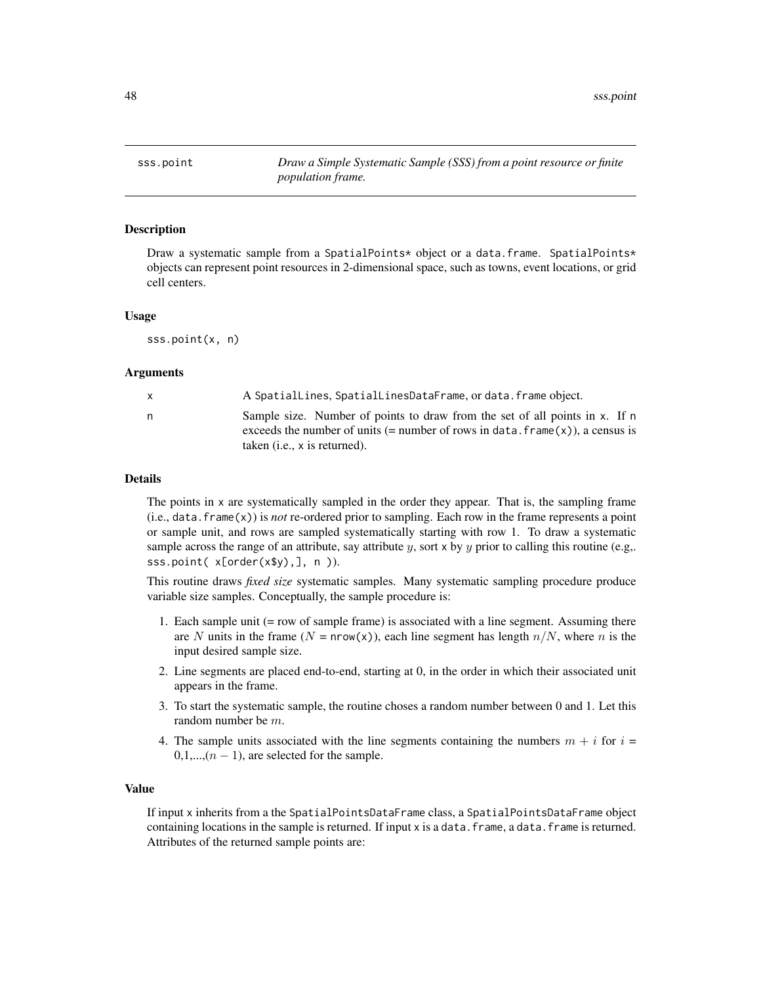<span id="page-47-1"></span><span id="page-47-0"></span>sss.point *Draw a Simple Systematic Sample (SSS) from a point resource or finite population frame.*

# **Description**

Draw a systematic sample from a SpatialPoints\* object or a data.frame. SpatialPoints\* objects can represent point resources in 2-dimensional space, such as towns, event locations, or grid cell centers.

#### Usage

sss.point(x, n)

#### Arguments

|   | A SpatialLines, SpatialLinesDataFrame, or data. frame object.                    |
|---|----------------------------------------------------------------------------------|
| n | Sample size. Number of points to draw from the set of all points in x. If n      |
|   | exceeds the number of units (= number of rows in data. $frame(x)$ ), a census is |
|   | taken ( <i>i.e.</i> , x is returned).                                            |

#### Details

The points in x are systematically sampled in the order they appear. That is, the sampling frame  $(i.e., data.frame(x))$  is *not* re-ordered prior to sampling. Each row in the frame represents a point or sample unit, and rows are sampled systematically starting with row 1. To draw a systematic sample across the range of an attribute, say attribute y, sort  $x$  by y prior to calling this routine (e.g,. sss.point( x[order(x\$y),], n )).

This routine draws *fixed size* systematic samples. Many systematic sampling procedure produce variable size samples. Conceptually, the sample procedure is:

- 1. Each sample unit (= row of sample frame) is associated with a line segment. Assuming there are N units in the frame  $(N = nrow(x))$ , each line segment has length  $n/N$ , where n is the input desired sample size.
- 2. Line segments are placed end-to-end, starting at 0, in the order in which their associated unit appears in the frame.
- 3. To start the systematic sample, the routine choses a random number between 0 and 1. Let this random number be m.
- 4. The sample units associated with the line segments containing the numbers  $m + i$  for  $i =$  $0,1,...,(n-1)$ , are selected for the sample.

# Value

If input x inherits from a the SpatialPointsDataFrame class, a SpatialPointsDataFrame object containing locations in the sample is returned. If input  $x$  is a data. frame, a data. frame is returned. Attributes of the returned sample points are: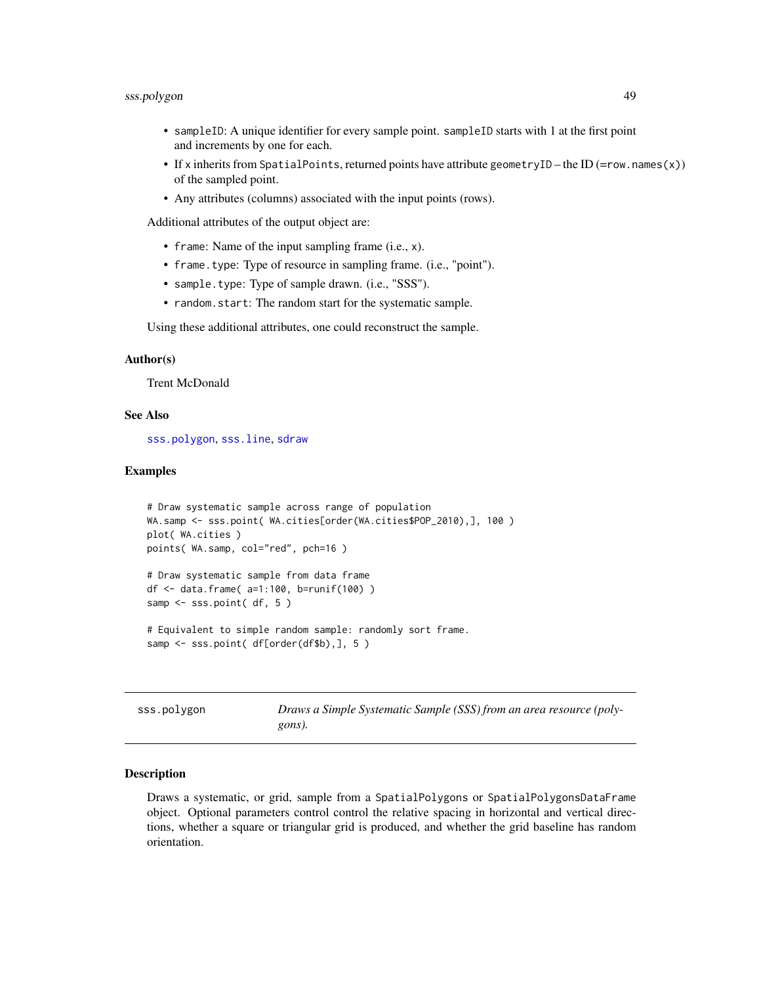- <span id="page-48-0"></span>• sampleID: A unique identifier for every sample point. sampleID starts with 1 at the first point and increments by one for each.
- If x inherits from SpatialPoints, returned points have attribute geometryID the ID (=row.names(x)) of the sampled point.
- Any attributes (columns) associated with the input points (rows).

Additional attributes of the output object are:

- frame: Name of the input sampling frame (i.e., x).
- frame.type: Type of resource in sampling frame. (i.e., "point").
- sample.type: Type of sample drawn. (i.e., "SSS").
- random.start: The random start for the systematic sample.

Using these additional attributes, one could reconstruct the sample.

### Author(s)

Trent McDonald

# See Also

[sss.polygon](#page-48-1), [sss.line](#page-45-1), [sdraw](#page-39-1)

# Examples

```
# Draw systematic sample across range of population
WA.samp <- sss.point( WA.cities[order(WA.cities$POP_2010),], 100 )
plot( WA.cities )
points( WA.samp, col="red", pch=16 )
# Draw systematic sample from data frame
df <- data.frame( a=1:100, b=runif(100) )
samp <- sss.point( df, 5 )
# Equivalent to simple random sample: randomly sort frame.
samp <- sss.point( df[order(df$b),], 5 )
```
<span id="page-48-1"></span>sss.polygon *Draws a Simple Systematic Sample (SSS) from an area resource (polygons).*

#### Description

Draws a systematic, or grid, sample from a SpatialPolygons or SpatialPolygonsDataFrame object. Optional parameters control control the relative spacing in horizontal and vertical directions, whether a square or triangular grid is produced, and whether the grid baseline has random orientation.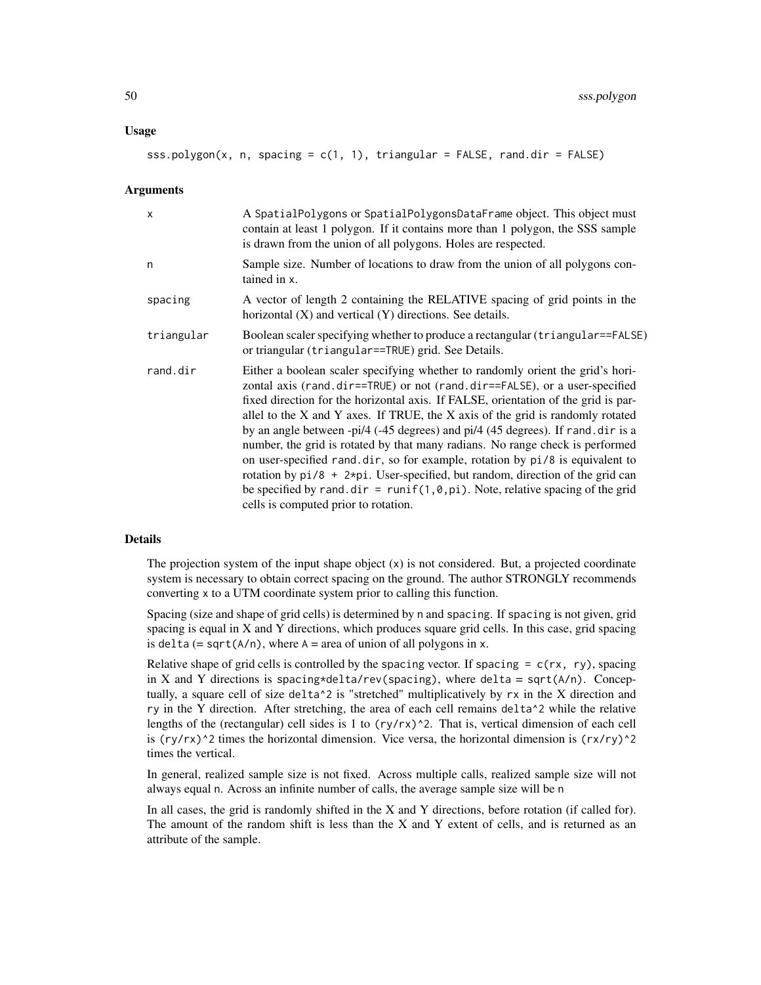#### Usage

sss.polygon(x, n, spacing =  $c(1, 1)$ , triangular = FALSE, rand.dir = FALSE)

#### Arguments

| $\mathsf{x}$ | A SpatialPolygons or SpatialPolygonsDataFrame object. This object must<br>contain at least 1 polygon. If it contains more than 1 polygon, the SSS sample<br>is drawn from the union of all polygons. Holes are respected.                                                                                                                                                                                                                                                                                                                                                                                                                                                                                                                                                                                  |  |
|--------------|------------------------------------------------------------------------------------------------------------------------------------------------------------------------------------------------------------------------------------------------------------------------------------------------------------------------------------------------------------------------------------------------------------------------------------------------------------------------------------------------------------------------------------------------------------------------------------------------------------------------------------------------------------------------------------------------------------------------------------------------------------------------------------------------------------|--|
| n            | Sample size. Number of locations to draw from the union of all polygons con-<br>tained in x.                                                                                                                                                                                                                                                                                                                                                                                                                                                                                                                                                                                                                                                                                                               |  |
| spacing      | A vector of length 2 containing the RELATIVE spacing of grid points in the<br>horizontal $(X)$ and vertical $(Y)$ directions. See details.                                                                                                                                                                                                                                                                                                                                                                                                                                                                                                                                                                                                                                                                 |  |
| triangular   | Boolean scaler specifying whether to produce a rectangular (triangular==FALSE)<br>or triangular (triangular==TRUE) grid. See Details.                                                                                                                                                                                                                                                                                                                                                                                                                                                                                                                                                                                                                                                                      |  |
| rand.dir     | Either a boolean scaler specifying whether to randomly orient the grid's hori-<br>zontal axis (rand.dir==TRUE) or not (rand.dir==FALSE), or a user-specified<br>fixed direction for the horizontal axis. If FALSE, orientation of the grid is par-<br>allel to the X and Y axes. If TRUE, the X axis of the grid is randomly rotated<br>by an angle between -pi/4 (-45 degrees) and pi/4 (45 degrees). If rand. dir is a<br>number, the grid is rotated by that many radians. No range check is performed<br>on user-specified rand.dir, so for example, rotation by pi/8 is equivalent to<br>rotation by $pi/8$ + $2*pi$ . User-specified, but random, direction of the grid can<br>be specified by rand. dir = runif(1,0,pi). Note, relative spacing of the grid<br>cells is computed prior to rotation. |  |

# Details

The projection system of the input shape object  $(x)$  is not considered. But, a projected coordinate system is necessary to obtain correct spacing on the ground. The author STRONGLY recommends converting x to a UTM coordinate system prior to calling this function.

Spacing (size and shape of grid cells) is determined by n and spacing. If spacing is not given, grid spacing is equal in X and Y directions, which produces square grid cells. In this case, grid spacing is delta  $(= \sqrt{(A/n)}, \text{ where } A = \text{area of union of all polygons in } x$ .

Relative shape of grid cells is controlled by the spacing vector. If spacing  $= c(rx, ry)$ , spacing in X and Y directions is spacing\*delta/rev(spacing), where delta = sqrt( $A/n$ ). Conceptually, a square cell of size delta^2 is "stretched" multiplicatively by rx in the X direction and ry in the Y direction. After stretching, the area of each cell remains delta<sup> $\gamma$ </sup> while the relative lengths of the (rectangular) cell sides is 1 to  $(ry/rx)^2$ . That is, vertical dimension of each cell is (ry/rx)^2 times the horizontal dimension. Vice versa, the horizontal dimension is  $(rx/ry)$ <sup>2</sup> times the vertical.

In general, realized sample size is not fixed. Across multiple calls, realized sample size will not always equal n. Across an infinite number of calls, the average sample size will be n

In all cases, the grid is randomly shifted in the X and Y directions, before rotation (if called for). The amount of the random shift is less than the X and Y extent of cells, and is returned as an attribute of the sample.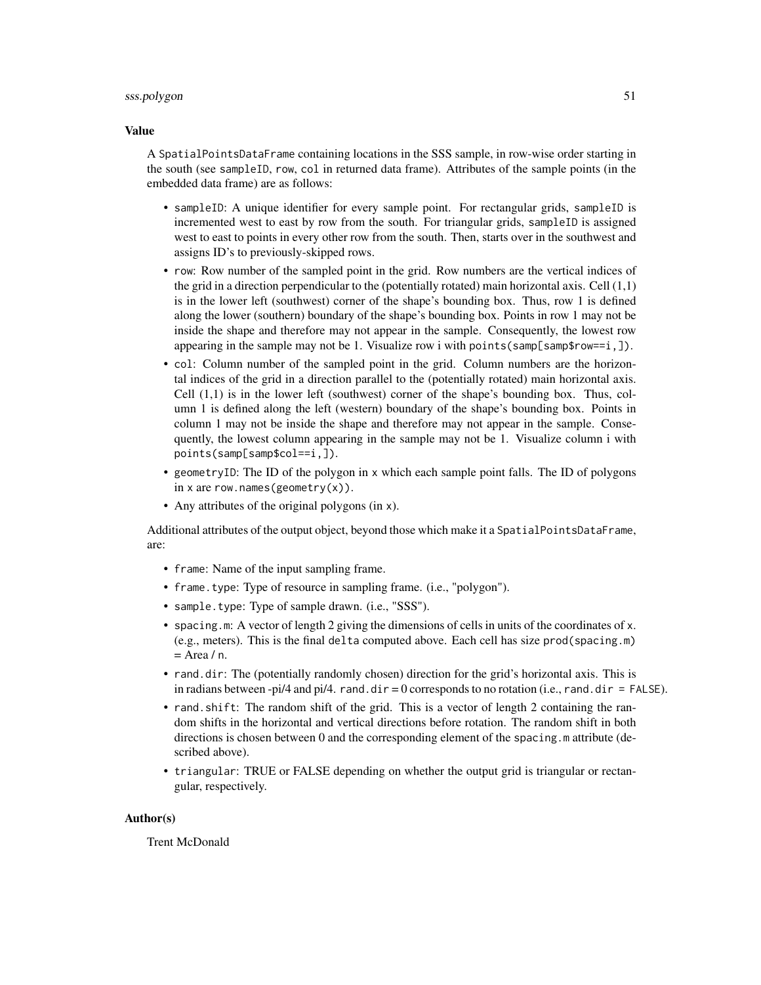# sss.polygon 51

#### Value

A SpatialPointsDataFrame containing locations in the SSS sample, in row-wise order starting in the south (see sampleID, row, col in returned data frame). Attributes of the sample points (in the embedded data frame) are as follows:

- sampleID: A unique identifier for every sample point. For rectangular grids, sampleID is incremented west to east by row from the south. For triangular grids, sampleID is assigned west to east to points in every other row from the south. Then, starts over in the southwest and assigns ID's to previously-skipped rows.
- row: Row number of the sampled point in the grid. Row numbers are the vertical indices of the grid in a direction perpendicular to the (potentially rotated) main horizontal axis. Cell (1,1) is in the lower left (southwest) corner of the shape's bounding box. Thus, row 1 is defined along the lower (southern) boundary of the shape's bounding box. Points in row 1 may not be inside the shape and therefore may not appear in the sample. Consequently, the lowest row appearing in the sample may not be 1. Visualize row i with points(samp[samp\$row==i,]).
- col: Column number of the sampled point in the grid. Column numbers are the horizontal indices of the grid in a direction parallel to the (potentially rotated) main horizontal axis. Cell  $(1,1)$  is in the lower left (southwest) corner of the shape's bounding box. Thus, column 1 is defined along the left (western) boundary of the shape's bounding box. Points in column 1 may not be inside the shape and therefore may not appear in the sample. Consequently, the lowest column appearing in the sample may not be 1. Visualize column i with points(samp[samp\$col==i,]).
- geometryID: The ID of the polygon in x which each sample point falls. The ID of polygons in x are row.names(geometry(x)).
- Any attributes of the original polygons (in x).

Additional attributes of the output object, beyond those which make it a SpatialPointsDataFrame, are:

- frame: Name of the input sampling frame.
- frame.type: Type of resource in sampling frame. (i.e., "polygon").
- sample.type: Type of sample drawn. (i.e., "SSS").
- spacing.m: A vector of length 2 giving the dimensions of cells in units of the coordinates of x. (e.g., meters). This is the final delta computed above. Each cell has size prod(spacing.m)  $=$  Area / n.
- rand.dir: The (potentially randomly chosen) direction for the grid's horizontal axis. This is in radians between -pi/4 and pi/4. rand.dir = 0 corresponds to no rotation (i.e., rand.dir = FALSE).
- rand.shift: The random shift of the grid. This is a vector of length 2 containing the random shifts in the horizontal and vertical directions before rotation. The random shift in both directions is chosen between 0 and the corresponding element of the spacing.m attribute (described above).
- triangular: TRUE or FALSE depending on whether the output grid is triangular or rectangular, respectively.

# Author(s)

Trent McDonald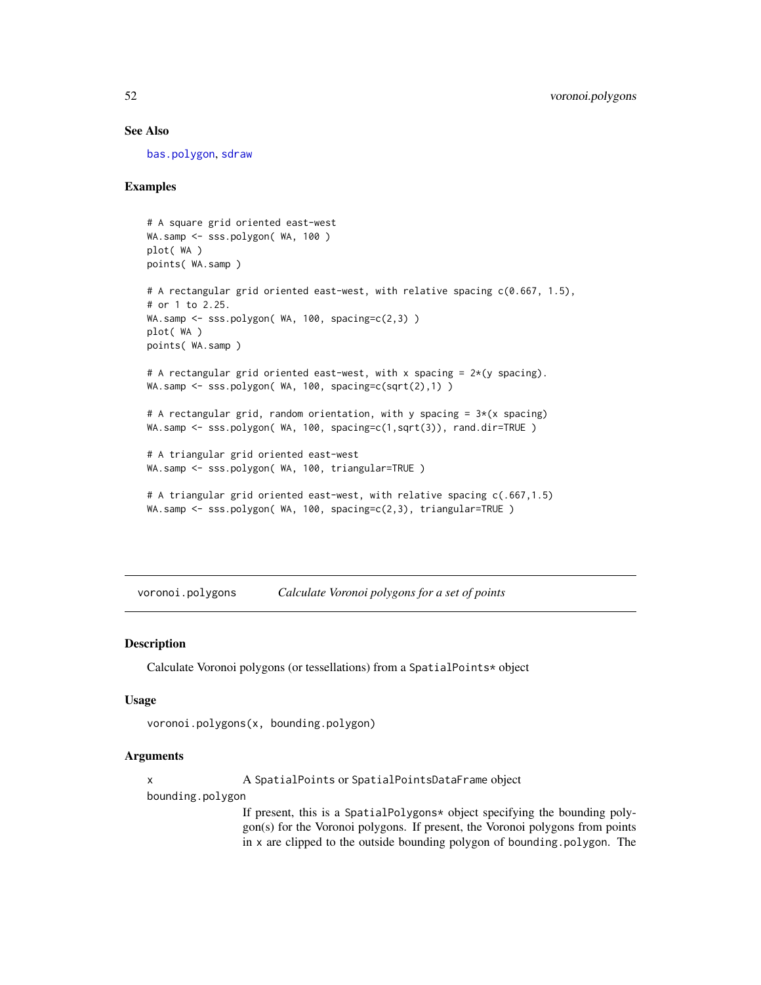# See Also

[bas.polygon](#page-6-1), [sdraw](#page-39-1)

# Examples

```
# A square grid oriented east-west
WA.samp <- sss.polygon( WA, 100 )
plot( WA )
points( WA.samp )
# A rectangular grid oriented east-west, with relative spacing c(0.667, 1.5),
# or 1 to 2.25.
WA.samp <- sss.polygon( WA, 100, spacing=c(2,3))
plot( WA )
points( WA.samp )
# A rectangular grid oriented east-west, with x spacing = 2*(y spacing).
WA.samp <- sss.polygon( WA, 100, spacing=c(sqrt(2),1) )
# A rectangular grid, random orientation, with y spacing = 3*(x \text{ spacing})WA.samp <- sss.polygon( WA, 100, spacing=c(1,sqrt(3)), rand.dir=TRUE )
# A triangular grid oriented east-west
WA.samp <- sss.polygon( WA, 100, triangular=TRUE )
# A triangular grid oriented east-west, with relative spacing c(.667,1.5)
WA.samp <- sss.polygon( WA, 100, spacing=c(2,3), triangular=TRUE )
```
voronoi.polygons *Calculate Voronoi polygons for a set of points*

### Description

Calculate Voronoi polygons (or tessellations) from a SpatialPoints\* object

#### Usage

```
voronoi.polygons(x, bounding.polygon)
```
# Arguments

x A SpatialPoints or SpatialPointsDataFrame object

bounding.polygon

If present, this is a SpatialPolygons\* object specifying the bounding polygon(s) for the Voronoi polygons. If present, the Voronoi polygons from points in x are clipped to the outside bounding polygon of bounding.polygon. The

<span id="page-51-0"></span>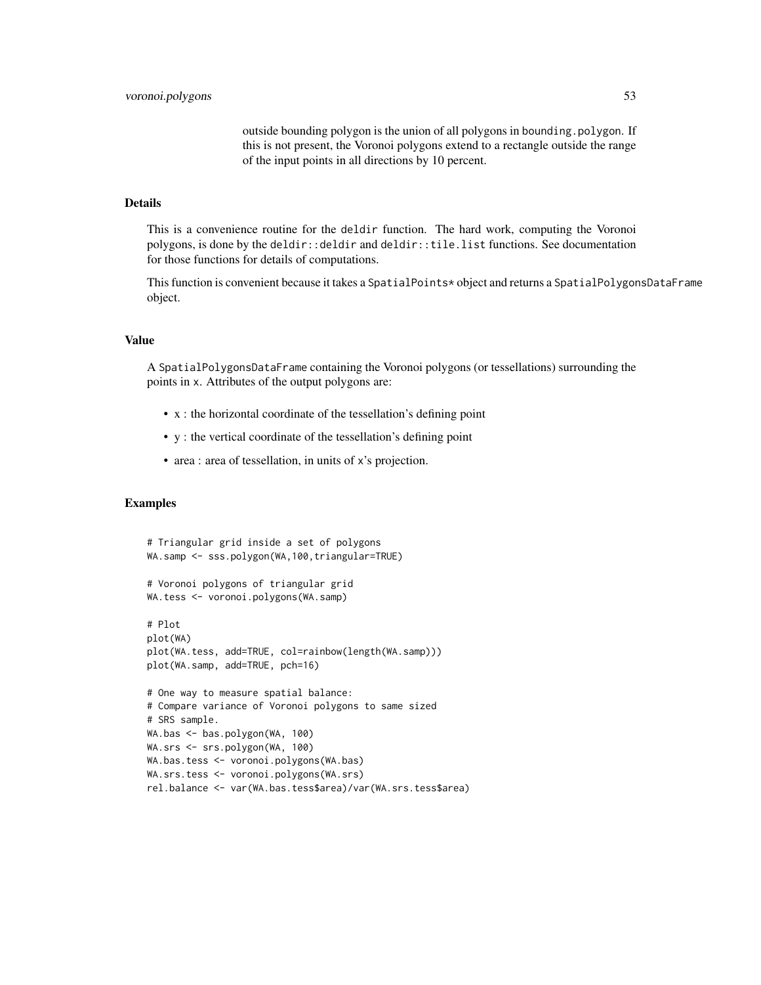outside bounding polygon is the union of all polygons in bounding.polygon. If this is not present, the Voronoi polygons extend to a rectangle outside the range of the input points in all directions by 10 percent.

#### Details

This is a convenience routine for the deldir function. The hard work, computing the Voronoi polygons, is done by the deldir::deldir and deldir::tile.list functions. See documentation for those functions for details of computations.

This function is convenient because it takes a SpatialPoints\* object and returns a SpatialPolygonsDataFrame object.

#### Value

A SpatialPolygonsDataFrame containing the Voronoi polygons (or tessellations) surrounding the points in x. Attributes of the output polygons are:

- x : the horizontal coordinate of the tessellation's defining point
- y : the vertical coordinate of the tessellation's defining point
- area : area of tessellation, in units of x's projection.

# Examples

```
# Triangular grid inside a set of polygons
WA.samp <- sss.polygon(WA,100,triangular=TRUE)
# Voronoi polygons of triangular grid
WA.tess <- voronoi.polygons(WA.samp)
# Plot
plot(WA)
plot(WA.tess, add=TRUE, col=rainbow(length(WA.samp)))
plot(WA.samp, add=TRUE, pch=16)
# One way to measure spatial balance:
# Compare variance of Voronoi polygons to same sized
# SRS sample.
WA.bas <- bas.polygon(WA, 100)
WA.srs <- srs.polygon(WA, 100)
WA.bas.tess <- voronoi.polygons(WA.bas)
WA.srs.tess <- voronoi.polygons(WA.srs)
rel.balance <- var(WA.bas.tess$area)/var(WA.srs.tess$area)
```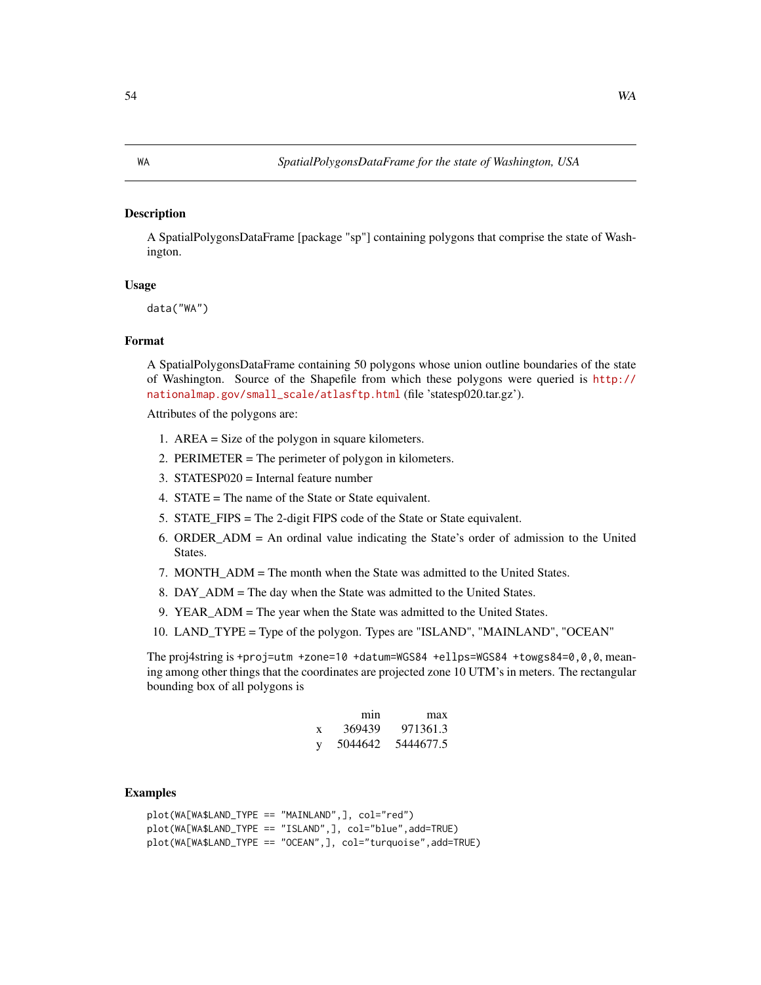# <span id="page-53-0"></span>Description

A SpatialPolygonsDataFrame [package "sp"] containing polygons that comprise the state of Washington.

# Usage

data("WA")

#### Format

A SpatialPolygonsDataFrame containing 50 polygons whose union outline boundaries of the state of Washington. Source of the Shapefile from which these polygons were queried is [http://](http://nationalmap.gov/small_scale/atlasftp.html) [nationalmap.gov/small\\_scale/atlasftp.html](http://nationalmap.gov/small_scale/atlasftp.html) (file 'statesp020.tar.gz').

Attributes of the polygons are:

- 1. AREA = Size of the polygon in square kilometers.
- 2. PERIMETER = The perimeter of polygon in kilometers.
- 3. STATESP020 = Internal feature number
- 4. STATE = The name of the State or State equivalent.
- 5. STATE\_FIPS = The 2-digit FIPS code of the State or State equivalent.
- 6. ORDER\_ADM = An ordinal value indicating the State's order of admission to the United States.
- 7. MONTH\_ADM = The month when the State was admitted to the United States.
- 8. DAY\_ADM = The day when the State was admitted to the United States.
- 9. YEAR\_ADM = The year when the State was admitted to the United States.
- 10. LAND\_TYPE = Type of the polygon. Types are "ISLAND", "MAINLAND", "OCEAN"

The proj4string is +proj=utm +zone=10 +datum=WGS84 +ellps=WGS84 +towgs84=0,0,0, meaning among other things that the coordinates are projected zone 10 UTM's in meters. The rectangular bounding box of all polygons is

|   | mın     | max       |
|---|---------|-----------|
| X | 369439  | 971361.3  |
| V | 5044642 | 5444677.5 |

# Examples

```
plot(WA[WA$LAND_TYPE == "MAINLAND",], col="red")
plot(WA[WA$LAND_TYPE == "ISLAND",], col="blue",add=TRUE)
plot(WA[WA$LAND_TYPE == "OCEAN",], col="turquoise",add=TRUE)
```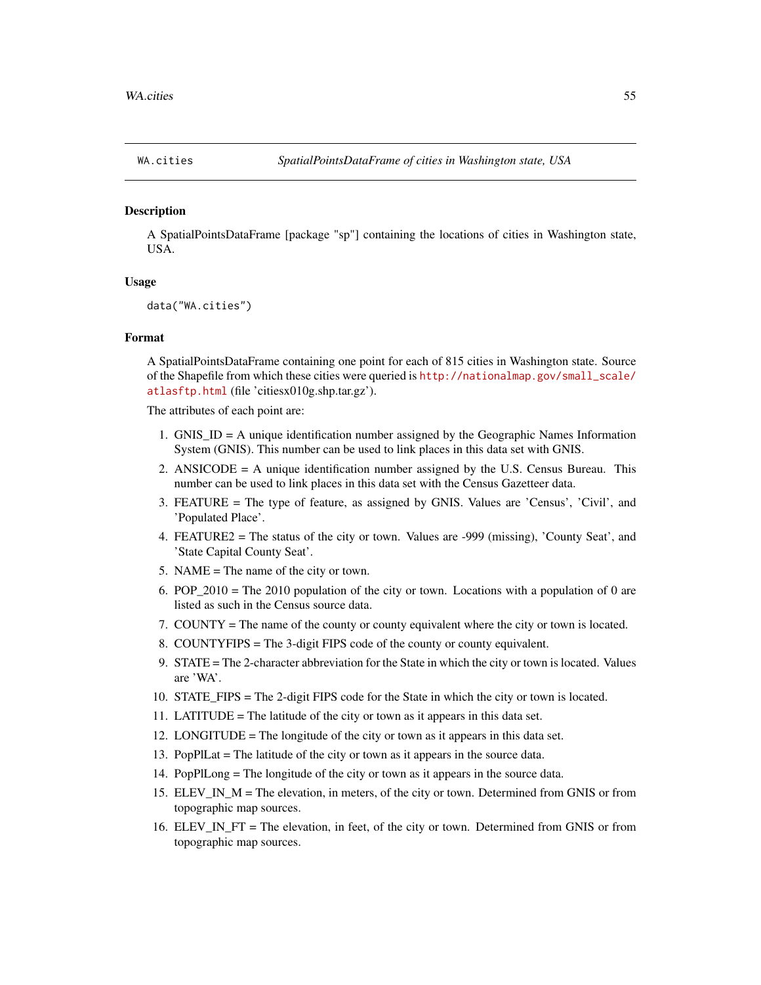<span id="page-54-0"></span>

# Description

A SpatialPointsDataFrame [package "sp"] containing the locations of cities in Washington state, USA.

# Usage

```
data("WA.cities")
```
# Format

A SpatialPointsDataFrame containing one point for each of 815 cities in Washington state. Source of the Shapefile from which these cities were queried is [http://nationalmap.gov/small\\_scale/](http://nationalmap.gov/small_scale/atlasftp.html) [atlasftp.html](http://nationalmap.gov/small_scale/atlasftp.html) (file 'citiesx010g.shp.tar.gz').

The attributes of each point are:

- 1. GNIS\_ID = A unique identification number assigned by the Geographic Names Information System (GNIS). This number can be used to link places in this data set with GNIS.
- 2. ANSICODE  $=$  A unique identification number assigned by the U.S. Census Bureau. This number can be used to link places in this data set with the Census Gazetteer data.
- 3. FEATURE = The type of feature, as assigned by GNIS. Values are 'Census', 'Civil', and 'Populated Place'.
- 4. FEATURE2 = The status of the city or town. Values are -999 (missing), 'County Seat', and 'State Capital County Seat'.
- 5. NAME = The name of the city or town.
- 6. POP  $2010 =$  The 2010 population of the city or town. Locations with a population of 0 are listed as such in the Census source data.
- 7. COUNTY = The name of the county or county equivalent where the city or town is located.
- 8. COUNTYFIPS = The 3-digit FIPS code of the county or county equivalent.
- 9. STATE = The 2-character abbreviation for the State in which the city or town is located. Values are 'WA'.
- 10. STATE\_FIPS = The 2-digit FIPS code for the State in which the city or town is located.
- 11. LATITUDE = The latitude of the city or town as it appears in this data set.
- 12. LONGITUDE = The longitude of the city or town as it appears in this data set.
- 13. PopPlLat = The latitude of the city or town as it appears in the source data.
- 14. PopPlLong = The longitude of the city or town as it appears in the source data.
- 15. ELEV\_IN\_M = The elevation, in meters, of the city or town. Determined from GNIS or from topographic map sources.
- 16. ELEV\_IN\_FT = The elevation, in feet, of the city or town. Determined from GNIS or from topographic map sources.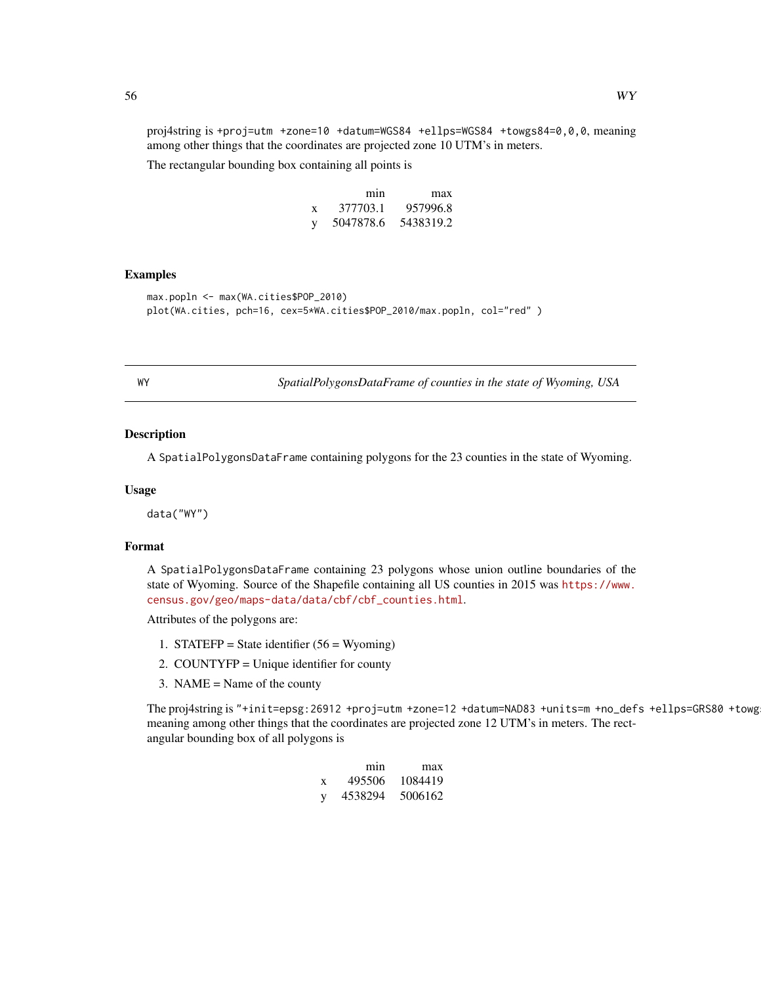<span id="page-55-0"></span>proj4string is +proj=utm +zone=10 +datum=WGS84 +ellps=WGS84 +towgs84=0,0,0, meaning among other things that the coordinates are projected zone 10 UTM's in meters.

The rectangular bounding box containing all points is

|   | mın       | max       |
|---|-----------|-----------|
| X | 377703.1  | 957996.8  |
| y | 5047878.6 | 5438319.2 |

### Examples

```
max.popln <- max(WA.cities$POP_2010)
plot(WA.cities, pch=16, cex=5*WA.cities$POP_2010/max.popln, col="red" )
```
WY *SpatialPolygonsDataFrame of counties in the state of Wyoming, USA*

#### Description

A SpatialPolygonsDataFrame containing polygons for the 23 counties in the state of Wyoming.

### Usage

data("WY")

# Format

A SpatialPolygonsDataFrame containing 23 polygons whose union outline boundaries of the state of Wyoming. Source of the Shapefile containing all US counties in 2015 was [https://www.](https://www.census.gov/geo/maps-data/data/cbf/cbf_counties.html) [census.gov/geo/maps-data/data/cbf/cbf\\_counties.html](https://www.census.gov/geo/maps-data/data/cbf/cbf_counties.html).

Attributes of the polygons are:

- 1. STATEFP = State identifier  $(56 = Wyoming)$
- 2. COUNTYFP = Unique identifier for county
- 3. NAME = Name of the county

The proj4string is "+init=epsg:26912 +proj=utm +zone=12 +datum=NAD83 +units=m +no\_defs +ellps=GRS80 +towg meaning among other things that the coordinates are projected zone 12 UTM's in meters. The rectangular bounding box of all polygons is

|   | mın     | max     |
|---|---------|---------|
| X | 495506  | 1084419 |
| y | 4538294 | 5006162 |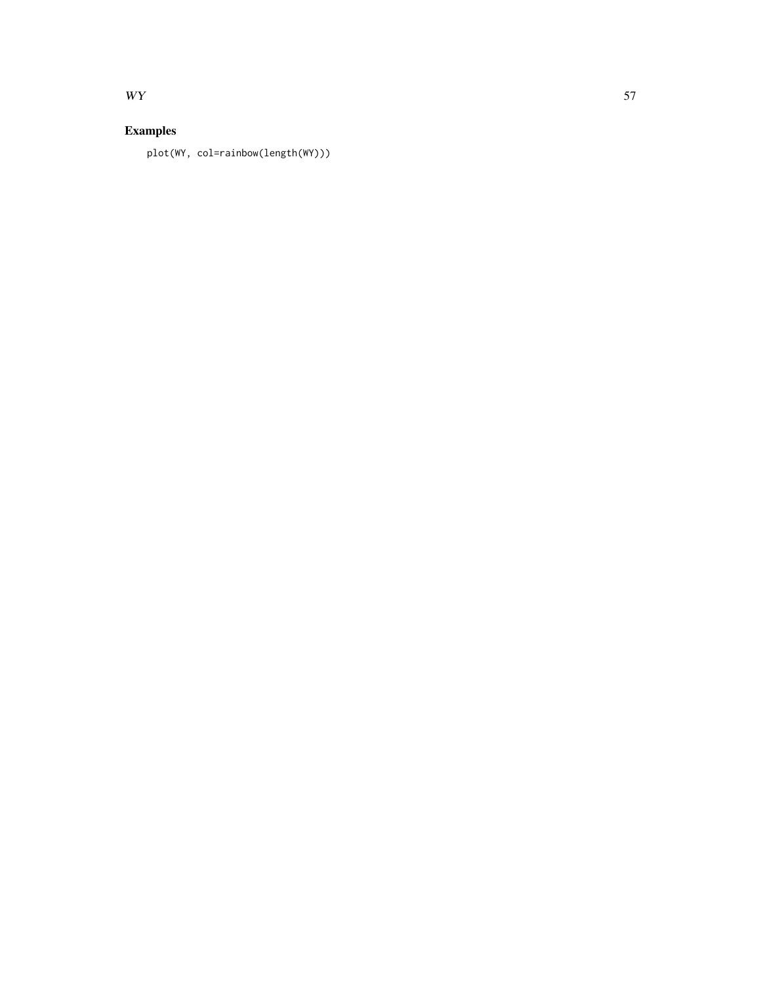# $WY$  57

# Examples

plot(WY, col=rainbow(length(WY)))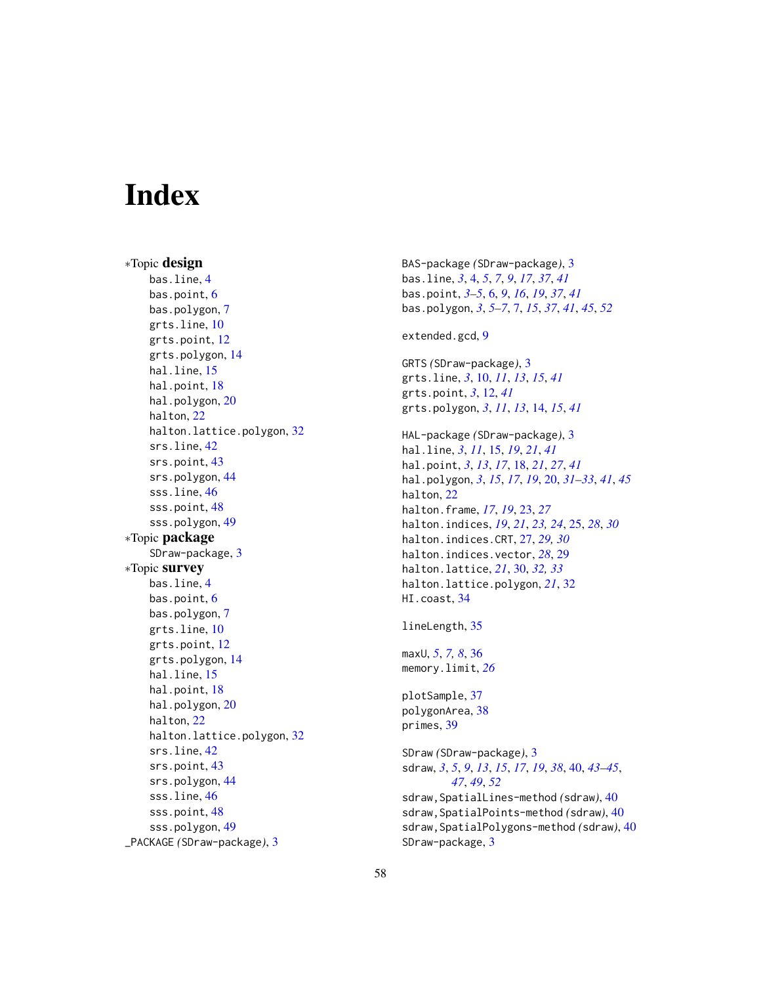# <span id="page-57-0"></span>**Index**

∗Topic design bas.line, [4](#page-3-0) bas.point, [6](#page-5-0) bas.polygon, [7](#page-6-0) grts.line, [10](#page-9-0) grts.point, [12](#page-11-0) grts.polygon, [14](#page-13-0) hal.line, [15](#page-14-0) hal.point, [18](#page-17-0) hal.polygon, [20](#page-19-0) halton, [22](#page-21-0) halton.lattice.polygon, [32](#page-31-0) srs.line, [42](#page-41-0) srs.point, [43](#page-42-0) srs.polygon, [44](#page-43-0) sss.line, [46](#page-45-0) sss.point, [48](#page-47-0) sss.polygon, [49](#page-48-0) ∗Topic package SDraw-package, [3](#page-2-0) ∗Topic survey bas.line, [4](#page-3-0) bas.point, [6](#page-5-0) bas.polygon, [7](#page-6-0) grts.line, [10](#page-9-0) grts.point, [12](#page-11-0) grts.polygon, [14](#page-13-0) hal.line, [15](#page-14-0) hal.point, [18](#page-17-0) hal.polygon, [20](#page-19-0) halton, [22](#page-21-0) halton.lattice.polygon, [32](#page-31-0) srs.line, [42](#page-41-0) srs.point, [43](#page-42-0) srs.polygon, [44](#page-43-0) sss.line, [46](#page-45-0) sss.point, [48](#page-47-0) sss.polygon, [49](#page-48-0) \_PACKAGE *(*SDraw-package*)*, [3](#page-2-0)

BAS-package *(*SDraw-package*)*, [3](#page-2-0) bas.line, *[3](#page-2-0)*, [4,](#page-3-0) *[5](#page-4-0)*, *[7](#page-6-0)*, *[9](#page-8-0)*, *[17](#page-16-0)*, *[37](#page-36-0)*, *[41](#page-40-0)* bas.point, *[3](#page-2-0)[–5](#page-4-0)*, [6,](#page-5-0) *[9](#page-8-0)*, *[16](#page-15-0)*, *[19](#page-18-0)*, *[37](#page-36-0)*, *[41](#page-40-0)* bas.polygon, *[3](#page-2-0)*, *[5](#page-4-0)[–7](#page-6-0)*, [7,](#page-6-0) *[15](#page-14-0)*, *[37](#page-36-0)*, *[41](#page-40-0)*, *[45](#page-44-0)*, *[52](#page-51-0)* extended.gcd, [9](#page-8-0) GRTS *(*SDraw-package*)*, [3](#page-2-0) grts.line, *[3](#page-2-0)*, [10,](#page-9-0) *[11](#page-10-0)*, *[13](#page-12-0)*, *[15](#page-14-0)*, *[41](#page-40-0)* grts.point, *[3](#page-2-0)*, [12,](#page-11-0) *[41](#page-40-0)* grts.polygon, *[3](#page-2-0)*, *[11](#page-10-0)*, *[13](#page-12-0)*, [14,](#page-13-0) *[15](#page-14-0)*, *[41](#page-40-0)* HAL-package *(*SDraw-package*)*, [3](#page-2-0) hal.line, *[3](#page-2-0)*, *[11](#page-10-0)*, [15,](#page-14-0) *[19](#page-18-0)*, *[21](#page-20-0)*, *[41](#page-40-0)* hal.point, *[3](#page-2-0)*, *[13](#page-12-0)*, *[17](#page-16-0)*, [18,](#page-17-0) *[21](#page-20-0)*, *[27](#page-26-0)*, *[41](#page-40-0)* hal.polygon, *[3](#page-2-0)*, *[15](#page-14-0)*, *[17](#page-16-0)*, *[19](#page-18-0)*, [20,](#page-19-0) *[31](#page-30-0)[–33](#page-32-0)*, *[41](#page-40-0)*, *[45](#page-44-0)* halton, [22](#page-21-0) halton.frame, *[17](#page-16-0)*, *[19](#page-18-0)*, [23,](#page-22-0) *[27](#page-26-0)* halton.indices, *[19](#page-18-0)*, *[21](#page-20-0)*, *[23,](#page-22-0) [24](#page-23-0)*, [25,](#page-24-0) *[28](#page-27-0)*, *[30](#page-29-0)* halton.indices.CRT, [27,](#page-26-0) *[29,](#page-28-0) [30](#page-29-0)* halton.indices.vector, *[28](#page-27-0)*, [29](#page-28-0) halton.lattice, *[21](#page-20-0)*, [30,](#page-29-0) *[32,](#page-31-0) [33](#page-32-0)* halton.lattice.polygon, *[21](#page-20-0)*, [32](#page-31-0) HI.coast, [34](#page-33-0) lineLength, [35](#page-34-0) maxU, *[5](#page-4-0)*, *[7,](#page-6-0) [8](#page-7-0)*, [36](#page-35-0) memory.limit, *[26](#page-25-0)* plotSample, [37](#page-36-0) polygonArea, [38](#page-37-0) primes, [39](#page-38-0) SDraw *(*SDraw-package*)*, [3](#page-2-0) sdraw, *[3](#page-2-0)*, *[5](#page-4-0)*, *[9](#page-8-0)*, *[13](#page-12-0)*, *[15](#page-14-0)*, *[17](#page-16-0)*, *[19](#page-18-0)*, *[38](#page-37-0)*, [40,](#page-39-0) *[43](#page-42-0)[–45](#page-44-0)*, *[47](#page-46-0)*, *[49](#page-48-0)*, *[52](#page-51-0)* sdraw,SpatialLines-method *(*sdraw*)*, [40](#page-39-0) sdraw,SpatialPoints-method *(*sdraw*)*, [40](#page-39-0) sdraw,SpatialPolygons-method *(*sdraw*)*, [40](#page-39-0) SDraw-package, [3](#page-2-0)